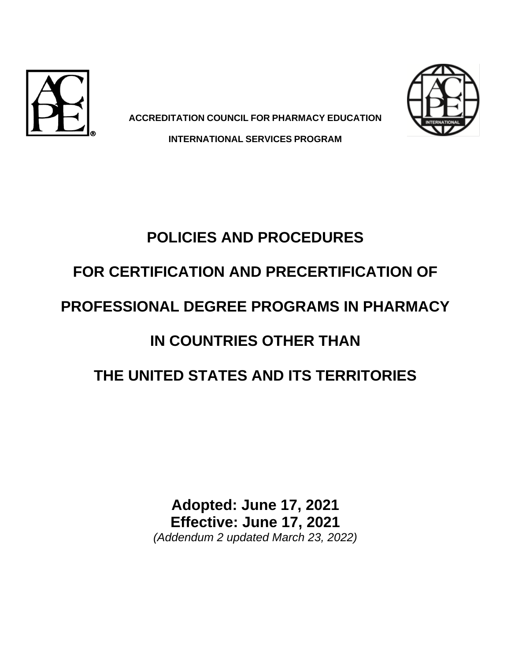



**ACCREDITATION COUNCIL FOR PHARMACY EDUCATION INTERNATIONAL SERVICES PROGRAM**

# **POLICIES AND PROCEDURES**

# **FOR CERTIFICATION AND PRECERTIFICATION OF**

# **PROFESSIONAL DEGREE PROGRAMS IN PHARMACY**

# **IN COUNTRIES OTHER THAN**

# **THE UNITED STATES AND ITS TERRITORIES**

**Adopted: June 17, 2021 Effective: June 17, 2021** *(Addendum 2 updated March 23, 2022)*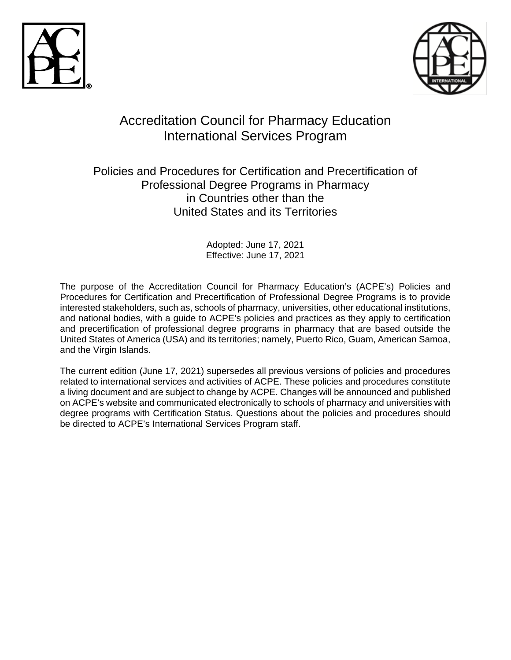



# Accreditation Council for Pharmacy Education International Services Program

# Policies and Procedures for Certification and Precertification of Professional Degree Programs in Pharmacy in Countries other than the United States and its Territories

Adopted: June 17, 2021 Effective: June 17, 2021

The purpose of the Accreditation Council for Pharmacy Education's (ACPE's) Policies and Procedures for Certification and Precertification of Professional Degree Programs is to provide interested stakeholders, such as, schools of pharmacy, universities, other educational institutions, and national bodies, with a guide to ACPE's policies and practices as they apply to certification and precertification of professional degree programs in pharmacy that are based outside the United States of America (USA) and its territories; namely, Puerto Rico, Guam, American Samoa, and the Virgin Islands.

The current edition (June 17, 2021) supersedes all previous versions of policies and procedures related to international services and activities of ACPE. These policies and procedures constitute a living document and are subject to change by ACPE. Changes will be announced and published on ACPE's website and communicated electronically to schools of pharmacy and universities with degree programs with Certification Status. Questions about the policies and procedures should be directed to ACPE's International Services Program staff.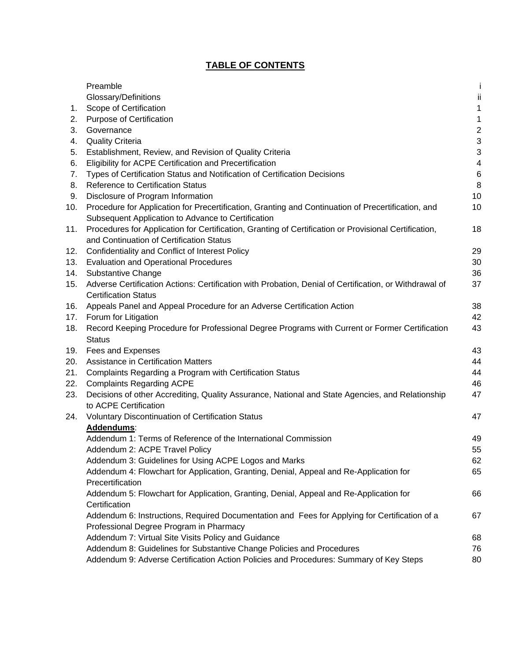# **TABLE OF CONTENTS**

|     | Preamble                                                                                                        |                         |
|-----|-----------------------------------------------------------------------------------------------------------------|-------------------------|
|     | Glossary/Definitions                                                                                            | jj                      |
| 1.  | Scope of Certification                                                                                          | 1                       |
| 2.  | Purpose of Certification                                                                                        | 1                       |
| 3.  | Governance                                                                                                      | $\overline{\mathbf{c}}$ |
| 4.  | <b>Quality Criteria</b>                                                                                         | 3                       |
| 5.  | Establishment, Review, and Revision of Quality Criteria                                                         | 3                       |
| 6.  | Eligibility for ACPE Certification and Precertification                                                         | 4                       |
| 7.  | Types of Certification Status and Notification of Certification Decisions                                       | 6                       |
| 8.  | <b>Reference to Certification Status</b>                                                                        | 8                       |
| 9.  | Disclosure of Program Information                                                                               | 10                      |
| 10. | Procedure for Application for Precertification, Granting and Continuation of Precertification, and              | 10                      |
|     | Subsequent Application to Advance to Certification                                                              |                         |
| 11. | Procedures for Application for Certification, Granting of Certification or Provisional Certification,           | 18                      |
|     | and Continuation of Certification Status                                                                        |                         |
| 12. | Confidentiality and Conflict of Interest Policy                                                                 | 29                      |
| 13. | <b>Evaluation and Operational Procedures</b>                                                                    | 30                      |
| 14. | <b>Substantive Change</b>                                                                                       | 36                      |
| 15. | Adverse Certification Actions: Certification with Probation, Denial of Certification, or Withdrawal of          | 37                      |
|     | <b>Certification Status</b>                                                                                     |                         |
| 16. | Appeals Panel and Appeal Procedure for an Adverse Certification Action                                          | 38                      |
| 17. | Forum for Litigation                                                                                            | 42                      |
| 18. | Record Keeping Procedure for Professional Degree Programs with Current or Former Certification<br><b>Status</b> | 43                      |
| 19. | Fees and Expenses                                                                                               | 43                      |
| 20. | <b>Assistance in Certification Matters</b>                                                                      | 44                      |
| 21. | Complaints Regarding a Program with Certification Status                                                        | 44                      |
| 22. | <b>Complaints Regarding ACPE</b>                                                                                | 46                      |
| 23. | Decisions of other Accrediting, Quality Assurance, National and State Agencies, and Relationship                | 47                      |
|     | to ACPE Certification                                                                                           |                         |
| 24. | Voluntary Discontinuation of Certification Status                                                               | 47                      |
|     | Addendums:                                                                                                      |                         |
|     | Addendum 1: Terms of Reference of the International Commission                                                  | 49                      |
|     | Addendum 2: ACPE Travel Policy                                                                                  | 55                      |
|     | Addendum 3: Guidelines for Using ACPE Logos and Marks                                                           | 62                      |
|     | Addendum 4: Flowchart for Application, Granting, Denial, Appeal and Re-Application for                          | 65                      |
|     | Precertification                                                                                                |                         |
|     | Addendum 5: Flowchart for Application, Granting, Denial, Appeal and Re-Application for<br>Certification         | 66                      |
|     | Addendum 6: Instructions, Required Documentation and Fees for Applying for Certification of a                   | 67                      |
|     | Professional Degree Program in Pharmacy                                                                         |                         |
|     | Addendum 7: Virtual Site Visits Policy and Guidance                                                             | 68                      |
|     | Addendum 8: Guidelines for Substantive Change Policies and Procedures                                           | 76                      |
|     | Addendum 9: Adverse Certification Action Policies and Procedures: Summary of Key Steps                          | 80                      |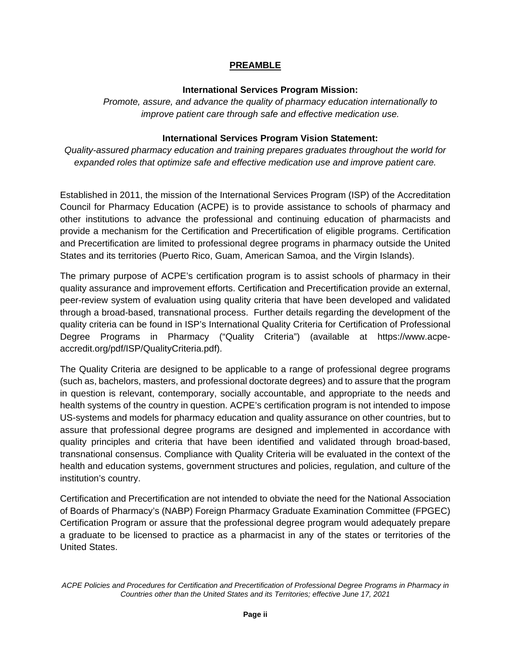### **PREAMBLE**

#### **International Services Program Mission:**

*Promote, assure, and advance the quality of pharmacy education internationally to improve patient care through safe and effective medication use.*

### **International Services Program Vision Statement:**

*Quality-assured pharmacy education and training prepares graduates throughout the world for expanded roles that optimize safe and effective medication use and improve patient care.*

Established in 2011, the mission of the International Services Program (ISP) of the Accreditation Council for Pharmacy Education (ACPE) is to provide assistance to schools of pharmacy and other institutions to advance the professional and continuing education of pharmacists and provide a mechanism for the Certification and Precertification of eligible programs. Certification and Precertification are limited to professional degree programs in pharmacy outside the United States and its territories (Puerto Rico, Guam, American Samoa, and the Virgin Islands).

The primary purpose of ACPE's certification program is to assist schools of pharmacy in their quality assurance and improvement efforts. Certification and Precertification provide an external, peer-review system of evaluation using quality criteria that have been developed and validated through a broad-based, transnational process. Further details regarding the development of the quality criteria can be found in ISP's International Quality Criteria for Certification of Professional Degree Programs in Pharmacy ("Quality Criteria") (available at https://www.acpeaccredit.org/pdf/ISP/QualityCriteria.pdf).

The Quality Criteria are designed to be applicable to a range of professional degree programs (such as, bachelors, masters, and professional doctorate degrees) and to assure that the program in question is relevant, contemporary, socially accountable, and appropriate to the needs and health systems of the country in question. ACPE's certification program is not intended to impose US-systems and models for pharmacy education and quality assurance on other countries, but to assure that professional degree programs are designed and implemented in accordance with quality principles and criteria that have been identified and validated through broad-based, transnational consensus. Compliance with Quality Criteria will be evaluated in the context of the health and education systems, government structures and policies, regulation, and culture of the institution's country.

Certification and Precertification are not intended to obviate the need for the National Association of Boards of Pharmacy's (NABP) Foreign Pharmacy Graduate Examination Committee (FPGEC) Certification Program or assure that the professional degree program would adequately prepare a graduate to be licensed to practice as a pharmacist in any of the states or territories of the United States.

*ACPE Policies and Procedures for Certification and Precertification of Professional Degree Programs in Pharmacy in Countries other than the United States and its Territories; effective June 17, 2021*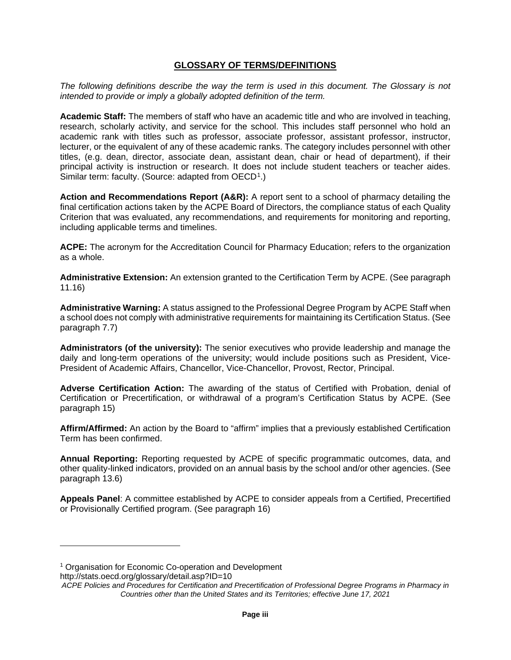#### **GLOSSARY OF TERMS/DEFINITIONS**

*The following definitions describe the way the term is used in this document. The Glossary is not intended to provide or imply a globally adopted definition of the term.*

**Academic Staff:** The members of staff who have an academic title and who are involved in teaching, research, scholarly activity, and service for the school. This includes staff personnel who hold an academic rank with titles such as professor, associate professor, assistant professor, instructor, lecturer, or the equivalent of any of these academic ranks. The category includes personnel with other titles, (e.g. dean, director, associate dean, assistant dean, chair or head of department), if their principal activity is instruction or research. It does not include student teachers or teacher aides. Similar term: faculty. (Source: adapted from OECD<sup>[1](#page-4-0)</sup>.)

**Action and Recommendations Report (A&R):** A report sent to a school of pharmacy detailing the final certification actions taken by the ACPE Board of Directors, the compliance status of each Quality Criterion that was evaluated, any recommendations, and requirements for monitoring and reporting, including applicable terms and timelines.

**ACPE:** The acronym for the Accreditation Council for Pharmacy Education; refers to the organization as a whole.

**Administrative Extension:** An extension granted to the Certification Term by ACPE. (See paragraph 11.16)

**Administrative Warning:** A status assigned to the Professional Degree Program by ACPE Staff when a school does not comply with administrative requirements for maintaining its Certification Status. (See paragraph 7.7)

**Administrators (of the university):** The senior executives who provide leadership and manage the daily and long-term operations of the university; would include positions such as President, Vice-President of Academic Affairs, Chancellor, Vice-Chancellor, Provost, Rector, Principal.

**Adverse Certification Action:** The awarding of the status of Certified with Probation, denial of Certification or Precertification, or withdrawal of a program's Certification Status by ACPE. (See paragraph 15)

**Affirm/Affirmed:** An action by the Board to "affirm" implies that a previously established Certification Term has been confirmed.

**Annual Reporting:** Reporting requested by ACPE of specific programmatic outcomes, data, and other quality-linked indicators, provided on an annual basis by the school and/or other agencies. (See paragraph 13.6)

**Appeals Panel**: A committee established by ACPE to consider appeals from a Certified, Precertified or Provisionally Certified program. (See paragraph 16)

<span id="page-4-0"></span><sup>&</sup>lt;sup>1</sup> Organisation for Economic Co-operation and Development

http://stats.oecd.org/glossary/detail.asp?ID=10

*ACPE Policies and Procedures for Certification and Precertification of Professional Degree Programs in Pharmacy in Countries other than the United States and its Territories; effective June 17, 2021*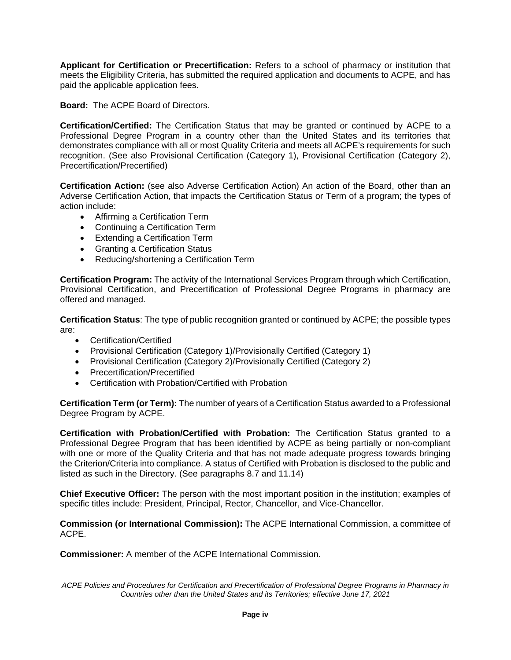**Applicant for Certification or Precertification:** Refers to a school of pharmacy or institution that meets the Eligibility Criteria, has submitted the required application and documents to ACPE, and has paid the applicable application fees.

**Board:** The ACPE Board of Directors.

**Certification/Certified:** The Certification Status that may be granted or continued by ACPE to a Professional Degree Program in a country other than the United States and its territories that demonstrates compliance with all or most Quality Criteria and meets all ACPE's requirements for such recognition. (See also Provisional Certification (Category 1), Provisional Certification (Category 2), Precertification/Precertified)

**Certification Action:** (see also Adverse Certification Action) An action of the Board, other than an Adverse Certification Action, that impacts the Certification Status or Term of a program; the types of action include:

- Affirming a Certification Term
- Continuing a Certification Term
- Extending a Certification Term
- Granting a Certification Status
- Reducing/shortening a Certification Term

**Certification Program:** The activity of the International Services Program through which Certification, Provisional Certification, and Precertification of Professional Degree Programs in pharmacy are offered and managed.

**Certification Status**: The type of public recognition granted or continued by ACPE; the possible types are:

- Certification/Certified
- Provisional Certification (Category 1)/Provisionally Certified (Category 1)
- Provisional Certification (Category 2)/Provisionally Certified (Category 2)
- Precertification/Precertified
- Certification with Probation/Certified with Probation

**Certification Term (or Term):** The number of years of a Certification Status awarded to a Professional Degree Program by ACPE.

**Certification with Probation/Certified with Probation:** The Certification Status granted to a Professional Degree Program that has been identified by ACPE as being partially or non-compliant with one or more of the Quality Criteria and that has not made adequate progress towards bringing the Criterion/Criteria into compliance. A status of Certified with Probation is disclosed to the public and listed as such in the Directory. (See paragraphs 8.7 and 11.14)

**Chief Executive Officer:** The person with the most important position in the institution; examples of specific titles include: President, Principal, Rector, Chancellor, and Vice-Chancellor.

**Commission (or International Commission):** The ACPE International Commission, a committee of ACPE.

**Commissioner:** A member of the ACPE International Commission.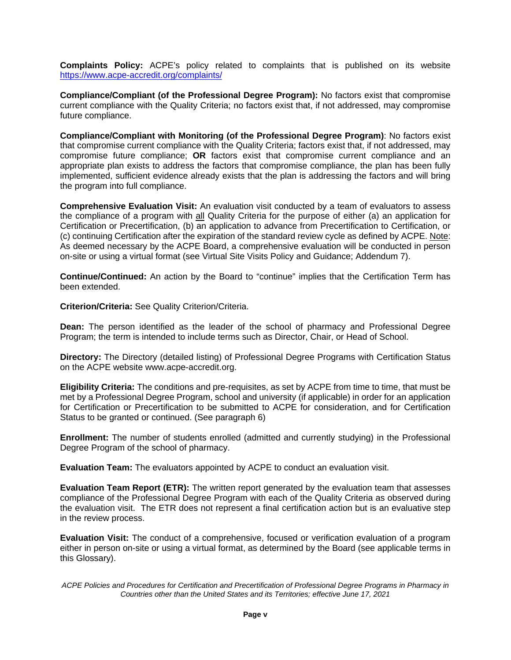**Complaints Policy:** ACPE's policy related to complaints that is published on its website <https://www.acpe-accredit.org/complaints/>

**Compliance/Compliant (of the Professional Degree Program):** No factors exist that compromise current compliance with the Quality Criteria; no factors exist that, if not addressed, may compromise future compliance.

**Compliance/Compliant with Monitoring (of the Professional Degree Program)**: No factors exist that compromise current compliance with the Quality Criteria; factors exist that, if not addressed, may compromise future compliance; **OR** factors exist that compromise current compliance and an appropriate plan exists to address the factors that compromise compliance, the plan has been fully implemented, sufficient evidence already exists that the plan is addressing the factors and will bring the program into full compliance.

**Comprehensive Evaluation Visit:** An evaluation visit conducted by a team of evaluators to assess the compliance of a program with all Quality Criteria for the purpose of either (a) an application for Certification or Precertification, (b) an application to advance from Precertification to Certification, or (c) continuing Certification after the expiration of the standard review cycle as defined by ACPE. Note: As deemed necessary by the ACPE Board, a comprehensive evaluation will be conducted in person on-site or using a virtual format (see Virtual Site Visits Policy and Guidance; Addendum 7).

**Continue/Continued:** An action by the Board to "continue" implies that the Certification Term has been extended.

**Criterion/Criteria:** See Quality Criterion/Criteria.

**Dean:** The person identified as the leader of the school of pharmacy and Professional Degree Program; the term is intended to include terms such as Director, Chair, or Head of School.

**Directory:** The Directory (detailed listing) of Professional Degree Programs with Certification Status on the ACPE website www.acpe-accredit.org.

**Eligibility Criteria:** The conditions and pre-requisites, as set by ACPE from time to time, that must be met by a Professional Degree Program, school and university (if applicable) in order for an application for Certification or Precertification to be submitted to ACPE for consideration, and for Certification Status to be granted or continued. (See paragraph 6)

**Enrollment:** The number of students enrolled (admitted and currently studying) in the Professional Degree Program of the school of pharmacy.

**Evaluation Team:** The evaluators appointed by ACPE to conduct an evaluation visit.

**Evaluation Team Report (ETR):** The written report generated by the evaluation team that assesses compliance of the Professional Degree Program with each of the Quality Criteria as observed during the evaluation visit. The ETR does not represent a final certification action but is an evaluative step in the review process.

**Evaluation Visit:** The conduct of a comprehensive, focused or verification evaluation of a program either in person on-site or using a virtual format, as determined by the Board (see applicable terms in this Glossary).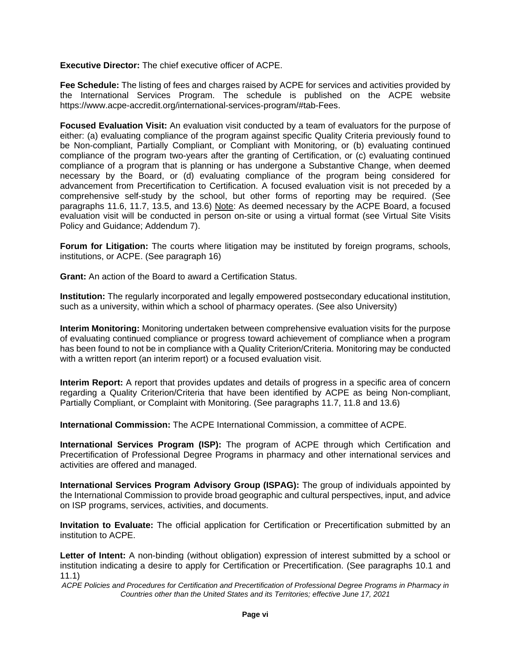**Executive Director:** The chief executive officer of ACPE.

**Fee Schedule:** The listing of fees and charges raised by ACPE for services and activities provided by the International Services Program. The schedule is published on the ACPE website https://www.acpe-accredit.org/international-services-program/#tab-Fees.

**Focused Evaluation Visit:** An evaluation visit conducted by a team of evaluators for the purpose of either: (a) evaluating compliance of the program against specific Quality Criteria previously found to be Non-compliant, Partially Compliant, or Compliant with Monitoring, or (b) evaluating continued compliance of the program two-years after the granting of Certification, or (c) evaluating continued compliance of a program that is planning or has undergone a Substantive Change, when deemed necessary by the Board, or (d) evaluating compliance of the program being considered for advancement from Precertification to Certification. A focused evaluation visit is not preceded by a comprehensive self-study by the school, but other forms of reporting may be required. (See paragraphs 11.6, 11.7, 13.5, and 13.6) Note: As deemed necessary by the ACPE Board, a focused evaluation visit will be conducted in person on-site or using a virtual format (see Virtual Site Visits Policy and Guidance; Addendum 7).

**Forum for Litigation:** The courts where litigation may be instituted by foreign programs, schools, institutions, or ACPE. (See paragraph 16)

**Grant:** An action of the Board to award a Certification Status.

**Institution:** The regularly incorporated and legally empowered postsecondary educational institution, such as a university, within which a school of pharmacy operates. (See also University)

**Interim Monitoring:** Monitoring undertaken between comprehensive evaluation visits for the purpose of evaluating continued compliance or progress toward achievement of compliance when a program has been found to not be in compliance with a Quality Criterion/Criteria. Monitoring may be conducted with a written report (an interim report) or a focused evaluation visit.

**Interim Report:** A report that provides updates and details of progress in a specific area of concern regarding a Quality Criterion/Criteria that have been identified by ACPE as being Non-compliant, Partially Compliant, or Complaint with Monitoring. (See paragraphs 11.7, 11.8 and 13.6)

**International Commission:** The ACPE International Commission, a committee of ACPE.

**International Services Program (ISP):** The program of ACPE through which Certification and Precertification of Professional Degree Programs in pharmacy and other international services and activities are offered and managed.

**International Services Program Advisory Group (ISPAG):** The group of individuals appointed by the International Commission to provide broad geographic and cultural perspectives, input, and advice on ISP programs, services, activities, and documents.

**Invitation to Evaluate:** The official application for Certification or Precertification submitted by an institution to ACPE.

**Letter of Intent:** A non-binding (without obligation) expression of interest submitted by a school or institution indicating a desire to apply for Certification or Precertification. (See paragraphs 10.1 and 11.1)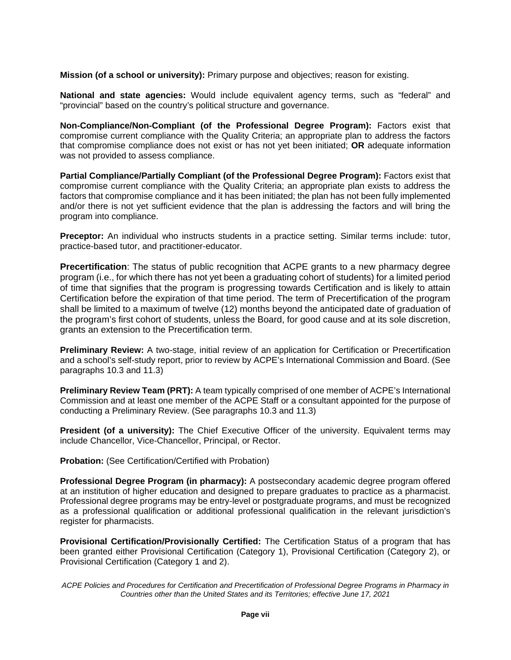**Mission (of a school or university):** Primary purpose and objectives; reason for existing.

**National and state agencies:** Would include equivalent agency terms, such as "federal" and "provincial" based on the country's political structure and governance.

**Non-Compliance/Non-Compliant (of the Professional Degree Program):** Factors exist that compromise current compliance with the Quality Criteria; an appropriate plan to address the factors that compromise compliance does not exist or has not yet been initiated; **OR** adequate information was not provided to assess compliance.

**Partial Compliance/Partially Compliant (of the Professional Degree Program): Factors exist that** compromise current compliance with the Quality Criteria; an appropriate plan exists to address the factors that compromise compliance and it has been initiated; the plan has not been fully implemented and/or there is not yet sufficient evidence that the plan is addressing the factors and will bring the program into compliance.

**Preceptor:** An individual who instructs students in a practice setting. Similar terms include: tutor, practice-based tutor, and practitioner-educator.

**Precertification**: The status of public recognition that ACPE grants to a new pharmacy degree program (i.e., for which there has not yet been a graduating cohort of students) for a limited period of time that signifies that the program is progressing towards Certification and is likely to attain Certification before the expiration of that time period. The term of Precertification of the program shall be limited to a maximum of twelve (12) months beyond the anticipated date of graduation of the program's first cohort of students, unless the Board, for good cause and at its sole discretion, grants an extension to the Precertification term.

**Preliminary Review:** A two-stage, initial review of an application for Certification or Precertification and a school's self-study report, prior to review by ACPE's International Commission and Board. (See paragraphs 10.3 and 11.3)

**Preliminary Review Team (PRT):** A team typically comprised of one member of ACPE's International Commission and at least one member of the ACPE Staff or a consultant appointed for the purpose of conducting a Preliminary Review. (See paragraphs 10.3 and 11.3)

**President (of a university):** The Chief Executive Officer of the university. Equivalent terms may include Chancellor, Vice-Chancellor, Principal, or Rector.

**Probation:** (See Certification/Certified with Probation)

**Professional Degree Program (in pharmacy):** A postsecondary academic degree program offered at an institution of higher education and designed to prepare graduates to practice as a pharmacist. Professional degree programs may be entry-level or postgraduate programs, and must be recognized as a professional qualification or additional professional qualification in the relevant jurisdiction's register for pharmacists.

**Provisional Certification/Provisionally Certified:** The Certification Status of a program that has been granted either Provisional Certification (Category 1), Provisional Certification (Category 2), or Provisional Certification (Category 1 and 2).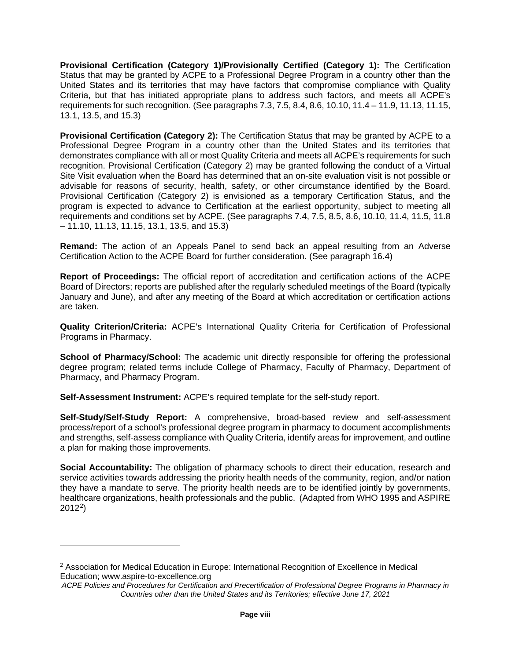**Provisional Certification (Category 1)/Provisionally Certified (Category 1):** The Certification Status that may be granted by ACPE to a Professional Degree Program in a country other than the United States and its territories that may have factors that compromise compliance with Quality Criteria, but that has initiated appropriate plans to address such factors, and meets all ACPE's requirements for such recognition. (See paragraphs 7.3, 7.5, 8.4, 8.6, 10.10, 11.4 – 11.9, 11.13, 11.15, 13.1, 13.5, and 15.3)

**Provisional Certification (Category 2):** The Certification Status that may be granted by ACPE to a Professional Degree Program in a country other than the United States and its territories that demonstrates compliance with all or most Quality Criteria and meets all ACPE's requirements for such recognition. Provisional Certification (Category 2) may be granted following the conduct of a Virtual Site Visit evaluation when the Board has determined that an on-site evaluation visit is not possible or advisable for reasons of security, health, safety, or other circumstance identified by the Board. Provisional Certification (Category 2) is envisioned as a temporary Certification Status, and the program is expected to advance to Certification at the earliest opportunity, subject to meeting all requirements and conditions set by ACPE. (See paragraphs 7.4, 7.5, 8.5, 8.6, 10.10, 11.4, 11.5, 11.8 – 11.10, 11.13, 11.15, 13.1, 13.5, and 15.3)

**Remand:** The action of an Appeals Panel to send back an appeal resulting from an Adverse Certification Action to the ACPE Board for further consideration. (See paragraph 16.4)

**Report of Proceedings:** The official report of accreditation and certification actions of the ACPE Board of Directors; reports are published after the regularly scheduled meetings of the Board (typically January and June), and after any meeting of the Board at which accreditation or certification actions are taken.

**Quality Criterion/Criteria:** ACPE's International Quality Criteria for Certification of Professional Programs in Pharmacy.

School of Pharmacy/School: The academic unit directly responsible for offering the professional degree program; related terms include College of Pharmacy, Faculty of Pharmacy, Department of Pharmacy, and Pharmacy Program.

**Self-Assessment Instrument:** ACPE's required template for the self-study report.

**Self-Study/Self-Study Report:** A comprehensive, broad-based review and self-assessment process/report of a school's professional degree program in pharmacy to document accomplishments and strengths, self-assess compliance with Quality Criteria, identify areas for improvement, and outline a plan for making those improvements.

**Social Accountability:** The obligation of pharmacy schools to direct their education, research and service activities towards addressing the priority health needs of the community, region, and/or nation they have a mandate to serve. The priority health needs are to be identified jointly by governments, healthcare organizations, health professionals and the public. (Adapted from WHO 1995 and ASPIRE 2012[2\)](#page-9-0)

<span id="page-9-0"></span><sup>&</sup>lt;sup>2</sup> Association for Medical Education in Europe: International Recognition of Excellence in Medical Education; www.aspire-to-excellence.org

*ACPE Policies and Procedures for Certification and Precertification of Professional Degree Programs in Pharmacy in Countries other than the United States and its Territories; effective June 17, 2021*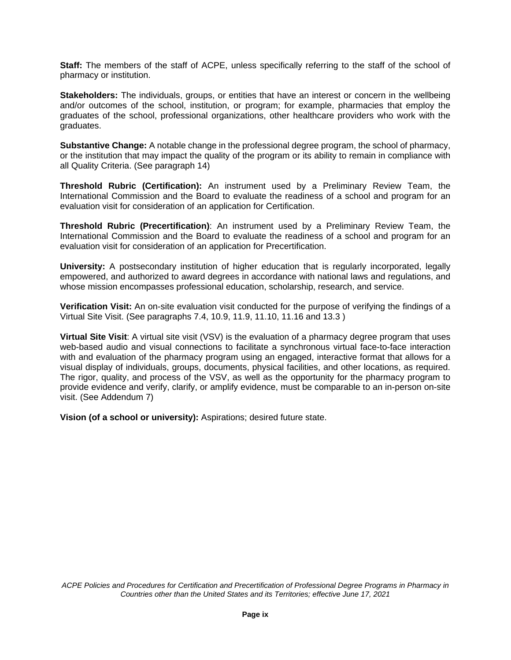**Staff:** The members of the staff of ACPE, unless specifically referring to the staff of the school of pharmacy or institution.

**Stakeholders:** The individuals, groups, or entities that have an interest or concern in the wellbeing and/or outcomes of the school, institution, or program; for example, pharmacies that employ the graduates of the school, professional organizations, other healthcare providers who work with the graduates.

**Substantive Change:** A notable change in the professional degree program, the school of pharmacy, or the institution that may impact the quality of the program or its ability to remain in compliance with all Quality Criteria. (See paragraph 14)

**Threshold Rubric (Certification):** An instrument used by a Preliminary Review Team, the International Commission and the Board to evaluate the readiness of a school and program for an evaluation visit for consideration of an application for Certification.

**Threshold Rubric (Precertification)**: An instrument used by a Preliminary Review Team, the International Commission and the Board to evaluate the readiness of a school and program for an evaluation visit for consideration of an application for Precertification.

**University:** A postsecondary institution of higher education that is regularly incorporated, legally empowered, and authorized to award degrees in accordance with national laws and regulations, and whose mission encompasses professional education, scholarship, research, and service.

**Verification Visit:** An on-site evaluation visit conducted for the purpose of verifying the findings of a Virtual Site Visit. (See paragraphs 7.4, 10.9, 11.9, 11.10, 11.16 and 13.3 )

**Virtual Site Visit**: A virtual site visit (VSV) is the evaluation of a pharmacy degree program that uses web-based audio and visual connections to facilitate a synchronous virtual face-to-face interaction with and evaluation of the pharmacy program using an engaged, interactive format that allows for a visual display of individuals, groups, documents, physical facilities, and other locations, as required. The rigor, quality, and process of the VSV, as well as the opportunity for the pharmacy program to provide evidence and verify, clarify, or amplify evidence, must be comparable to an in-person on-site visit. (See Addendum 7)

**Vision (of a school or university):** Aspirations; desired future state.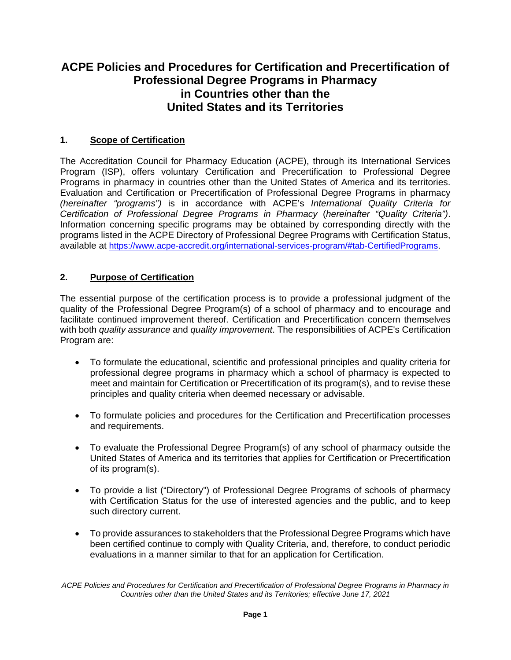# **ACPE Policies and Procedures for Certification and Precertification of Professional Degree Programs in Pharmacy in Countries other than the United States and its Territories**

# **1. Scope of Certification**

The Accreditation Council for Pharmacy Education (ACPE), through its International Services Program (ISP), offers voluntary Certification and Precertification to Professional Degree Programs in pharmacy in countries other than the United States of America and its territories. Evaluation and Certification or Precertification of Professional Degree Programs in pharmacy *(hereinafter "programs")* is in accordance with ACPE's *International Quality Criteria for Certification of Professional Degree Programs in Pharmacy* (*hereinafter "Quality Criteria")*. Information concerning specific programs may be obtained by corresponding directly with the programs listed in the ACPE Directory of Professional Degree Programs with Certification Status, available at [https://www.acpe-accredit.org/international-services-program/#tab-CertifiedPrograms.](https://www.acpe-accredit.org/international-services-program/#tab-CertifiedPrograms)

# **2. Purpose of Certification**

The essential purpose of the certification process is to provide a professional judgment of the quality of the Professional Degree Program(s) of a school of pharmacy and to encourage and facilitate continued improvement thereof. Certification and Precertification concern themselves with both *quality assurance* and *quality improvement*. The responsibilities of ACPE's Certification Program are:

- To formulate the educational, scientific and professional principles and quality criteria for professional degree programs in pharmacy which a school of pharmacy is expected to meet and maintain for Certification or Precertification of its program(s), and to revise these principles and quality criteria when deemed necessary or advisable.
- To formulate policies and procedures for the Certification and Precertification processes and requirements.
- To evaluate the Professional Degree Program(s) of any school of pharmacy outside the United States of America and its territories that applies for Certification or Precertification of its program(s).
- To provide a list ("Directory") of Professional Degree Programs of schools of pharmacy with Certification Status for the use of interested agencies and the public, and to keep such directory current.
- To provide assurances to stakeholders that the Professional Degree Programs which have been certified continue to comply with Quality Criteria, and, therefore, to conduct periodic evaluations in a manner similar to that for an application for Certification.

*ACPE Policies and Procedures for Certification and Precertification of Professional Degree Programs in Pharmacy in Countries other than the United States and its Territories; effective June 17, 2021*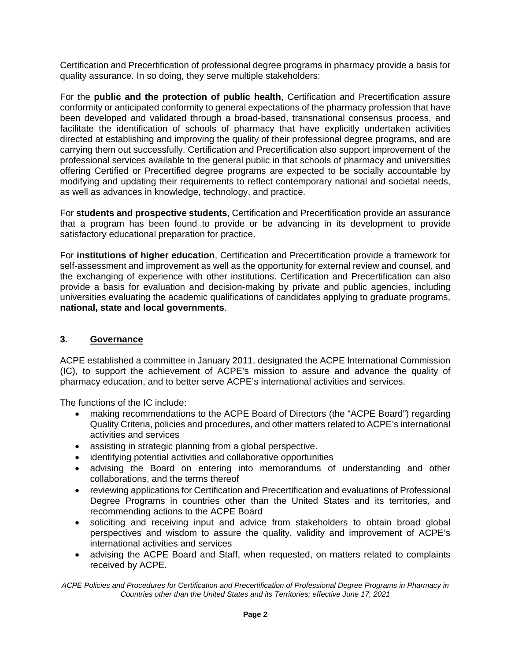Certification and Precertification of professional degree programs in pharmacy provide a basis for quality assurance. In so doing, they serve multiple stakeholders:

For the **public and the protection of public health**, Certification and Precertification assure conformity or anticipated conformity to general expectations of the pharmacy profession that have been developed and validated through a broad-based, transnational consensus process, and facilitate the identification of schools of pharmacy that have explicitly undertaken activities directed at establishing and improving the quality of their professional degree programs, and are carrying them out successfully. Certification and Precertification also support improvement of the professional services available to the general public in that schools of pharmacy and universities offering Certified or Precertified degree programs are expected to be socially accountable by modifying and updating their requirements to reflect contemporary national and societal needs, as well as advances in knowledge, technology, and practice.

For **students and prospective students**, Certification and Precertification provide an assurance that a program has been found to provide or be advancing in its development to provide satisfactory educational preparation for practice.

For **institutions of higher education**, Certification and Precertification provide a framework for self-assessment and improvement as well as the opportunity for external review and counsel, and the exchanging of experience with other institutions. Certification and Precertification can also provide a basis for evaluation and decision-making by private and public agencies, including universities evaluating the academic qualifications of candidates applying to graduate programs, **national, state and local governments**.

# **3. Governance**

ACPE established a committee in January 2011, designated the ACPE International Commission (IC), to support the achievement of ACPE's mission to assure and advance the quality of pharmacy education, and to better serve ACPE's international activities and services.

The functions of the IC include:

- making recommendations to the ACPE Board of Directors (the "ACPE Board") regarding Quality Criteria, policies and procedures, and other matters related to ACPE's international activities and services
- assisting in strategic planning from a global perspective.
- identifying potential activities and collaborative opportunities
- advising the Board on entering into memorandums of understanding and other collaborations, and the terms thereof
- reviewing applications for Certification and Precertification and evaluations of Professional Degree Programs in countries other than the United States and its territories, and recommending actions to the ACPE Board
- soliciting and receiving input and advice from stakeholders to obtain broad global perspectives and wisdom to assure the quality, validity and improvement of ACPE's international activities and services
- advising the ACPE Board and Staff, when requested, on matters related to complaints received by ACPE.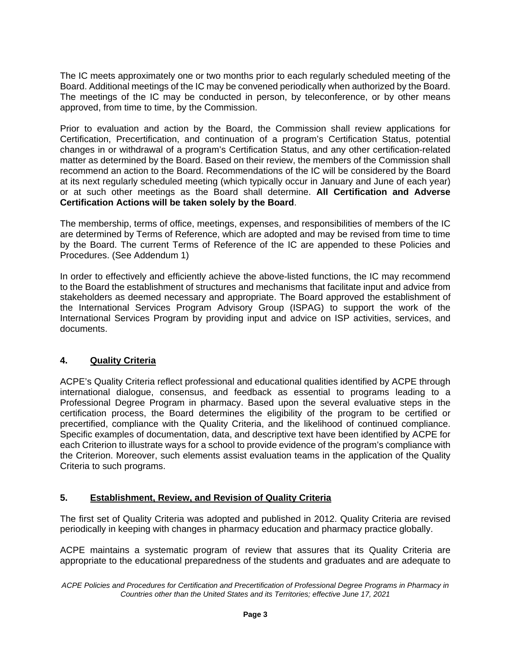The IC meets approximately one or two months prior to each regularly scheduled meeting of the Board. Additional meetings of the IC may be convened periodically when authorized by the Board. The meetings of the IC may be conducted in person, by teleconference, or by other means approved, from time to time, by the Commission.

Prior to evaluation and action by the Board, the Commission shall review applications for Certification, Precertification, and continuation of a program's Certification Status, potential changes in or withdrawal of a program's Certification Status, and any other certification-related matter as determined by the Board. Based on their review, the members of the Commission shall recommend an action to the Board. Recommendations of the IC will be considered by the Board at its next regularly scheduled meeting (which typically occur in January and June of each year) or at such other meetings as the Board shall determine. **All Certification and Adverse Certification Actions will be taken solely by the Board**.

The membership, terms of office, meetings, expenses, and responsibilities of members of the IC are determined by Terms of Reference, which are adopted and may be revised from time to time by the Board. The current Terms of Reference of the IC are appended to these Policies and Procedures. (See Addendum 1)

In order to effectively and efficiently achieve the above-listed functions, the IC may recommend to the Board the establishment of structures and mechanisms that facilitate input and advice from stakeholders as deemed necessary and appropriate. The Board approved the establishment of the International Services Program Advisory Group (ISPAG) to support the work of the International Services Program by providing input and advice on ISP activities, services, and documents.

# **4. Quality Criteria**

ACPE's Quality Criteria reflect professional and educational qualities identified by ACPE through international dialogue, consensus, and feedback as essential to programs leading to a Professional Degree Program in pharmacy. Based upon the several evaluative steps in the certification process, the Board determines the eligibility of the program to be certified or precertified, compliance with the Quality Criteria, and the likelihood of continued compliance. Specific examples of documentation, data, and descriptive text have been identified by ACPE for each Criterion to illustrate ways for a school to provide evidence of the program's compliance with the Criterion. Moreover, such elements assist evaluation teams in the application of the Quality Criteria to such programs.

# **5. Establishment, Review, and Revision of Quality Criteria**

The first set of Quality Criteria was adopted and published in 2012. Quality Criteria are revised periodically in keeping with changes in pharmacy education and pharmacy practice globally.

ACPE maintains a systematic program of review that assures that its Quality Criteria are appropriate to the educational preparedness of the students and graduates and are adequate to

*ACPE Policies and Procedures for Certification and Precertification of Professional Degree Programs in Pharmacy in Countries other than the United States and its Territories; effective June 17, 2021*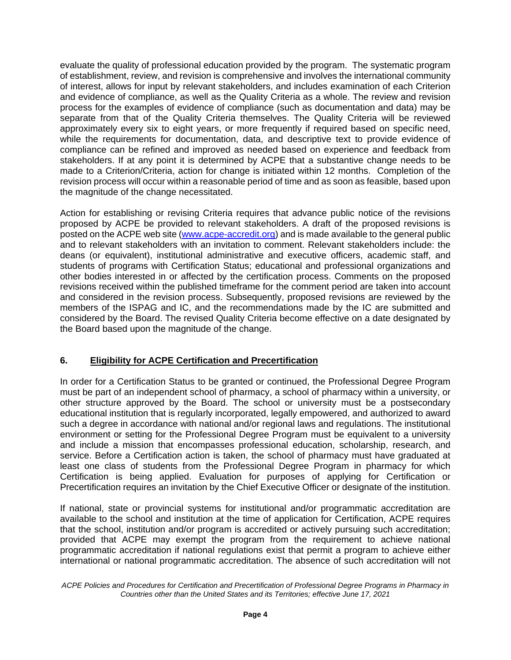evaluate the quality of professional education provided by the program. The systematic program of establishment, review, and revision is comprehensive and involves the international community of interest, allows for input by relevant stakeholders, and includes examination of each Criterion and evidence of compliance, as well as the Quality Criteria as a whole. The review and revision process for the examples of evidence of compliance (such as documentation and data) may be separate from that of the Quality Criteria themselves. The Quality Criteria will be reviewed approximately every six to eight years, or more frequently if required based on specific need, while the requirements for documentation, data, and descriptive text to provide evidence of compliance can be refined and improved as needed based on experience and feedback from stakeholders. If at any point it is determined by ACPE that a substantive change needs to be made to a Criterion/Criteria, action for change is initiated within 12 months. Completion of the revision process will occur within a reasonable period of time and as soon as feasible, based upon the magnitude of the change necessitated.

Action for establishing or revising Criteria requires that advance public notice of the revisions proposed by ACPE be provided to relevant stakeholders. A draft of the proposed revisions is posted on the ACPE web site [\(www.acpe-accredit.org\)](http://www.acpe-accredit.org/) and is made available to the general public and to relevant stakeholders with an invitation to comment. Relevant stakeholders include: the deans (or equivalent), institutional administrative and executive officers, academic staff, and students of programs with Certification Status; educational and professional organizations and other bodies interested in or affected by the certification process. Comments on the proposed revisions received within the published timeframe for the comment period are taken into account and considered in the revision process. Subsequently, proposed revisions are reviewed by the members of the ISPAG and IC, and the recommendations made by the IC are submitted and considered by the Board. The revised Quality Criteria become effective on a date designated by the Board based upon the magnitude of the change.

# **6. Eligibility for ACPE Certification and Precertification**

In order for a Certification Status to be granted or continued, the Professional Degree Program must be part of an independent school of pharmacy, a school of pharmacy within a university, or other structure approved by the Board. The school or university must be a postsecondary educational institution that is regularly incorporated, legally empowered, and authorized to award such a degree in accordance with national and/or regional laws and regulations. The institutional environment or setting for the Professional Degree Program must be equivalent to a university and include a mission that encompasses professional education, scholarship, research, and service. Before a Certification action is taken, the school of pharmacy must have graduated at least one class of students from the Professional Degree Program in pharmacy for which Certification is being applied. Evaluation for purposes of applying for Certification or Precertification requires an invitation by the Chief Executive Officer or designate of the institution.

If national, state or provincial systems for institutional and/or programmatic accreditation are available to the school and institution at the time of application for Certification, ACPE requires that the school, institution and/or program is accredited or actively pursuing such accreditation; provided that ACPE may exempt the program from the requirement to achieve national programmatic accreditation if national regulations exist that permit a program to achieve either international or national programmatic accreditation. The absence of such accreditation will not

*ACPE Policies and Procedures for Certification and Precertification of Professional Degree Programs in Pharmacy in Countries other than the United States and its Territories; effective June 17, 2021*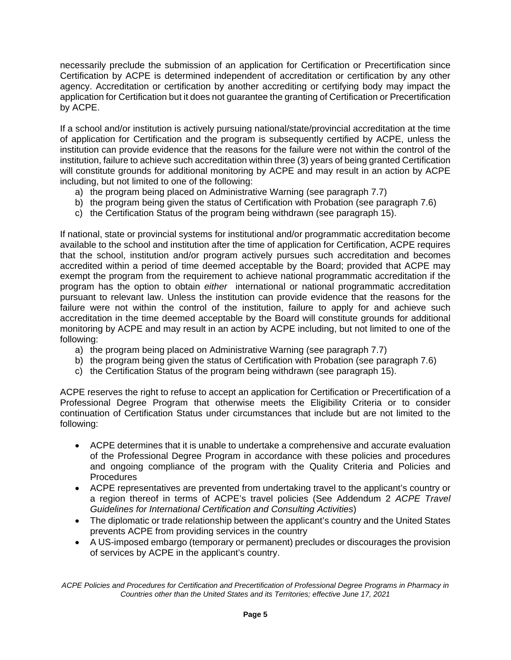necessarily preclude the submission of an application for Certification or Precertification since Certification by ACPE is determined independent of accreditation or certification by any other agency. Accreditation or certification by another accrediting or certifying body may impact the application for Certification but it does not guarantee the granting of Certification or Precertification by ACPE.

If a school and/or institution is actively pursuing national/state/provincial accreditation at the time of application for Certification and the program is subsequently certified by ACPE, unless the institution can provide evidence that the reasons for the failure were not within the control of the institution, failure to achieve such accreditation within three (3) years of being granted Certification will constitute grounds for additional monitoring by ACPE and may result in an action by ACPE including, but not limited to one of the following:

- a) the program being placed on Administrative Warning (see paragraph 7.7)
- b) the program being given the status of Certification with Probation (see paragraph 7.6)
- c) the Certification Status of the program being withdrawn (see paragraph 15).

If national, state or provincial systems for institutional and/or programmatic accreditation become available to the school and institution after the time of application for Certification, ACPE requires that the school, institution and/or program actively pursues such accreditation and becomes accredited within a period of time deemed acceptable by the Board; provided that ACPE may exempt the program from the requirement to achieve national programmatic accreditation if the program has the option to obtain *either* international or national programmatic accreditation pursuant to relevant law. Unless the institution can provide evidence that the reasons for the failure were not within the control of the institution, failure to apply for and achieve such accreditation in the time deemed acceptable by the Board will constitute grounds for additional monitoring by ACPE and may result in an action by ACPE including, but not limited to one of the following:

- a) the program being placed on Administrative Warning (see paragraph 7.7)
- b) the program being given the status of Certification with Probation (see paragraph 7.6)
- c) the Certification Status of the program being withdrawn (see paragraph 15).

ACPE reserves the right to refuse to accept an application for Certification or Precertification of a Professional Degree Program that otherwise meets the Eligibility Criteria or to consider continuation of Certification Status under circumstances that include but are not limited to the following:

- ACPE determines that it is unable to undertake a comprehensive and accurate evaluation of the Professional Degree Program in accordance with these policies and procedures and ongoing compliance of the program with the Quality Criteria and Policies and **Procedures**
- ACPE representatives are prevented from undertaking travel to the applicant's country or a region thereof in terms of ACPE's travel policies (See Addendum 2 *ACPE Travel Guidelines for International Certification and Consulting Activities*)
- The diplomatic or trade relationship between the applicant's country and the United States prevents ACPE from providing services in the country
- A US-imposed embargo (temporary or permanent) precludes or discourages the provision of services by ACPE in the applicant's country.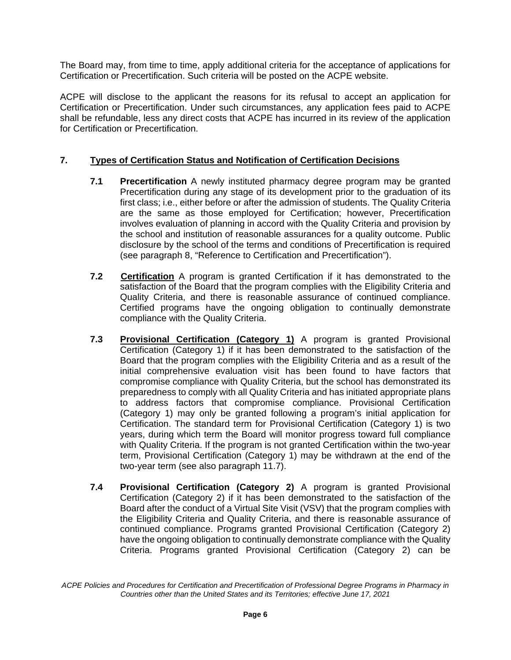The Board may, from time to time, apply additional criteria for the acceptance of applications for Certification or Precertification. Such criteria will be posted on the ACPE website.

ACPE will disclose to the applicant the reasons for its refusal to accept an application for Certification or Precertification. Under such circumstances, any application fees paid to ACPE shall be refundable, less any direct costs that ACPE has incurred in its review of the application for Certification or Precertification.

### **7. Types of Certification Status and Notification of Certification Decisions**

- **7.1 Precertification** A newly instituted pharmacy degree program may be granted Precertification during any stage of its development prior to the graduation of its first class; i.e., either before or after the admission of students. The Quality Criteria are the same as those employed for Certification; however, Precertification involves evaluation of planning in accord with the Quality Criteria and provision by the school and institution of reasonable assurances for a quality outcome. Public disclosure by the school of the terms and conditions of Precertification is required (see paragraph 8, "Reference to Certification and Precertification").
- **7.2 Certification** A program is granted Certification if it has demonstrated to the satisfaction of the Board that the program complies with the Eligibility Criteria and Quality Criteria, and there is reasonable assurance of continued compliance. Certified programs have the ongoing obligation to continually demonstrate compliance with the Quality Criteria.
- **7.3 Provisional Certification (Category 1)** A program is granted Provisional Certification (Category 1) if it has been demonstrated to the satisfaction of the Board that the program complies with the Eligibility Criteria and as a result of the initial comprehensive evaluation visit has been found to have factors that compromise compliance with Quality Criteria, but the school has demonstrated its preparedness to comply with all Quality Criteria and has initiated appropriate plans to address factors that compromise compliance. Provisional Certification (Category 1) may only be granted following a program's initial application for Certification. The standard term for Provisional Certification (Category 1) is two years, during which term the Board will monitor progress toward full compliance with Quality Criteria. If the program is not granted Certification within the two-year term, Provisional Certification (Category 1) may be withdrawn at the end of the two-year term (see also paragraph 11.7).
- **7.4 Provisional Certification (Category 2)** A program is granted Provisional Certification (Category 2) if it has been demonstrated to the satisfaction of the Board after the conduct of a Virtual Site Visit (VSV) that the program complies with the Eligibility Criteria and Quality Criteria, and there is reasonable assurance of continued compliance. Programs granted Provisional Certification (Category 2) have the ongoing obligation to continually demonstrate compliance with the Quality Criteria. Programs granted Provisional Certification (Category 2) can be

*ACPE Policies and Procedures for Certification and Precertification of Professional Degree Programs in Pharmacy in Countries other than the United States and its Territories; effective June 17, 2021*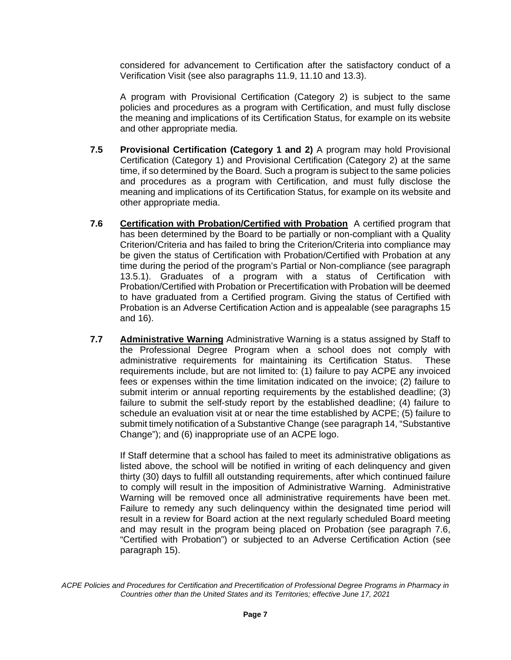considered for advancement to Certification after the satisfactory conduct of a Verification Visit (see also paragraphs 11.9, 11.10 and 13.3).

A program with Provisional Certification (Category 2) is subject to the same policies and procedures as a program with Certification, and must fully disclose the meaning and implications of its Certification Status, for example on its website and other appropriate media.

- **7.5 Provisional Certification (Category 1 and 2)** A program may hold Provisional Certification (Category 1) and Provisional Certification (Category 2) at the same time, if so determined by the Board. Such a program is subject to the same policies and procedures as a program with Certification, and must fully disclose the meaning and implications of its Certification Status, for example on its website and other appropriate media.
- **7.6 Certification with Probation/Certified with Probation** A certified program that has been determined by the Board to be partially or non-compliant with a Quality Criterion/Criteria and has failed to bring the Criterion/Criteria into compliance may be given the status of Certification with Probation/Certified with Probation at any time during the period of the program's Partial or Non-compliance (see paragraph 13.5.1). Graduates of a program with a status of Certification with Probation/Certified with Probation or Precertification with Probation will be deemed to have graduated from a Certified program. Giving the status of Certified with Probation is an Adverse Certification Action and is appealable (see paragraphs 15 and 16).
- **7.7 Administrative Warning** Administrative Warning is a status assigned by Staff to the Professional Degree Program when a school does not comply with administrative requirements for maintaining its Certification Status. These requirements include, but are not limited to: (1) failure to pay ACPE any invoiced fees or expenses within the time limitation indicated on the invoice; (2) failure to submit interim or annual reporting requirements by the established deadline; (3) failure to submit the self-study report by the established deadline; (4) failure to schedule an evaluation visit at or near the time established by ACPE; (5) failure to submit timely notification of a Substantive Change (see paragraph 14, "Substantive Change"); and (6) inappropriate use of an ACPE logo.

If Staff determine that a school has failed to meet its administrative obligations as listed above, the school will be notified in writing of each delinquency and given thirty (30) days to fulfill all outstanding requirements, after which continued failure to comply will result in the imposition of Administrative Warning. Administrative Warning will be removed once all administrative requirements have been met. Failure to remedy any such delinquency within the designated time period will result in a review for Board action at the next regularly scheduled Board meeting and may result in the program being placed on Probation (see paragraph 7.6, "Certified with Probation") or subjected to an Adverse Certification Action (see paragraph 15).

*ACPE Policies and Procedures for Certification and Precertification of Professional Degree Programs in Pharmacy in Countries other than the United States and its Territories; effective June 17, 2021*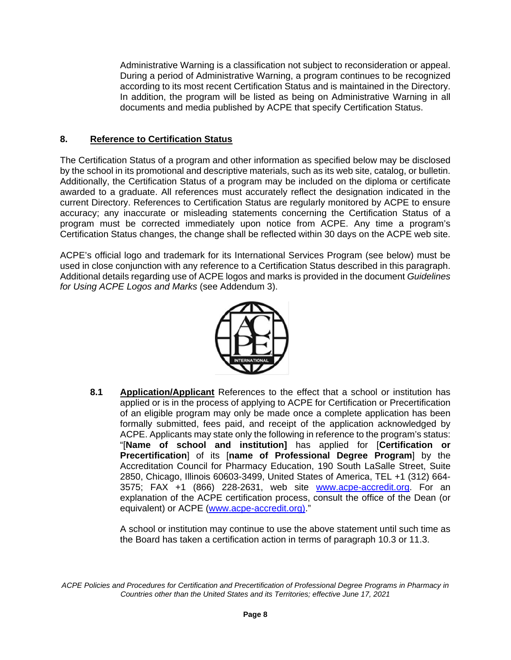Administrative Warning is a classification not subject to reconsideration or appeal. During a period of Administrative Warning, a program continues to be recognized according to its most recent Certification Status and is maintained in the Directory. In addition, the program will be listed as being on Administrative Warning in all documents and media published by ACPE that specify Certification Status.

#### **8. Reference to Certification Status**

The Certification Status of a program and other information as specified below may be disclosed by the school in its promotional and descriptive materials, such as its web site, catalog, or bulletin. Additionally, the Certification Status of a program may be included on the diploma or certificate awarded to a graduate. All references must accurately reflect the designation indicated in the current Directory. References to Certification Status are regularly monitored by ACPE to ensure accuracy; any inaccurate or misleading statements concerning the Certification Status of a program must be corrected immediately upon notice from ACPE. Any time a program's Certification Status changes, the change shall be reflected within 30 days on the ACPE web site.

ACPE's official logo and trademark for its International Services Program (see below) must be used in close conjunction with any reference to a Certification Status described in this paragraph. Additional details regarding use of ACPE logos and marks is provided in the document *Guidelines for Using ACPE Logos and Marks* (see Addendum 3).



**8.1 Application/Applicant** References to the effect that a school or institution has applied or is in the process of applying to ACPE for Certification or Precertification of an eligible program may only be made once a complete application has been formally submitted, fees paid, and receipt of the application acknowledged by ACPE. Applicants may state only the following in reference to the program's status: "[**Name of school and institution]** has applied for [**Certification or Precertification**] of its [**name of Professional Degree Program**] by the Accreditation Council for Pharmacy Education, 190 South LaSalle Street, Suite 2850, Chicago, Illinois 60603-3499, United States of America, TEL +1 (312) 664- 3575; FAX +1 (866) 228-2631, web site [www.acpe-accredit.org.](http://www.acpe-accredit.org/) For an explanation of the ACPE certification process, consult the office of the Dean (or equivalent) or ACPE [\(www.acpe-accredit.org\).](http://www.acpe-accredit.org)/)"

A school or institution may continue to use the above statement until such time as the Board has taken a certification action in terms of paragraph 10.3 or 11.3.

*ACPE Policies and Procedures for Certification and Precertification of Professional Degree Programs in Pharmacy in Countries other than the United States and its Territories; effective June 17, 2021*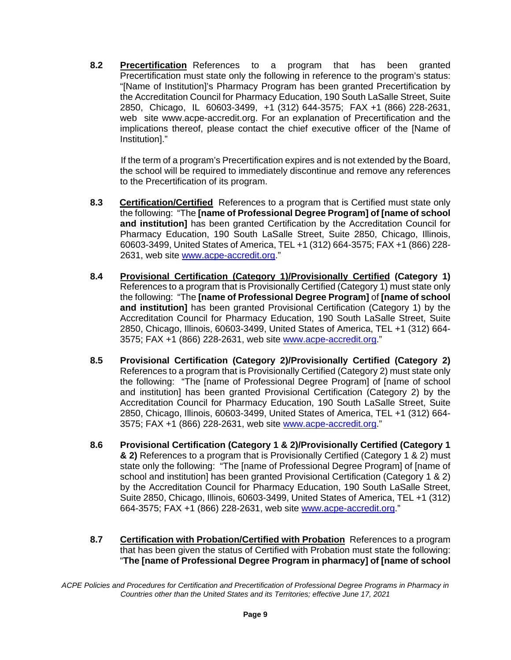**8.2 Precertification** References to a program that has been granted Precertification must state only the following in reference to the program's status: "[Name of Institution]'s Pharmacy Program has been granted Precertification by the Accreditation Council for Pharmacy Education, 190 South LaSalle Street, Suite 2850, Chicago, IL 60603-3499, +1 (312) 644-3575; FAX +1 (866) 228-2631, web site www.acpe-accredit.org. For an explanation of Precertification and the implications thereof, please contact the chief executive officer of the [Name of Institution]."

 If the term of a program's Precertification expires and is not extended by the Board, the school will be required to immediately discontinue and remove any references to the Precertification of its program.

- **8.3 Certification/Certified** References to a program that is Certified must state only the following: "The **[name of Professional Degree Program] of [name of school and institution]** has been granted Certification by the Accreditation Council for Pharmacy Education, 190 South LaSalle Street, Suite 2850, Chicago, Illinois, 60603-3499, United States of America, TEL +1 (312) 664-3575; FAX +1 (866) 228- 2631, web site [www.acpe-accredit.org.](http://www.acpe-accredit.org/)"
- **8.4 Provisional Certification (Category 1)/Provisionally Certified (Category 1)**  References to a program that is Provisionally Certified (Category 1) must state only the following: "The **[name of Professional Degree Program]** of **[name of school and institution]** has been granted Provisional Certification (Category 1) by the Accreditation Council for Pharmacy Education, 190 South LaSalle Street, Suite 2850, Chicago, Illinois, 60603-3499, United States of America, TEL +1 (312) 664- 3575; FAX +1 (866) 228-2631, web site [www.acpe-accredit.org.](http://www.acpe-accredit.org/)"
- **8.5 Provisional Certification (Category 2)/Provisionally Certified (Category 2)** References to a program that is Provisionally Certified (Category 2) must state only the following: "The [name of Professional Degree Program] of [name of school and institution] has been granted Provisional Certification (Category 2) by the Accreditation Council for Pharmacy Education, 190 South LaSalle Street, Suite 2850, Chicago, Illinois, 60603-3499, United States of America, TEL +1 (312) 664- 3575; FAX +1 (866) 228-2631, web site [www.acpe-accredit.org.](http://www.acpe-accredit.org/)"
- **8.6 Provisional Certification (Category 1 & 2)/Provisionally Certified (Category 1 & 2)** References to a program that is Provisionally Certified (Category 1 & 2) must state only the following: "The [name of Professional Degree Program] of [name of school and institution] has been granted Provisional Certification (Category 1 & 2) by the Accreditation Council for Pharmacy Education, 190 South LaSalle Street, Suite 2850, Chicago, Illinois, 60603-3499, United States of America, TEL +1 (312) 664-3575; FAX +1 (866) 228-2631, web site [www.acpe-accredit.org.](http://www.acpe-accredit.org/)"
- **8.7 Certification with Probation/Certified with Probation** References to a program that has been given the status of Certified with Probation must state the following: "**The [name of Professional Degree Program in pharmacy] of [name of school**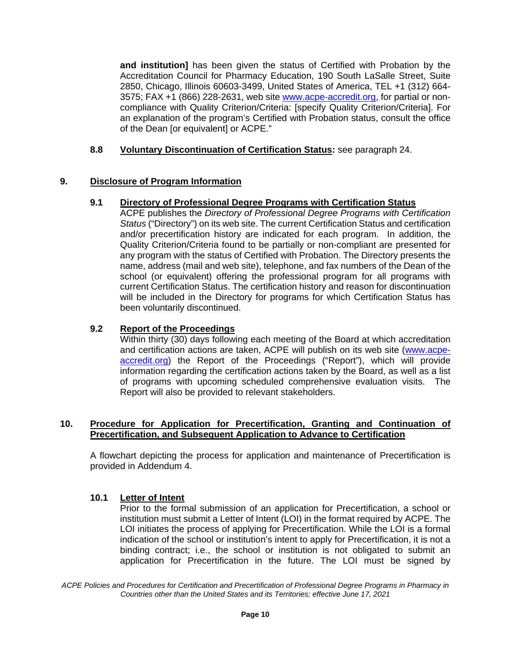**and institution]** has been given the status of Certified with Probation by the Accreditation Council for Pharmacy Education, 190 South LaSalle Street, Suite 2850, Chicago, Illinois 60603-3499, United States of America, TEL +1 (312) 664 3575: FAX +1 (866) 228-2631, web site [www.acpe-accredit.org,](http://www.acpe-accredit.org/) for partial or noncompliance with Quality Criterion/Criteria: [specify Quality Criterion/Criteria]. For an explanation of the program's Certified with Probation status, consult the office of the Dean [or equivalent] or ACPE."

### **8.8 Voluntary Discontinuation of Certification Status:** see paragraph 24.

# **9. Disclosure of Program Information**

# **9.1 Directory of Professional Degree Programs with Certification Status**

ACPE publishes the *Directory of Professional Degree Programs with Certification Status* ("Directory") on its web site. The current Certification Status and certification and/or precertification history are indicated for each program. In addition, the Quality Criterion/Criteria found to be partially or non-compliant are presented for any program with the status of Certified with Probation. The Directory presents the name, address (mail and web site), telephone, and fax numbers of the Dean of the school (or equivalent) offering the professional program for all programs with current Certification Status. The certification history and reason for discontinuation will be included in the Directory for programs for which Certification Status has been voluntarily discontinued.

#### **9.2 Report of the Proceedings**

Within thirty (30) days following each meeting of the Board at which accreditation and certification actions are taken, ACPE will publish on its web site [\(www.acpe](http://www.acpe-accredit.org/)[accredit.org\)](http://www.acpe-accredit.org/) the Report of the Proceedings ("Report"), which will provide information regarding the certification actions taken by the Board, as well as a list of programs with upcoming scheduled comprehensive evaluation visits. The Report will also be provided to relevant stakeholders.

#### **10. Procedure for Application for Precertification, Granting and Continuation of Precertification, and Subsequent Application to Advance to Certification**

A flowchart depicting the process for application and maintenance of Precertification is provided in Addendum 4.

#### **10.1 Letter of Intent**

Prior to the formal submission of an application for Precertification, a school or institution must submit a Letter of Intent (LOI) in the format required by ACPE. The LOI initiates the process of applying for Precertification. While the LOI is a formal indication of the school or institution's intent to apply for Precertification, it is not a binding contract; i.e., the school or institution is not obligated to submit an application for Precertification in the future. The LOI must be signed by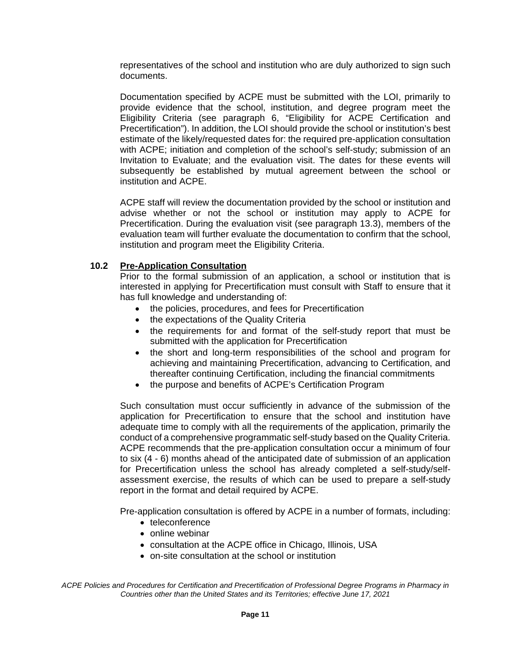representatives of the school and institution who are duly authorized to sign such documents.

Documentation specified by ACPE must be submitted with the LOI, primarily to provide evidence that the school, institution, and degree program meet the Eligibility Criteria (see paragraph 6, "Eligibility for ACPE Certification and Precertification"). In addition, the LOI should provide the school or institution's best estimate of the likely/requested dates for: the required pre-application consultation with ACPE; initiation and completion of the school's self-study; submission of an Invitation to Evaluate; and the evaluation visit. The dates for these events will subsequently be established by mutual agreement between the school or institution and ACPE.

ACPE staff will review the documentation provided by the school or institution and advise whether or not the school or institution may apply to ACPE for Precertification. During the evaluation visit (see paragraph 13.3), members of the evaluation team will further evaluate the documentation to confirm that the school, institution and program meet the Eligibility Criteria.

#### **10.2 Pre-Application Consultation**

Prior to the formal submission of an application, a school or institution that is interested in applying for Precertification must consult with Staff to ensure that it has full knowledge and understanding of:

- the policies, procedures, and fees for Precertification
- the expectations of the Quality Criteria
- the requirements for and format of the self-study report that must be submitted with the application for Precertification
- the short and long-term responsibilities of the school and program for achieving and maintaining Precertification, advancing to Certification, and thereafter continuing Certification, including the financial commitments
- the purpose and benefits of ACPE's Certification Program

Such consultation must occur sufficiently in advance of the submission of the application for Precertification to ensure that the school and institution have adequate time to comply with all the requirements of the application, primarily the conduct of a comprehensive programmatic self-study based on the Quality Criteria. ACPE recommends that the pre-application consultation occur a minimum of four to six (4 - 6) months ahead of the anticipated date of submission of an application for Precertification unless the school has already completed a self-study/selfassessment exercise, the results of which can be used to prepare a self-study report in the format and detail required by ACPE.

Pre-application consultation is offered by ACPE in a number of formats, including:

- teleconference
- online webinar
- consultation at the ACPE office in Chicago, Illinois, USA
- on-site consultation at the school or institution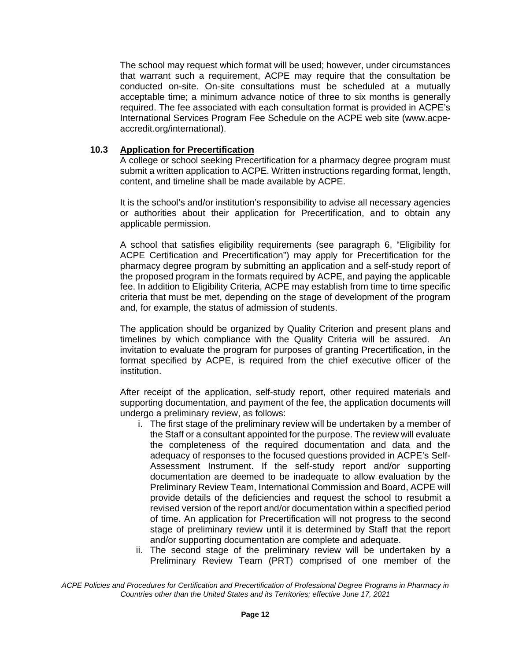The school may request which format will be used; however, under circumstances that warrant such a requirement, ACPE may require that the consultation be conducted on-site. On-site consultations must be scheduled at a mutually acceptable time; a minimum advance notice of three to six months is generally required. The fee associated with each consultation format is provided in ACPE's International Services Program Fee Schedule on the ACPE web site (www.acpeaccredit.org/international).

#### **10.3 Application for Precertification**

A college or school seeking Precertification for a pharmacy degree program must submit a written application to ACPE. Written instructions regarding format, length, content, and timeline shall be made available by ACPE.

It is the school's and/or institution's responsibility to advise all necessary agencies or authorities about their application for Precertification, and to obtain any applicable permission.

A school that satisfies eligibility requirements (see paragraph 6, "Eligibility for ACPE Certification and Precertification") may apply for Precertification for the pharmacy degree program by submitting an application and a self-study report of the proposed program in the formats required by ACPE, and paying the applicable fee. In addition to Eligibility Criteria, ACPE may establish from time to time specific criteria that must be met, depending on the stage of development of the program and, for example, the status of admission of students.

The application should be organized by Quality Criterion and present plans and timelines by which compliance with the Quality Criteria will be assured. An invitation to evaluate the program for purposes of granting Precertification, in the format specified by ACPE, is required from the chief executive officer of the institution.

After receipt of the application, self-study report, other required materials and supporting documentation, and payment of the fee, the application documents will undergo a preliminary review, as follows:

- i. The first stage of the preliminary review will be undertaken by a member of the Staff or a consultant appointed for the purpose. The review will evaluate the completeness of the required documentation and data and the adequacy of responses to the focused questions provided in ACPE's Self-Assessment Instrument. If the self-study report and/or supporting documentation are deemed to be inadequate to allow evaluation by the Preliminary Review Team, International Commission and Board, ACPE will provide details of the deficiencies and request the school to resubmit a revised version of the report and/or documentation within a specified period of time. An application for Precertification will not progress to the second stage of preliminary review until it is determined by Staff that the report and/or supporting documentation are complete and adequate.
- ii. The second stage of the preliminary review will be undertaken by a Preliminary Review Team (PRT) comprised of one member of the

*ACPE Policies and Procedures for Certification and Precertification of Professional Degree Programs in Pharmacy in Countries other than the United States and its Territories; effective June 17, 2021*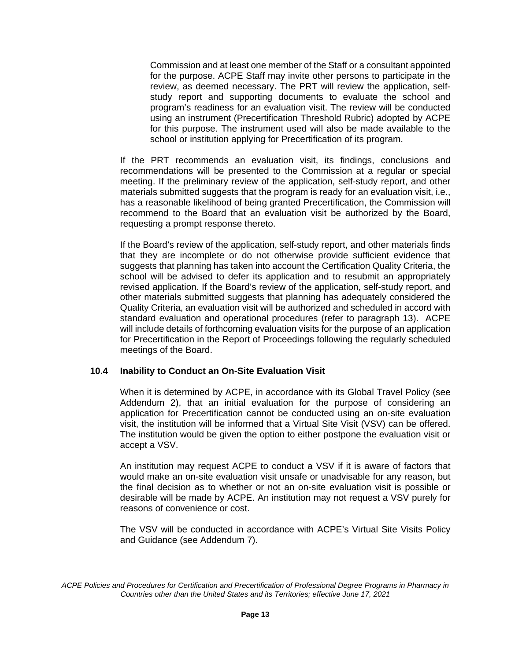Commission and at least one member of the Staff or a consultant appointed for the purpose. ACPE Staff may invite other persons to participate in the review, as deemed necessary. The PRT will review the application, selfstudy report and supporting documents to evaluate the school and program's readiness for an evaluation visit. The review will be conducted using an instrument (Precertification Threshold Rubric) adopted by ACPE for this purpose. The instrument used will also be made available to the school or institution applying for Precertification of its program.

If the PRT recommends an evaluation visit, its findings, conclusions and recommendations will be presented to the Commission at a regular or special meeting. If the preliminary review of the application, self-study report, and other materials submitted suggests that the program is ready for an evaluation visit, i.e., has a reasonable likelihood of being granted Precertification, the Commission will recommend to the Board that an evaluation visit be authorized by the Board, requesting a prompt response thereto.

If the Board's review of the application, self-study report, and other materials finds that they are incomplete or do not otherwise provide sufficient evidence that suggests that planning has taken into account the Certification Quality Criteria, the school will be advised to defer its application and to resubmit an appropriately revised application. If the Board's review of the application, self-study report, and other materials submitted suggests that planning has adequately considered the Quality Criteria, an evaluation visit will be authorized and scheduled in accord with standard evaluation and operational procedures (refer to paragraph 13). ACPE will include details of forthcoming evaluation visits for the purpose of an application for Precertification in the Report of Proceedings following the regularly scheduled meetings of the Board.

#### **10.4 Inability to Conduct an On-Site Evaluation Visit**

When it is determined by ACPE, in accordance with its Global Travel Policy (see Addendum 2), that an initial evaluation for the purpose of considering an application for Precertification cannot be conducted using an on-site evaluation visit, the institution will be informed that a Virtual Site Visit (VSV) can be offered. The institution would be given the option to either postpone the evaluation visit or accept a VSV.

An institution may request ACPE to conduct a VSV if it is aware of factors that would make an on-site evaluation visit unsafe or unadvisable for any reason, but the final decision as to whether or not an on-site evaluation visit is possible or desirable will be made by ACPE. An institution may not request a VSV purely for reasons of convenience or cost.

The VSV will be conducted in accordance with ACPE's Virtual Site Visits Policy and Guidance (see Addendum 7).

*ACPE Policies and Procedures for Certification and Precertification of Professional Degree Programs in Pharmacy in Countries other than the United States and its Territories; effective June 17, 2021*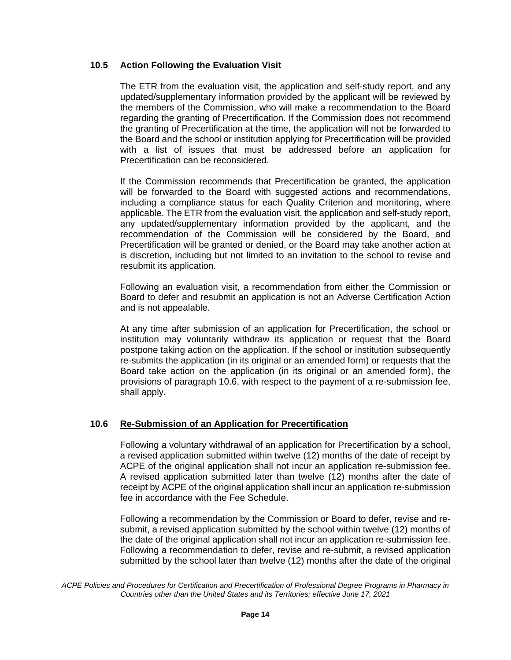#### **10.5 Action Following the Evaluation Visit**

The ETR from the evaluation visit, the application and self-study report, and any updated/supplementary information provided by the applicant will be reviewed by the members of the Commission, who will make a recommendation to the Board regarding the granting of Precertification. If the Commission does not recommend the granting of Precertification at the time, the application will not be forwarded to the Board and the school or institution applying for Precertification will be provided with a list of issues that must be addressed before an application for Precertification can be reconsidered.

If the Commission recommends that Precertification be granted, the application will be forwarded to the Board with suggested actions and recommendations, including a compliance status for each Quality Criterion and monitoring, where applicable. The ETR from the evaluation visit, the application and self-study report, any updated/supplementary information provided by the applicant, and the recommendation of the Commission will be considered by the Board, and Precertification will be granted or denied, or the Board may take another action at is discretion, including but not limited to an invitation to the school to revise and resubmit its application.

Following an evaluation visit, a recommendation from either the Commission or Board to defer and resubmit an application is not an Adverse Certification Action and is not appealable.

At any time after submission of an application for Precertification, the school or institution may voluntarily withdraw its application or request that the Board postpone taking action on the application. If the school or institution subsequently re-submits the application (in its original or an amended form) or requests that the Board take action on the application (in its original or an amended form), the provisions of paragraph 10.6, with respect to the payment of a re-submission fee, shall apply.

#### **10.6 Re-Submission of an Application for Precertification**

Following a voluntary withdrawal of an application for Precertification by a school, a revised application submitted within twelve (12) months of the date of receipt by ACPE of the original application shall not incur an application re-submission fee. A revised application submitted later than twelve (12) months after the date of receipt by ACPE of the original application shall incur an application re-submission fee in accordance with the Fee Schedule.

Following a recommendation by the Commission or Board to defer, revise and resubmit, a revised application submitted by the school within twelve (12) months of the date of the original application shall not incur an application re-submission fee. Following a recommendation to defer, revise and re-submit, a revised application submitted by the school later than twelve (12) months after the date of the original

*ACPE Policies and Procedures for Certification and Precertification of Professional Degree Programs in Pharmacy in Countries other than the United States and its Territories; effective June 17, 2021*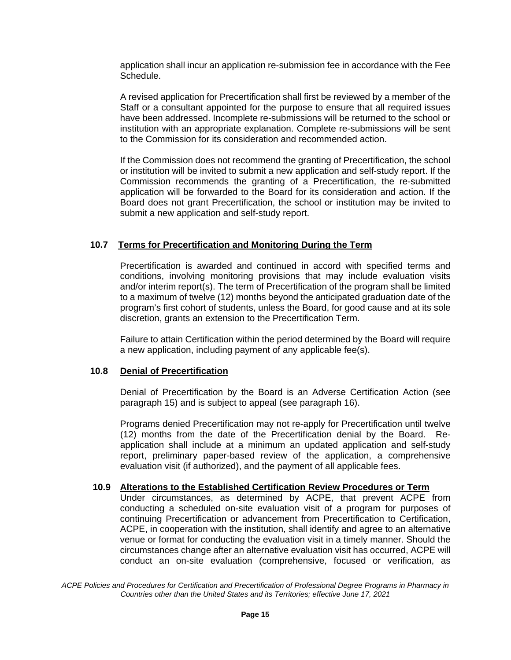application shall incur an application re-submission fee in accordance with the Fee Schedule.

A revised application for Precertification shall first be reviewed by a member of the Staff or a consultant appointed for the purpose to ensure that all required issues have been addressed. Incomplete re-submissions will be returned to the school or institution with an appropriate explanation. Complete re-submissions will be sent to the Commission for its consideration and recommended action.

If the Commission does not recommend the granting of Precertification, the school or institution will be invited to submit a new application and self-study report. If the Commission recommends the granting of a Precertification, the re-submitted application will be forwarded to the Board for its consideration and action. If the Board does not grant Precertification, the school or institution may be invited to submit a new application and self-study report.

#### **10.7 Terms for Precertification and Monitoring During the Term**

Precertification is awarded and continued in accord with specified terms and conditions, involving monitoring provisions that may include evaluation visits and/or interim report(s). The term of Precertification of the program shall be limited to a maximum of twelve (12) months beyond the anticipated graduation date of the program's first cohort of students, unless the Board, for good cause and at its sole discretion, grants an extension to the Precertification Term.

Failure to attain Certification within the period determined by the Board will require a new application, including payment of any applicable fee(s).

#### **10.8 Denial of Precertification**

Denial of Precertification by the Board is an Adverse Certification Action (see paragraph 15) and is subject to appeal (see paragraph 16).

Programs denied Precertification may not re-apply for Precertification until twelve (12) months from the date of the Precertification denial by the Board. Reapplication shall include at a minimum an updated application and self-study report, preliminary paper-based review of the application, a comprehensive evaluation visit (if authorized), and the payment of all applicable fees.

#### **10.9 Alterations to the Established Certification Review Procedures or Term**

Under circumstances, as determined by ACPE, that prevent ACPE from conducting a scheduled on-site evaluation visit of a program for purposes of continuing Precertification or advancement from Precertification to Certification, ACPE, in cooperation with the institution, shall identify and agree to an alternative venue or format for conducting the evaluation visit in a timely manner. Should the circumstances change after an alternative evaluation visit has occurred, ACPE will conduct an on-site evaluation (comprehensive, focused or verification, as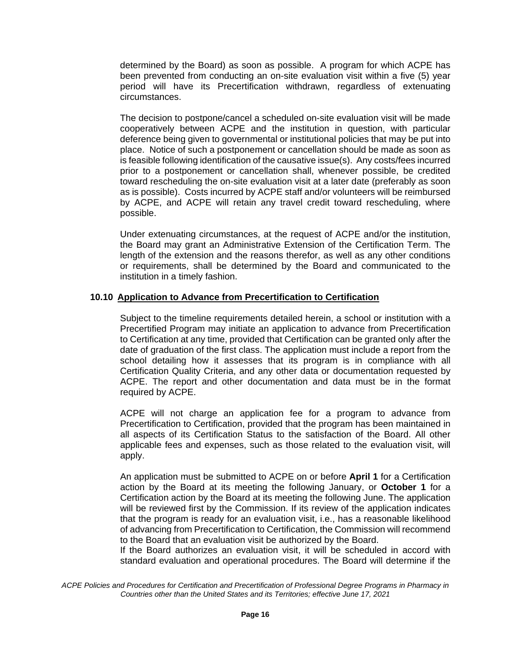determined by the Board) as soon as possible. A program for which ACPE has been prevented from conducting an on-site evaluation visit within a five (5) year period will have its Precertification withdrawn, regardless of extenuating circumstances.

The decision to postpone/cancel a scheduled on-site evaluation visit will be made cooperatively between ACPE and the institution in question, with particular deference being given to governmental or institutional policies that may be put into place. Notice of such a postponement or cancellation should be made as soon as is feasible following identification of the causative issue(s). Any costs/fees incurred prior to a postponement or cancellation shall, whenever possible, be credited toward rescheduling the on-site evaluation visit at a later date (preferably as soon as is possible). Costs incurred by ACPE staff and/or volunteers will be reimbursed by ACPE, and ACPE will retain any travel credit toward rescheduling, where possible.

Under extenuating circumstances, at the request of ACPE and/or the institution, the Board may grant an Administrative Extension of the Certification Term. The length of the extension and the reasons therefor, as well as any other conditions or requirements, shall be determined by the Board and communicated to the institution in a timely fashion.

#### **10.10 Application to Advance from Precertification to Certification**

Subject to the timeline requirements detailed herein, a school or institution with a Precertified Program may initiate an application to advance from Precertification to Certification at any time, provided that Certification can be granted only after the date of graduation of the first class. The application must include a report from the school detailing how it assesses that its program is in compliance with all Certification Quality Criteria, and any other data or documentation requested by ACPE. The report and other documentation and data must be in the format required by ACPE.

ACPE will not charge an application fee for a program to advance from Precertification to Certification, provided that the program has been maintained in all aspects of its Certification Status to the satisfaction of the Board. All other applicable fees and expenses, such as those related to the evaluation visit, will apply.

An application must be submitted to ACPE on or before **April 1** for a Certification action by the Board at its meeting the following January, or **October 1** for a Certification action by the Board at its meeting the following June. The application will be reviewed first by the Commission. If its review of the application indicates that the program is ready for an evaluation visit, i.e., has a reasonable likelihood of advancing from Precertification to Certification, the Commission will recommend to the Board that an evaluation visit be authorized by the Board.

If the Board authorizes an evaluation visit, it will be scheduled in accord with standard evaluation and operational procedures. The Board will determine if the

*ACPE Policies and Procedures for Certification and Precertification of Professional Degree Programs in Pharmacy in Countries other than the United States and its Territories; effective June 17, 2021*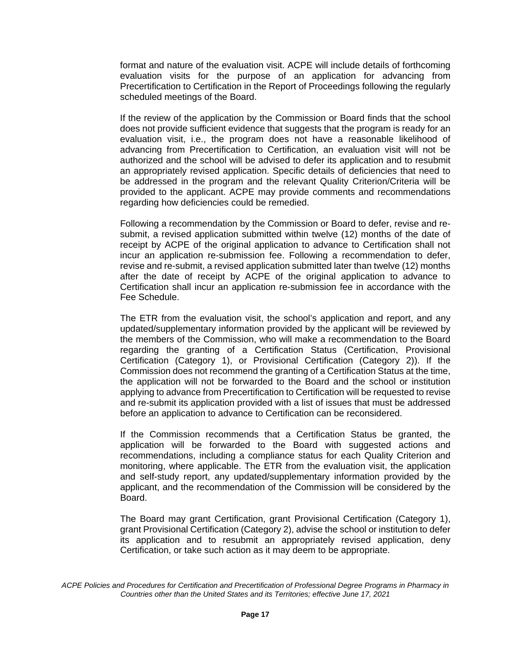format and nature of the evaluation visit. ACPE will include details of forthcoming evaluation visits for the purpose of an application for advancing from Precertification to Certification in the Report of Proceedings following the regularly scheduled meetings of the Board.

If the review of the application by the Commission or Board finds that the school does not provide sufficient evidence that suggests that the program is ready for an evaluation visit, i.e., the program does not have a reasonable likelihood of advancing from Precertification to Certification, an evaluation visit will not be authorized and the school will be advised to defer its application and to resubmit an appropriately revised application. Specific details of deficiencies that need to be addressed in the program and the relevant Quality Criterion/Criteria will be provided to the applicant. ACPE may provide comments and recommendations regarding how deficiencies could be remedied.

Following a recommendation by the Commission or Board to defer, revise and resubmit, a revised application submitted within twelve (12) months of the date of receipt by ACPE of the original application to advance to Certification shall not incur an application re-submission fee. Following a recommendation to defer, revise and re-submit, a revised application submitted later than twelve (12) months after the date of receipt by ACPE of the original application to advance to Certification shall incur an application re-submission fee in accordance with the Fee Schedule.

The ETR from the evaluation visit, the school's application and report, and any updated/supplementary information provided by the applicant will be reviewed by the members of the Commission, who will make a recommendation to the Board regarding the granting of a Certification Status (Certification, Provisional Certification (Category 1), or Provisional Certification (Category 2)). If the Commission does not recommend the granting of a Certification Status at the time, the application will not be forwarded to the Board and the school or institution applying to advance from Precertification to Certification will be requested to revise and re-submit its application provided with a list of issues that must be addressed before an application to advance to Certification can be reconsidered.

If the Commission recommends that a Certification Status be granted, the application will be forwarded to the Board with suggested actions and recommendations, including a compliance status for each Quality Criterion and monitoring, where applicable. The ETR from the evaluation visit, the application and self-study report, any updated/supplementary information provided by the applicant, and the recommendation of the Commission will be considered by the Board.

The Board may grant Certification, grant Provisional Certification (Category 1), grant Provisional Certification (Category 2), advise the school or institution to defer its application and to resubmit an appropriately revised application, deny Certification, or take such action as it may deem to be appropriate.

*ACPE Policies and Procedures for Certification and Precertification of Professional Degree Programs in Pharmacy in Countries other than the United States and its Territories; effective June 17, 2021*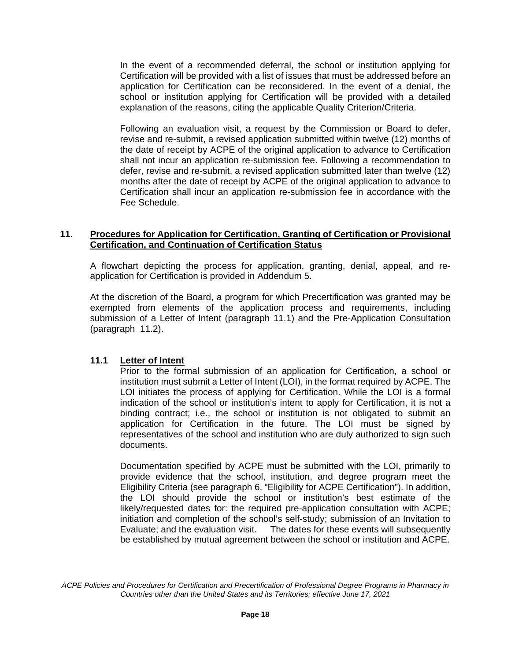In the event of a recommended deferral, the school or institution applying for Certification will be provided with a list of issues that must be addressed before an application for Certification can be reconsidered. In the event of a denial, the school or institution applying for Certification will be provided with a detailed explanation of the reasons, citing the applicable Quality Criterion/Criteria.

Following an evaluation visit, a request by the Commission or Board to defer, revise and re-submit, a revised application submitted within twelve (12) months of the date of receipt by ACPE of the original application to advance to Certification shall not incur an application re-submission fee. Following a recommendation to defer, revise and re-submit, a revised application submitted later than twelve (12) months after the date of receipt by ACPE of the original application to advance to Certification shall incur an application re-submission fee in accordance with the Fee Schedule.

#### **11. Procedures for Application for Certification, Granting of Certification or Provisional Certification, and Continuation of Certification Status**

A flowchart depicting the process for application, granting, denial, appeal, and reapplication for Certification is provided in Addendum 5.

At the discretion of the Board, a program for which Precertification was granted may be exempted from elements of the application process and requirements, including submission of a Letter of Intent (paragraph 11.1) and the Pre-Application Consultation (paragraph 11.2).

#### **11.1 Letter of Intent**

Prior to the formal submission of an application for Certification, a school or institution must submit a Letter of Intent (LOI), in the format required by ACPE. The LOI initiates the process of applying for Certification. While the LOI is a formal indication of the school or institution's intent to apply for Certification, it is not a binding contract; i.e., the school or institution is not obligated to submit an application for Certification in the future. The LOI must be signed by representatives of the school and institution who are duly authorized to sign such documents.

Documentation specified by ACPE must be submitted with the LOI, primarily to provide evidence that the school, institution, and degree program meet the Eligibility Criteria (see paragraph 6, "Eligibility for ACPE Certification"). In addition, the LOI should provide the school or institution's best estimate of the likely/requested dates for: the required pre-application consultation with ACPE; initiation and completion of the school's self-study; submission of an Invitation to Evaluate; and the evaluation visit. The dates for these events will subsequently be established by mutual agreement between the school or institution and ACPE.

*ACPE Policies and Procedures for Certification and Precertification of Professional Degree Programs in Pharmacy in Countries other than the United States and its Territories; effective June 17, 2021*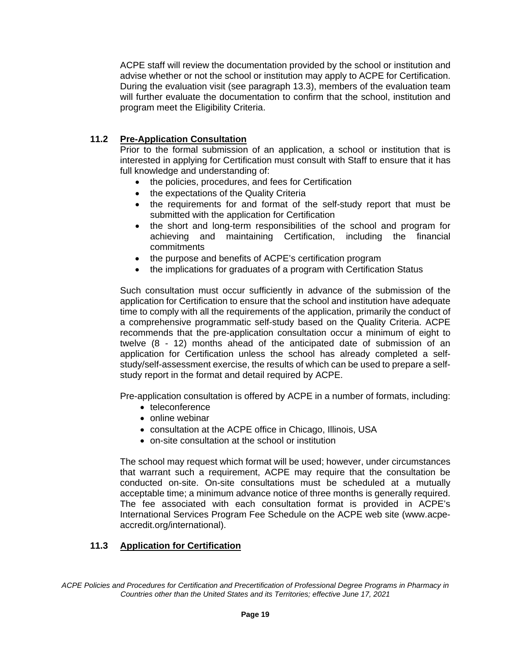ACPE staff will review the documentation provided by the school or institution and advise whether or not the school or institution may apply to ACPE for Certification. During the evaluation visit (see paragraph 13.3), members of the evaluation team will further evaluate the documentation to confirm that the school, institution and program meet the Eligibility Criteria.

# **11.2 Pre-Application Consultation**

Prior to the formal submission of an application, a school or institution that is interested in applying for Certification must consult with Staff to ensure that it has full knowledge and understanding of:

- the policies, procedures, and fees for Certification
- the expectations of the Quality Criteria
- the requirements for and format of the self-study report that must be submitted with the application for Certification
- the short and long-term responsibilities of the school and program for achieving and maintaining Certification, including the financial commitments
- the purpose and benefits of ACPE's certification program
- the implications for graduates of a program with Certification Status

Such consultation must occur sufficiently in advance of the submission of the application for Certification to ensure that the school and institution have adequate time to comply with all the requirements of the application, primarily the conduct of a comprehensive programmatic self-study based on the Quality Criteria. ACPE recommends that the pre-application consultation occur a minimum of eight to twelve (8 - 12) months ahead of the anticipated date of submission of an application for Certification unless the school has already completed a selfstudy/self-assessment exercise, the results of which can be used to prepare a selfstudy report in the format and detail required by ACPE.

Pre-application consultation is offered by ACPE in a number of formats, including:

- teleconference
- online webinar
- consultation at the ACPE office in Chicago, Illinois, USA
- on-site consultation at the school or institution

The school may request which format will be used; however, under circumstances that warrant such a requirement, ACPE may require that the consultation be conducted on-site. On-site consultations must be scheduled at a mutually acceptable time; a minimum advance notice of three months is generally required. The fee associated with each consultation format is provided in ACPE's International Services Program Fee Schedule on the ACPE web site (www.acpeaccredit.org/international).

# **11.3 Application for Certification**

*ACPE Policies and Procedures for Certification and Precertification of Professional Degree Programs in Pharmacy in Countries other than the United States and its Territories; effective June 17, 2021*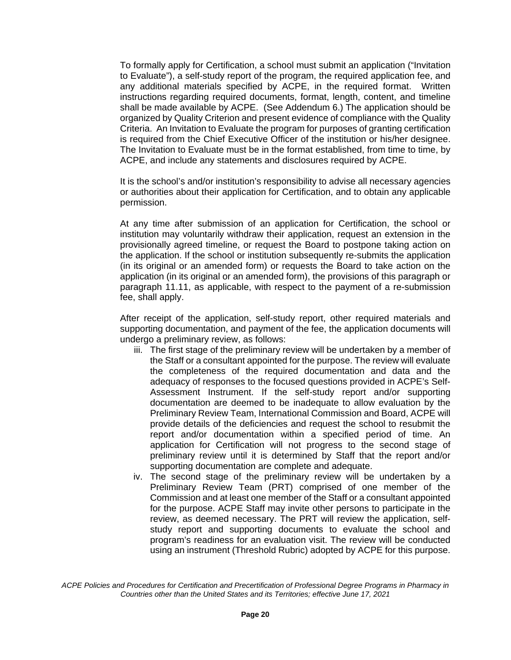To formally apply for Certification, a school must submit an application ("Invitation to Evaluate"), a self-study report of the program, the required application fee, and any additional materials specified by ACPE, in the required format. Written instructions regarding required documents, format, length, content, and timeline shall be made available by ACPE. (See Addendum 6.) The application should be organized by Quality Criterion and present evidence of compliance with the Quality Criteria. An Invitation to Evaluate the program for purposes of granting certification is required from the Chief Executive Officer of the institution or his/her designee. The Invitation to Evaluate must be in the format established, from time to time, by ACPE, and include any statements and disclosures required by ACPE.

It is the school's and/or institution's responsibility to advise all necessary agencies or authorities about their application for Certification, and to obtain any applicable permission.

At any time after submission of an application for Certification, the school or institution may voluntarily withdraw their application, request an extension in the provisionally agreed timeline, or request the Board to postpone taking action on the application. If the school or institution subsequently re-submits the application (in its original or an amended form) or requests the Board to take action on the application (in its original or an amended form), the provisions of this paragraph or paragraph 11.11, as applicable, with respect to the payment of a re-submission fee, shall apply.

After receipt of the application, self-study report, other required materials and supporting documentation, and payment of the fee, the application documents will undergo a preliminary review, as follows:

- iii. The first stage of the preliminary review will be undertaken by a member of the Staff or a consultant appointed for the purpose. The review will evaluate the completeness of the required documentation and data and the adequacy of responses to the focused questions provided in ACPE's Self-Assessment Instrument. If the self-study report and/or supporting documentation are deemed to be inadequate to allow evaluation by the Preliminary Review Team, International Commission and Board, ACPE will provide details of the deficiencies and request the school to resubmit the report and/or documentation within a specified period of time. An application for Certification will not progress to the second stage of preliminary review until it is determined by Staff that the report and/or supporting documentation are complete and adequate.
- iv. The second stage of the preliminary review will be undertaken by a Preliminary Review Team (PRT) comprised of one member of the Commission and at least one member of the Staff or a consultant appointed for the purpose. ACPE Staff may invite other persons to participate in the review, as deemed necessary. The PRT will review the application, selfstudy report and supporting documents to evaluate the school and program's readiness for an evaluation visit. The review will be conducted using an instrument (Threshold Rubric) adopted by ACPE for this purpose.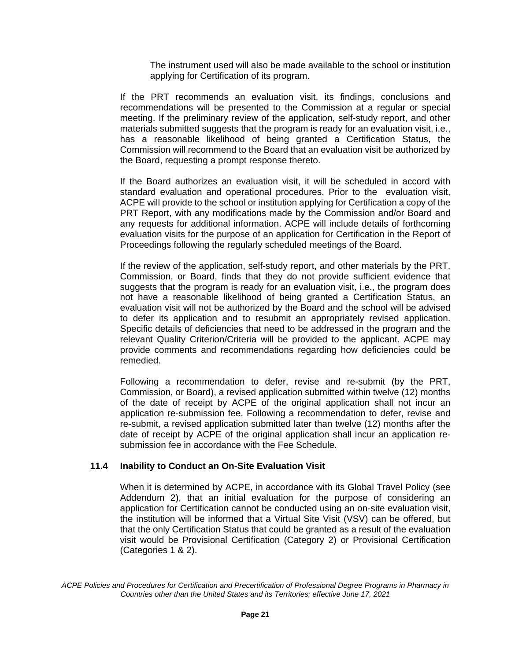The instrument used will also be made available to the school or institution applying for Certification of its program.

If the PRT recommends an evaluation visit, its findings, conclusions and recommendations will be presented to the Commission at a regular or special meeting. If the preliminary review of the application, self-study report, and other materials submitted suggests that the program is ready for an evaluation visit, i.e., has a reasonable likelihood of being granted a Certification Status, the Commission will recommend to the Board that an evaluation visit be authorized by the Board, requesting a prompt response thereto.

If the Board authorizes an evaluation visit, it will be scheduled in accord with standard evaluation and operational procedures. Prior to the evaluation visit, ACPE will provide to the school or institution applying for Certification a copy of the PRT Report, with any modifications made by the Commission and/or Board and any requests for additional information. ACPE will include details of forthcoming evaluation visits for the purpose of an application for Certification in the Report of Proceedings following the regularly scheduled meetings of the Board.

If the review of the application, self-study report, and other materials by the PRT, Commission, or Board, finds that they do not provide sufficient evidence that suggests that the program is ready for an evaluation visit, i.e., the program does not have a reasonable likelihood of being granted a Certification Status, an evaluation visit will not be authorized by the Board and the school will be advised to defer its application and to resubmit an appropriately revised application. Specific details of deficiencies that need to be addressed in the program and the relevant Quality Criterion/Criteria will be provided to the applicant. ACPE may provide comments and recommendations regarding how deficiencies could be remedied.

Following a recommendation to defer, revise and re-submit (by the PRT, Commission, or Board), a revised application submitted within twelve (12) months of the date of receipt by ACPE of the original application shall not incur an application re-submission fee. Following a recommendation to defer, revise and re-submit, a revised application submitted later than twelve (12) months after the date of receipt by ACPE of the original application shall incur an application resubmission fee in accordance with the Fee Schedule.

#### **11.4 Inability to Conduct an On-Site Evaluation Visit**

When it is determined by ACPE, in accordance with its Global Travel Policy (see Addendum 2), that an initial evaluation for the purpose of considering an application for Certification cannot be conducted using an on-site evaluation visit, the institution will be informed that a Virtual Site Visit (VSV) can be offered, but that the only Certification Status that could be granted as a result of the evaluation visit would be Provisional Certification (Category 2) or Provisional Certification (Categories 1 & 2).

*ACPE Policies and Procedures for Certification and Precertification of Professional Degree Programs in Pharmacy in Countries other than the United States and its Territories; effective June 17, 2021*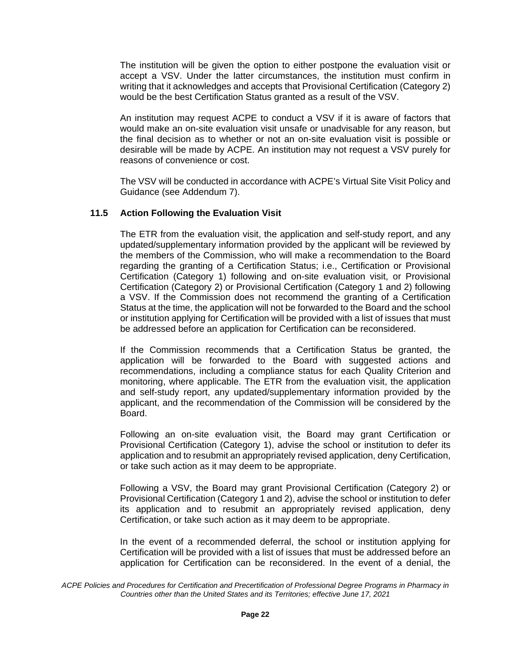The institution will be given the option to either postpone the evaluation visit or accept a VSV. Under the latter circumstances, the institution must confirm in writing that it acknowledges and accepts that Provisional Certification (Category 2) would be the best Certification Status granted as a result of the VSV.

An institution may request ACPE to conduct a VSV if it is aware of factors that would make an on-site evaluation visit unsafe or unadvisable for any reason, but the final decision as to whether or not an on-site evaluation visit is possible or desirable will be made by ACPE. An institution may not request a VSV purely for reasons of convenience or cost.

The VSV will be conducted in accordance with ACPE's Virtual Site Visit Policy and Guidance (see Addendum 7).

#### **11.5 Action Following the Evaluation Visit**

The ETR from the evaluation visit, the application and self-study report, and any updated/supplementary information provided by the applicant will be reviewed by the members of the Commission, who will make a recommendation to the Board regarding the granting of a Certification Status; i.e., Certification or Provisional Certification (Category 1) following and on-site evaluation visit, or Provisional Certification (Category 2) or Provisional Certification (Category 1 and 2) following a VSV. If the Commission does not recommend the granting of a Certification Status at the time, the application will not be forwarded to the Board and the school or institution applying for Certification will be provided with a list of issues that must be addressed before an application for Certification can be reconsidered.

If the Commission recommends that a Certification Status be granted, the application will be forwarded to the Board with suggested actions and recommendations, including a compliance status for each Quality Criterion and monitoring, where applicable. The ETR from the evaluation visit, the application and self-study report, any updated/supplementary information provided by the applicant, and the recommendation of the Commission will be considered by the Board.

Following an on-site evaluation visit, the Board may grant Certification or Provisional Certification (Category 1), advise the school or institution to defer its application and to resubmit an appropriately revised application, deny Certification, or take such action as it may deem to be appropriate.

Following a VSV, the Board may grant Provisional Certification (Category 2) or Provisional Certification (Category 1 and 2), advise the school or institution to defer its application and to resubmit an appropriately revised application, deny Certification, or take such action as it may deem to be appropriate.

In the event of a recommended deferral, the school or institution applying for Certification will be provided with a list of issues that must be addressed before an application for Certification can be reconsidered. In the event of a denial, the

*ACPE Policies and Procedures for Certification and Precertification of Professional Degree Programs in Pharmacy in Countries other than the United States and its Territories; effective June 17, 2021*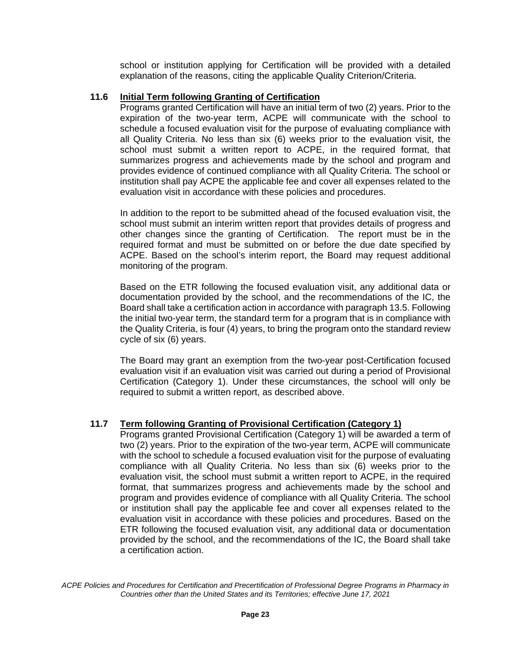school or institution applying for Certification will be provided with a detailed explanation of the reasons, citing the applicable Quality Criterion/Criteria.

#### **11.6 Initial Term following Granting of Certification**

Programs granted Certification will have an initial term of two (2) years. Prior to the expiration of the two-year term, ACPE will communicate with the school to schedule a focused evaluation visit for the purpose of evaluating compliance with all Quality Criteria. No less than six (6) weeks prior to the evaluation visit, the school must submit a written report to ACPE, in the required format, that summarizes progress and achievements made by the school and program and provides evidence of continued compliance with all Quality Criteria. The school or institution shall pay ACPE the applicable fee and cover all expenses related to the evaluation visit in accordance with these policies and procedures.

In addition to the report to be submitted ahead of the focused evaluation visit, the school must submit an interim written report that provides details of progress and other changes since the granting of Certification. The report must be in the required format and must be submitted on or before the due date specified by ACPE. Based on the school's interim report, the Board may request additional monitoring of the program.

Based on the ETR following the focused evaluation visit, any additional data or documentation provided by the school, and the recommendations of the IC, the Board shall take a certification action in accordance with paragraph 13.5. Following the initial two-year term, the standard term for a program that is in compliance with the Quality Criteria, is four (4) years, to bring the program onto the standard review cycle of six (6) years.

The Board may grant an exemption from the two-year post-Certification focused evaluation visit if an evaluation visit was carried out during a period of Provisional Certification (Category 1). Under these circumstances, the school will only be required to submit a written report, as described above.

#### **11.7 Term following Granting of Provisional Certification (Category 1)**

Programs granted Provisional Certification (Category 1) will be awarded a term of two (2) years. Prior to the expiration of the two-year term, ACPE will communicate with the school to schedule a focused evaluation visit for the purpose of evaluating compliance with all Quality Criteria. No less than six (6) weeks prior to the evaluation visit, the school must submit a written report to ACPE, in the required format, that summarizes progress and achievements made by the school and program and provides evidence of compliance with all Quality Criteria. The school or institution shall pay the applicable fee and cover all expenses related to the evaluation visit in accordance with these policies and procedures. Based on the ETR following the focused evaluation visit, any additional data or documentation provided by the school, and the recommendations of the IC, the Board shall take a certification action.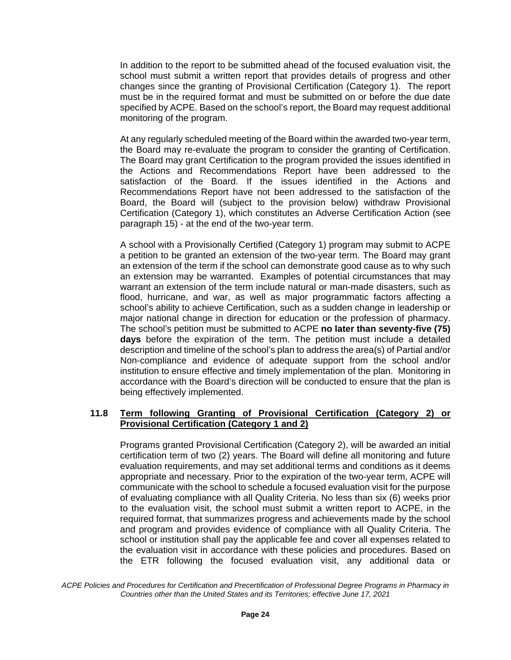In addition to the report to be submitted ahead of the focused evaluation visit, the school must submit a written report that provides details of progress and other changes since the granting of Provisional Certification (Category 1). The report must be in the required format and must be submitted on or before the due date specified by ACPE. Based on the school's report, the Board may request additional monitoring of the program.

At any regularly scheduled meeting of the Board within the awarded two-year term, the Board may re-evaluate the program to consider the granting of Certification. The Board may grant Certification to the program provided the issues identified in the Actions and Recommendations Report have been addressed to the satisfaction of the Board. If the issues identified in the Actions and Recommendations Report have not been addressed to the satisfaction of the Board, the Board will (subject to the provision below) withdraw Provisional Certification (Category 1), which constitutes an Adverse Certification Action (see paragraph 15) - at the end of the two-year term.

A school with a Provisionally Certified (Category 1) program may submit to ACPE a petition to be granted an extension of the two-year term. The Board may grant an extension of the term if the school can demonstrate good cause as to why such an extension may be warranted. Examples of potential circumstances that may warrant an extension of the term include natural or man-made disasters, such as flood, hurricane, and war, as well as major programmatic factors affecting a school's ability to achieve Certification, such as a sudden change in leadership or major national change in direction for education or the profession of pharmacy. The school's petition must be submitted to ACPE **no later than seventy-five (75) days** before the expiration of the term. The petition must include a detailed description and timeline of the school's plan to address the area(s) of Partial and/or Non-compliance and evidence of adequate support from the school and/or institution to ensure effective and timely implementation of the plan. Monitoring in accordance with the Board's direction will be conducted to ensure that the plan is being effectively implemented.

#### **11.8 Term following Granting of Provisional Certification (Category 2) or Provisional Certification (Category 1 and 2)**

Programs granted Provisional Certification (Category 2), will be awarded an initial certification term of two (2) years. The Board will define all monitoring and future evaluation requirements, and may set additional terms and conditions as it deems appropriate and necessary. Prior to the expiration of the two-year term, ACPE will communicate with the school to schedule a focused evaluation visit for the purpose of evaluating compliance with all Quality Criteria. No less than six (6) weeks prior to the evaluation visit, the school must submit a written report to ACPE, in the required format, that summarizes progress and achievements made by the school and program and provides evidence of compliance with all Quality Criteria. The school or institution shall pay the applicable fee and cover all expenses related to the evaluation visit in accordance with these policies and procedures. Based on the ETR following the focused evaluation visit, any additional data or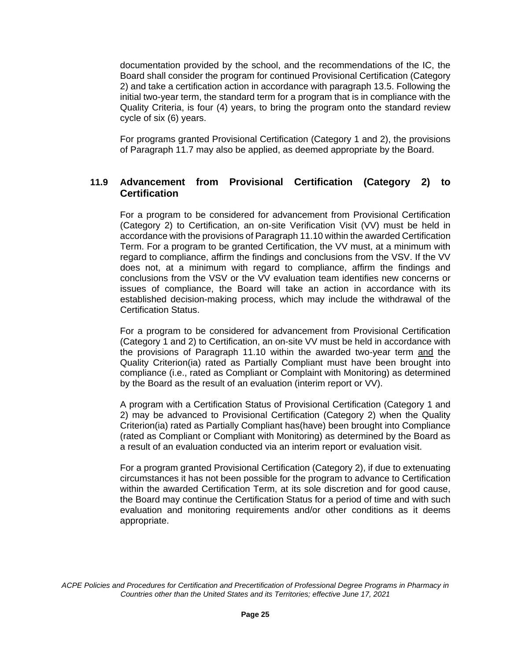documentation provided by the school, and the recommendations of the IC, the Board shall consider the program for continued Provisional Certification (Category 2) and take a certification action in accordance with paragraph 13.5. Following the initial two-year term, the standard term for a program that is in compliance with the Quality Criteria, is four (4) years, to bring the program onto the standard review cycle of six (6) years.

For programs granted Provisional Certification (Category 1 and 2), the provisions of Paragraph 11.7 may also be applied, as deemed appropriate by the Board.

### **11.9 Advancement from Provisional Certification (Category 2) to Certification**

For a program to be considered for advancement from Provisional Certification (Category 2) to Certification, an on-site Verification Visit (VV) must be held in accordance with the provisions of Paragraph 11.10 within the awarded Certification Term. For a program to be granted Certification, the VV must, at a minimum with regard to compliance, affirm the findings and conclusions from the VSV. If the VV does not, at a minimum with regard to compliance, affirm the findings and conclusions from the VSV or the VV evaluation team identifies new concerns or issues of compliance, the Board will take an action in accordance with its established decision-making process, which may include the withdrawal of the Certification Status.

For a program to be considered for advancement from Provisional Certification (Category 1 and 2) to Certification, an on-site VV must be held in accordance with the provisions of Paragraph 11.10 within the awarded two-year term and the Quality Criterion(ia) rated as Partially Compliant must have been brought into compliance (i.e., rated as Compliant or Complaint with Monitoring) as determined by the Board as the result of an evaluation (interim report or VV).

A program with a Certification Status of Provisional Certification (Category 1 and 2) may be advanced to Provisional Certification (Category 2) when the Quality Criterion(ia) rated as Partially Compliant has(have) been brought into Compliance (rated as Compliant or Compliant with Monitoring) as determined by the Board as a result of an evaluation conducted via an interim report or evaluation visit.

For a program granted Provisional Certification (Category 2), if due to extenuating circumstances it has not been possible for the program to advance to Certification within the awarded Certification Term, at its sole discretion and for good cause, the Board may continue the Certification Status for a period of time and with such evaluation and monitoring requirements and/or other conditions as it deems appropriate.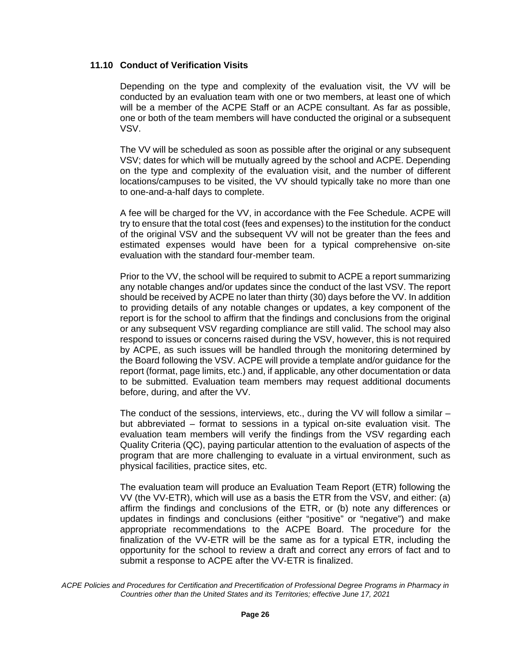#### **11.10 Conduct of Verification Visits**

Depending on the type and complexity of the evaluation visit, the VV will be conducted by an evaluation team with one or two members, at least one of which will be a member of the ACPE Staff or an ACPE consultant. As far as possible, one or both of the team members will have conducted the original or a subsequent VSV.

The VV will be scheduled as soon as possible after the original or any subsequent VSV; dates for which will be mutually agreed by the school and ACPE. Depending on the type and complexity of the evaluation visit, and the number of different locations/campuses to be visited, the VV should typically take no more than one to one-and-a-half days to complete.

A fee will be charged for the VV, in accordance with the Fee Schedule. ACPE will try to ensure that the total cost (fees and expenses) to the institution for the conduct of the original VSV and the subsequent VV will not be greater than the fees and estimated expenses would have been for a typical comprehensive on-site evaluation with the standard four-member team.

Prior to the VV, the school will be required to submit to ACPE a report summarizing any notable changes and/or updates since the conduct of the last VSV. The report should be received by ACPE no later than thirty (30) days before the VV. In addition to providing details of any notable changes or updates, a key component of the report is for the school to affirm that the findings and conclusions from the original or any subsequent VSV regarding compliance are still valid. The school may also respond to issues or concerns raised during the VSV, however, this is not required by ACPE, as such issues will be handled through the monitoring determined by the Board following the VSV. ACPE will provide a template and/or guidance for the report (format, page limits, etc.) and, if applicable, any other documentation or data to be submitted. Evaluation team members may request additional documents before, during, and after the VV.

The conduct of the sessions, interviews, etc., during the VV will follow a similar but abbreviated – format to sessions in a typical on-site evaluation visit. The evaluation team members will verify the findings from the VSV regarding each Quality Criteria (QC), paying particular attention to the evaluation of aspects of the program that are more challenging to evaluate in a virtual environment, such as physical facilities, practice sites, etc.

The evaluation team will produce an Evaluation Team Report (ETR) following the VV (the VV-ETR), which will use as a basis the ETR from the VSV, and either: (a) affirm the findings and conclusions of the ETR, or (b) note any differences or updates in findings and conclusions (either "positive" or "negative") and make appropriate recommendations to the ACPE Board. The procedure for the finalization of the VV-ETR will be the same as for a typical ETR, including the opportunity for the school to review a draft and correct any errors of fact and to submit a response to ACPE after the VV-ETR is finalized.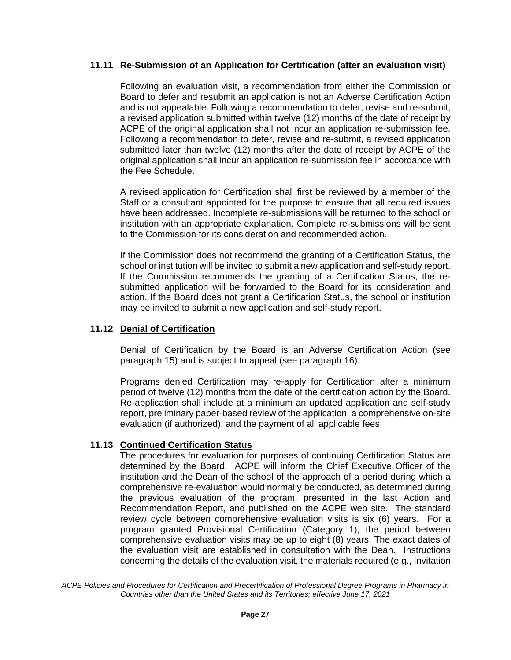## **11.11 Re-Submission of an Application for Certification (after an evaluation visit)**

Following an evaluation visit, a recommendation from either the Commission or Board to defer and resubmit an application is not an Adverse Certification Action and is not appealable. Following a recommendation to defer, revise and re-submit, a revised application submitted within twelve (12) months of the date of receipt by ACPE of the original application shall not incur an application re-submission fee. Following a recommendation to defer, revise and re-submit, a revised application submitted later than twelve (12) months after the date of receipt by ACPE of the original application shall incur an application re-submission fee in accordance with the Fee Schedule.

A revised application for Certification shall first be reviewed by a member of the Staff or a consultant appointed for the purpose to ensure that all required issues have been addressed. Incomplete re-submissions will be returned to the school or institution with an appropriate explanation. Complete re-submissions will be sent to the Commission for its consideration and recommended action.

If the Commission does not recommend the granting of a Certification Status, the school or institution will be invited to submit a new application and self-study report. If the Commission recommends the granting of a Certification Status, the resubmitted application will be forwarded to the Board for its consideration and action. If the Board does not grant a Certification Status, the school or institution may be invited to submit a new application and self-study report.

## **11.12 Denial of Certification**

Denial of Certification by the Board is an Adverse Certification Action (see paragraph 15) and is subject to appeal (see paragraph 16).

Programs denied Certification may re-apply for Certification after a minimum period of twelve (12) months from the date of the certification action by the Board. Re-application shall include at a minimum an updated application and self-study report, preliminary paper-based review of the application, a comprehensive on-site evaluation (if authorized), and the payment of all applicable fees.

#### **11.13 Continued Certification Status**

The procedures for evaluation for purposes of continuing Certification Status are determined by the Board. ACPE will inform the Chief Executive Officer of the institution and the Dean of the school of the approach of a period during which a comprehensive re-evaluation would normally be conducted, as determined during the previous evaluation of the program, presented in the last Action and Recommendation Report, and published on the ACPE web site. The standard review cycle between comprehensive evaluation visits is six (6) years. For a program granted Provisional Certification (Category 1), the period between comprehensive evaluation visits may be up to eight (8) years. The exact dates of the evaluation visit are established in consultation with the Dean. Instructions concerning the details of the evaluation visit, the materials required (e.g., Invitation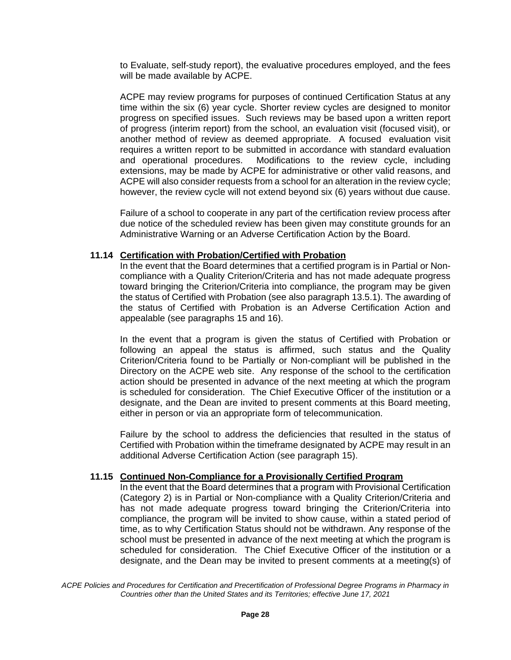to Evaluate, self-study report), the evaluative procedures employed, and the fees will be made available by ACPE.

ACPE may review programs for purposes of continued Certification Status at any time within the six (6) year cycle. Shorter review cycles are designed to monitor progress on specified issues. Such reviews may be based upon a written report of progress (interim report) from the school, an evaluation visit (focused visit), or another method of review as deemed appropriate. A focused evaluation visit requires a written report to be submitted in accordance with standard evaluation and operational procedures. Modifications to the review cycle, including extensions, may be made by ACPE for administrative or other valid reasons, and ACPE will also consider requests from a school for an alteration in the review cycle; however, the review cycle will not extend beyond six (6) years without due cause.

Failure of a school to cooperate in any part of the certification review process after due notice of the scheduled review has been given may constitute grounds for an Administrative Warning or an Adverse Certification Action by the Board.

#### **11.14 Certification with Probation/Certified with Probation**

In the event that the Board determines that a certified program is in Partial or Noncompliance with a Quality Criterion/Criteria and has not made adequate progress toward bringing the Criterion/Criteria into compliance, the program may be given the status of Certified with Probation (see also paragraph 13.5.1). The awarding of the status of Certified with Probation is an Adverse Certification Action and appealable (see paragraphs 15 and 16).

In the event that a program is given the status of Certified with Probation or following an appeal the status is affirmed, such status and the Quality Criterion/Criteria found to be Partially or Non-compliant will be published in the Directory on the ACPE web site. Any response of the school to the certification action should be presented in advance of the next meeting at which the program is scheduled for consideration. The Chief Executive Officer of the institution or a designate, and the Dean are invited to present comments at this Board meeting, either in person or via an appropriate form of telecommunication.

Failure by the school to address the deficiencies that resulted in the status of Certified with Probation within the timeframe designated by ACPE may result in an additional Adverse Certification Action (see paragraph 15).

#### **11.15 Continued Non-Compliance for a Provisionally Certified Program**

In the event that the Board determines that a program with Provisional Certification (Category 2) is in Partial or Non-compliance with a Quality Criterion/Criteria and has not made adequate progress toward bringing the Criterion/Criteria into compliance, the program will be invited to show cause, within a stated period of time, as to why Certification Status should not be withdrawn. Any response of the school must be presented in advance of the next meeting at which the program is scheduled for consideration. The Chief Executive Officer of the institution or a designate, and the Dean may be invited to present comments at a meeting(s) of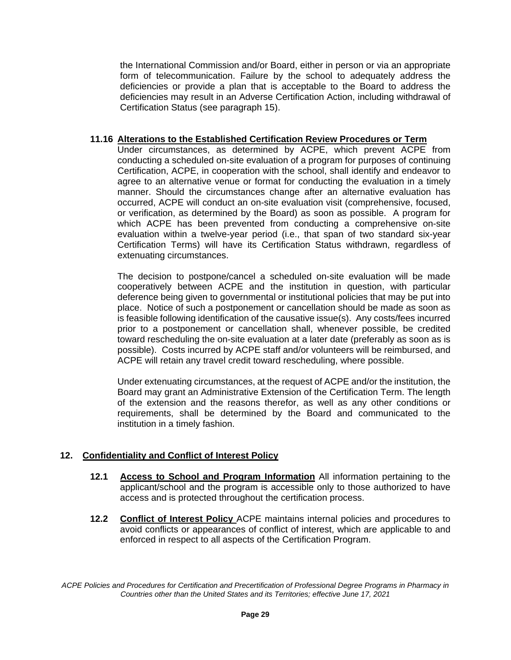the International Commission and/or Board, either in person or via an appropriate form of telecommunication. Failure by the school to adequately address the deficiencies or provide a plan that is acceptable to the Board to address the deficiencies may result in an Adverse Certification Action, including withdrawal of Certification Status (see paragraph 15).

#### **11.16 Alterations to the Established Certification Review Procedures or Term**

Under circumstances, as determined by ACPE, which prevent ACPE from conducting a scheduled on-site evaluation of a program for purposes of continuing Certification, ACPE, in cooperation with the school, shall identify and endeavor to agree to an alternative venue or format for conducting the evaluation in a timely manner. Should the circumstances change after an alternative evaluation has occurred, ACPE will conduct an on-site evaluation visit (comprehensive, focused, or verification, as determined by the Board) as soon as possible. A program for which ACPE has been prevented from conducting a comprehensive on-site evaluation within a twelve-year period (i.e., that span of two standard six-year Certification Terms) will have its Certification Status withdrawn, regardless of extenuating circumstances.

The decision to postpone/cancel a scheduled on-site evaluation will be made cooperatively between ACPE and the institution in question, with particular deference being given to governmental or institutional policies that may be put into place. Notice of such a postponement or cancellation should be made as soon as is feasible following identification of the causative issue(s). Any costs/fees incurred prior to a postponement or cancellation shall, whenever possible, be credited toward rescheduling the on-site evaluation at a later date (preferably as soon as is possible). Costs incurred by ACPE staff and/or volunteers will be reimbursed, and ACPE will retain any travel credit toward rescheduling, where possible.

Under extenuating circumstances, at the request of ACPE and/or the institution, the Board may grant an Administrative Extension of the Certification Term. The length of the extension and the reasons therefor, as well as any other conditions or requirements, shall be determined by the Board and communicated to the institution in a timely fashion.

#### **12. Confidentiality and Conflict of Interest Policy**

- **12.1 Access to School and Program Information** All information pertaining to the applicant/school and the program is accessible only to those authorized to have access and is protected throughout the certification process.
- **12.2 Conflict of Interest Policy** ACPE maintains internal policies and procedures to avoid conflicts or appearances of conflict of interest, which are applicable to and enforced in respect to all aspects of the Certification Program.

*ACPE Policies and Procedures for Certification and Precertification of Professional Degree Programs in Pharmacy in Countries other than the United States and its Territories; effective June 17, 2021*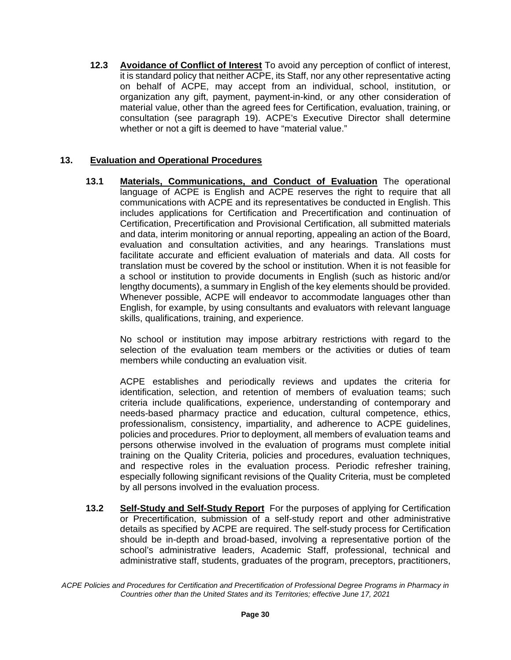**12.3 Avoidance of Conflict of Interest** To avoid any perception of conflict of interest, it is standard policy that neither ACPE, its Staff, nor any other representative acting on behalf of ACPE, may accept from an individual, school, institution, or organization any gift, payment, payment-in-kind, or any other consideration of material value, other than the agreed fees for Certification, evaluation, training, or consultation (see paragraph 19). ACPE's Executive Director shall determine whether or not a gift is deemed to have "material value."

# **13. Evaluation and Operational Procedures**

**13.1 Materials, Communications, and Conduct of Evaluation** The operational language of ACPE is English and ACPE reserves the right to require that all communications with ACPE and its representatives be conducted in English. This includes applications for Certification and Precertification and continuation of Certification, Precertification and Provisional Certification, all submitted materials and data, interim monitoring or annual reporting, appealing an action of the Board, evaluation and consultation activities, and any hearings. Translations must facilitate accurate and efficient evaluation of materials and data. All costs for translation must be covered by the school or institution. When it is not feasible for a school or institution to provide documents in English (such as historic and/or lengthy documents), a summary in English of the key elements should be provided. Whenever possible, ACPE will endeavor to accommodate languages other than English, for example, by using consultants and evaluators with relevant language skills, qualifications, training, and experience.

No school or institution may impose arbitrary restrictions with regard to the selection of the evaluation team members or the activities or duties of team members while conducting an evaluation visit.

ACPE establishes and periodically reviews and updates the criteria for identification, selection, and retention of members of evaluation teams; such criteria include qualifications, experience, understanding of contemporary and needs-based pharmacy practice and education, cultural competence, ethics, professionalism, consistency, impartiality, and adherence to ACPE guidelines, policies and procedures. Prior to deployment, all members of evaluation teams and persons otherwise involved in the evaluation of programs must complete initial training on the Quality Criteria, policies and procedures, evaluation techniques, and respective roles in the evaluation process. Periodic refresher training, especially following significant revisions of the Quality Criteria, must be completed by all persons involved in the evaluation process.

**13.2 Self-Study and Self-Study Report** For the purposes of applying for Certification or Precertification, submission of a self-study report and other administrative details as specified by ACPE are required. The self-study process for Certification should be in-depth and broad-based, involving a representative portion of the school's administrative leaders, Academic Staff, professional, technical and administrative staff, students, graduates of the program, preceptors, practitioners,

*ACPE Policies and Procedures for Certification and Precertification of Professional Degree Programs in Pharmacy in Countries other than the United States and its Territories; effective June 17, 2021*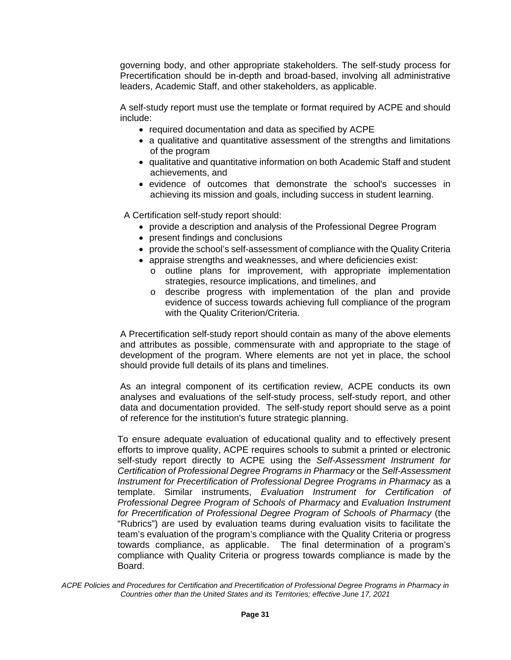governing body, and other appropriate stakeholders. The self-study process for Precertification should be in-depth and broad-based, involving all administrative leaders, Academic Staff, and other stakeholders, as applicable.

A self-study report must use the template or format required by ACPE and should include:

- required documentation and data as specified by ACPE
- a qualitative and quantitative assessment of the strengths and limitations of the program
- qualitative and quantitative information on both Academic Staff and student achievements, and
- evidence of outcomes that demonstrate the school's successes in achieving its mission and goals, including success in student learning.

A Certification self-study report should:

- provide a description and analysis of the Professional Degree Program
- present findings and conclusions
- provide the school's self-assessment of compliance with the Quality Criteria
- appraise strengths and weaknesses, and where deficiencies exist:
	- o outline plans for improvement, with appropriate implementation strategies, resource implications, and timelines, and
	- o describe progress with implementation of the plan and provide evidence of success towards achieving full compliance of the program with the Quality Criterion/Criteria.

A Precertification self-study report should contain as many of the above elements and attributes as possible, commensurate with and appropriate to the stage of development of the program. Where elements are not yet in place, the school should provide full details of its plans and timelines.

As an integral component of its certification review, ACPE conducts its own analyses and evaluations of the self-study process, self-study report, and other data and documentation provided. The self-study report should serve as a point of reference for the institution's future strategic planning.

To ensure adequate evaluation of educational quality and to effectively present efforts to improve quality, ACPE requires schools to submit a printed or electronic self-study report directly to ACPE using the *Self-Assessment Instrument for Certification of Professional Degree Programs in Pharmacy* or the *Self-Assessment Instrument for Precertification of Professional Degree Programs in Pharmacy* as a template. Similar instruments, *Evaluation Instrument for Certification of Professional Degree Program of Schools of Pharmacy* and *Evaluation Instrument for Precertification of Professional Degree Program of Schools of Pharmacy* (the "Rubrics") are used by evaluation teams during evaluation visits to facilitate the team's evaluation of the program's compliance with the Quality Criteria or progress towards compliance, as applicable. The final determination of a program's compliance with Quality Criteria or progress towards compliance is made by the Board.

*ACPE Policies and Procedures for Certification and Precertification of Professional Degree Programs in Pharmacy in Countries other than the United States and its Territories; effective June 17, 2021*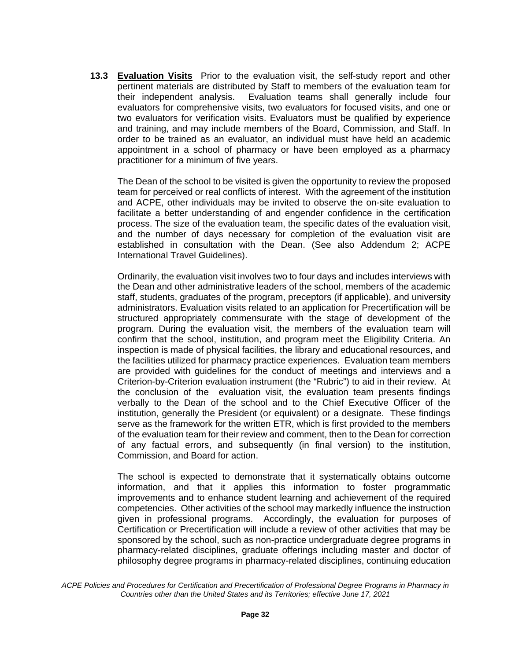**13.3 Evaluation Visits** Prior to the evaluation visit, the self-study report and other pertinent materials are distributed by Staff to members of the evaluation team for their independent analysis. Evaluation teams shall generally include four evaluators for comprehensive visits, two evaluators for focused visits, and one or two evaluators for verification visits. Evaluators must be qualified by experience and training, and may include members of the Board, Commission, and Staff. In order to be trained as an evaluator, an individual must have held an academic appointment in a school of pharmacy or have been employed as a pharmacy practitioner for a minimum of five years.

The Dean of the school to be visited is given the opportunity to review the proposed team for perceived or real conflicts of interest. With the agreement of the institution and ACPE, other individuals may be invited to observe the on-site evaluation to facilitate a better understanding of and engender confidence in the certification process. The size of the evaluation team, the specific dates of the evaluation visit, and the number of days necessary for completion of the evaluation visit are established in consultation with the Dean. (See also Addendum 2; ACPE International Travel Guidelines).

Ordinarily, the evaluation visit involves two to four days and includes interviews with the Dean and other administrative leaders of the school, members of the academic staff, students, graduates of the program, preceptors (if applicable), and university administrators. Evaluation visits related to an application for Precertification will be structured appropriately commensurate with the stage of development of the program. During the evaluation visit, the members of the evaluation team will confirm that the school, institution, and program meet the Eligibility Criteria. An inspection is made of physical facilities, the library and educational resources, and the facilities utilized for pharmacy practice experiences. Evaluation team members are provided with guidelines for the conduct of meetings and interviews and a Criterion-by-Criterion evaluation instrument (the "Rubric") to aid in their review. At the conclusion of the evaluation visit, the evaluation team presents findings verbally to the Dean of the school and to the Chief Executive Officer of the institution, generally the President (or equivalent) or a designate. These findings serve as the framework for the written ETR, which is first provided to the members of the evaluation team for their review and comment, then to the Dean for correction of any factual errors, and subsequently (in final version) to the institution, Commission, and Board for action.

The school is expected to demonstrate that it systematically obtains outcome information, and that it applies this information to foster programmatic improvements and to enhance student learning and achievement of the required competencies. Other activities of the school may markedly influence the instruction given in professional programs. Accordingly, the evaluation for purposes of Certification or Precertification will include a review of other activities that may be sponsored by the school, such as non-practice undergraduate degree programs in pharmacy-related disciplines, graduate offerings including master and doctor of philosophy degree programs in pharmacy-related disciplines, continuing education

*ACPE Policies and Procedures for Certification and Precertification of Professional Degree Programs in Pharmacy in Countries other than the United States and its Territories; effective June 17, 2021*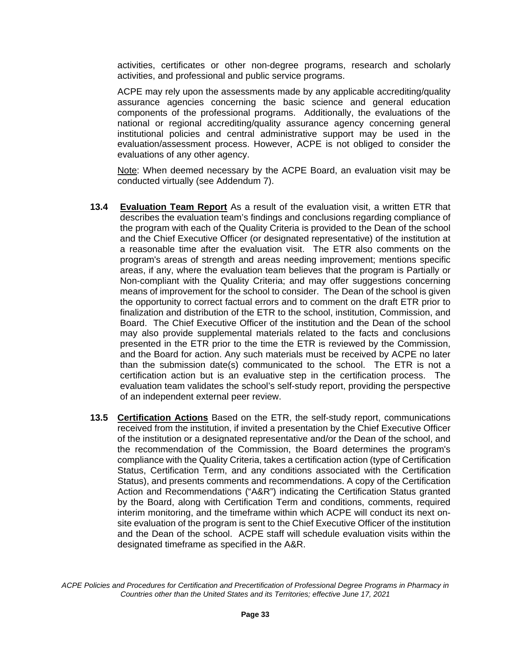activities, certificates or other non-degree programs, research and scholarly activities, and professional and public service programs.

ACPE may rely upon the assessments made by any applicable accrediting/quality assurance agencies concerning the basic science and general education components of the professional programs. Additionally, the evaluations of the national or regional accrediting/quality assurance agency concerning general institutional policies and central administrative support may be used in the evaluation/assessment process. However, ACPE is not obliged to consider the evaluations of any other agency.

Note: When deemed necessary by the ACPE Board, an evaluation visit may be conducted virtually (see Addendum 7).

- **13.4 Evaluation Team Report** As a result of the evaluation visit, a written ETR that describes the evaluation team's findings and conclusions regarding compliance of the program with each of the Quality Criteria is provided to the Dean of the school and the Chief Executive Officer (or designated representative) of the institution at a reasonable time after the evaluation visit. The ETR also comments on the program's areas of strength and areas needing improvement; mentions specific areas, if any, where the evaluation team believes that the program is Partially or Non-compliant with the Quality Criteria; and may offer suggestions concerning means of improvement for the school to consider. The Dean of the school is given the opportunity to correct factual errors and to comment on the draft ETR prior to finalization and distribution of the ETR to the school, institution, Commission, and Board. The Chief Executive Officer of the institution and the Dean of the school may also provide supplemental materials related to the facts and conclusions presented in the ETR prior to the time the ETR is reviewed by the Commission, and the Board for action. Any such materials must be received by ACPE no later than the submission date(s) communicated to the school. The ETR is not a certification action but is an evaluative step in the certification process. The evaluation team validates the school's self-study report, providing the perspective of an independent external peer review.
- **13.5 Certification Actions** Based on the ETR, the self-study report, communications received from the institution, if invited a presentation by the Chief Executive Officer of the institution or a designated representative and/or the Dean of the school, and the recommendation of the Commission, the Board determines the program's compliance with the Quality Criteria, takes a certification action (type of Certification Status, Certification Term, and any conditions associated with the Certification Status), and presents comments and recommendations. A copy of the Certification Action and Recommendations ("A&R") indicating the Certification Status granted by the Board, along with Certification Term and conditions, comments, required interim monitoring, and the timeframe within which ACPE will conduct its next onsite evaluation of the program is sent to the Chief Executive Officer of the institution and the Dean of the school. ACPE staff will schedule evaluation visits within the designated timeframe as specified in the A&R.

*ACPE Policies and Procedures for Certification and Precertification of Professional Degree Programs in Pharmacy in Countries other than the United States and its Territories; effective June 17, 2021*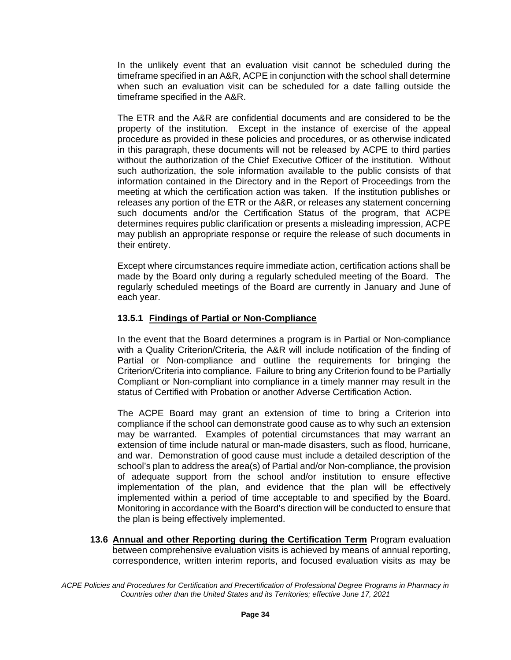In the unlikely event that an evaluation visit cannot be scheduled during the timeframe specified in an A&R, ACPE in conjunction with the school shall determine when such an evaluation visit can be scheduled for a date falling outside the timeframe specified in the A&R.

The ETR and the A&R are confidential documents and are considered to be the property of the institution. Except in the instance of exercise of the appeal procedure as provided in these policies and procedures, or as otherwise indicated in this paragraph, these documents will not be released by ACPE to third parties without the authorization of the Chief Executive Officer of the institution. Without such authorization, the sole information available to the public consists of that information contained in the Directory and in the Report of Proceedings from the meeting at which the certification action was taken. If the institution publishes or releases any portion of the ETR or the A&R, or releases any statement concerning such documents and/or the Certification Status of the program, that ACPE determines requires public clarification or presents a misleading impression, ACPE may publish an appropriate response or require the release of such documents in their entirety.

Except where circumstances require immediate action, certification actions shall be made by the Board only during a regularly scheduled meeting of the Board. The regularly scheduled meetings of the Board are currently in January and June of each year.

# **13.5.1 Findings of Partial or Non-Compliance**

In the event that the Board determines a program is in Partial or Non-compliance with a Quality Criterion/Criteria, the A&R will include notification of the finding of Partial or Non-compliance and outline the requirements for bringing the Criterion/Criteria into compliance. Failure to bring any Criterion found to be Partially Compliant or Non-compliant into compliance in a timely manner may result in the status of Certified with Probation or another Adverse Certification Action.

The ACPE Board may grant an extension of time to bring a Criterion into compliance if the school can demonstrate good cause as to why such an extension may be warranted. Examples of potential circumstances that may warrant an extension of time include natural or man-made disasters, such as flood, hurricane, and war. Demonstration of good cause must include a detailed description of the school's plan to address the area(s) of Partial and/or Non-compliance, the provision of adequate support from the school and/or institution to ensure effective implementation of the plan, and evidence that the plan will be effectively implemented within a period of time acceptable to and specified by the Board. Monitoring in accordance with the Board's direction will be conducted to ensure that the plan is being effectively implemented.

**13.6 Annual and other Reporting during the Certification Term** Program evaluation between comprehensive evaluation visits is achieved by means of annual reporting, correspondence, written interim reports, and focused evaluation visits as may be

*ACPE Policies and Procedures for Certification and Precertification of Professional Degree Programs in Pharmacy in Countries other than the United States and its Territories; effective June 17, 2021*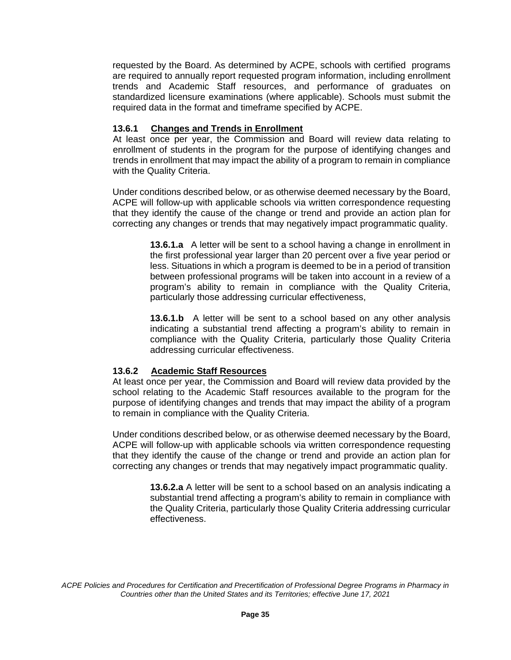requested by the Board. As determined by ACPE, schools with certified programs are required to annually report requested program information, including enrollment trends and Academic Staff resources, and performance of graduates on standardized licensure examinations (where applicable). Schools must submit the required data in the format and timeframe specified by ACPE.

## **13.6.1 Changes and Trends in Enrollment**

At least once per year, the Commission and Board will review data relating to enrollment of students in the program for the purpose of identifying changes and trends in enrollment that may impact the ability of a program to remain in compliance with the Quality Criteria.

Under conditions described below, or as otherwise deemed necessary by the Board, ACPE will follow-up with applicable schools via written correspondence requesting that they identify the cause of the change or trend and provide an action plan for correcting any changes or trends that may negatively impact programmatic quality.

> **13.6.1.a** A letter will be sent to a school having a change in enrollment in the first professional year larger than 20 percent over a five year period or less. Situations in which a program is deemed to be in a period of transition between professional programs will be taken into account in a review of a program's ability to remain in compliance with the Quality Criteria, particularly those addressing curricular effectiveness,

> **13.6.1.b** A letter will be sent to a school based on any other analysis indicating a substantial trend affecting a program's ability to remain in compliance with the Quality Criteria, particularly those Quality Criteria addressing curricular effectiveness.

# **13.6.2 Academic Staff Resources**

At least once per year, the Commission and Board will review data provided by the school relating to the Academic Staff resources available to the program for the purpose of identifying changes and trends that may impact the ability of a program to remain in compliance with the Quality Criteria.

Under conditions described below, or as otherwise deemed necessary by the Board, ACPE will follow-up with applicable schools via written correspondence requesting that they identify the cause of the change or trend and provide an action plan for correcting any changes or trends that may negatively impact programmatic quality.

> **13.6.2.a** A letter will be sent to a school based on an analysis indicating a substantial trend affecting a program's ability to remain in compliance with the Quality Criteria, particularly those Quality Criteria addressing curricular effectiveness.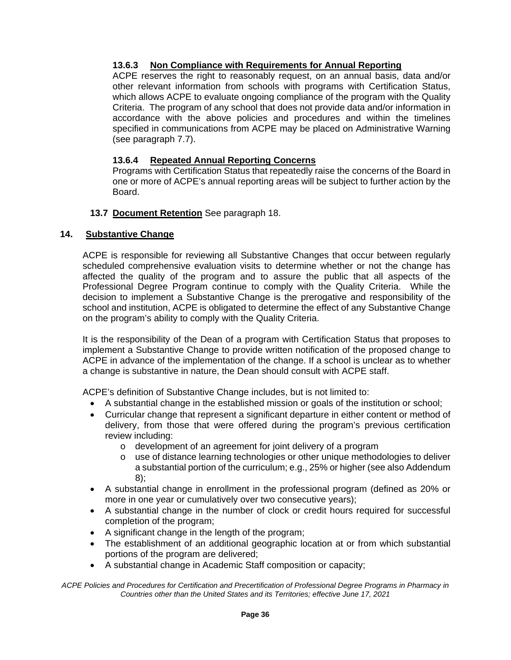# **13.6.3 Non Compliance with Requirements for Annual Reporting**

ACPE reserves the right to reasonably request, on an annual basis, data and/or other relevant information from schools with programs with Certification Status, which allows ACPE to evaluate ongoing compliance of the program with the Quality Criteria. The program of any school that does not provide data and/or information in accordance with the above policies and procedures and within the timelines specified in communications from ACPE may be placed on Administrative Warning (see paragraph 7.7).

## **13.6.4 Repeated Annual Reporting Concerns**

Programs with Certification Status that repeatedly raise the concerns of the Board in one or more of ACPE's annual reporting areas will be subject to further action by the Board.

#### **13.7 Document Retention** See paragraph 18.

#### **14. Substantive Change**

ACPE is responsible for reviewing all Substantive Changes that occur between regularly scheduled comprehensive evaluation visits to determine whether or not the change has affected the quality of the program and to assure the public that all aspects of the Professional Degree Program continue to comply with the Quality Criteria. While the decision to implement a Substantive Change is the prerogative and responsibility of the school and institution, ACPE is obligated to determine the effect of any Substantive Change on the program's ability to comply with the Quality Criteria.

It is the responsibility of the Dean of a program with Certification Status that proposes to implement a Substantive Change to provide written notification of the proposed change to ACPE in advance of the implementation of the change. If a school is unclear as to whether a change is substantive in nature, the Dean should consult with ACPE staff.

ACPE's definition of Substantive Change includes, but is not limited to:

- A substantial change in the established mission or goals of the institution or school;
- Curricular change that represent a significant departure in either content or method of delivery, from those that were offered during the program's previous certification review including:
	- o development of an agreement for joint delivery of a program
	- o use of distance learning technologies or other unique methodologies to deliver a substantial portion of the curriculum; e.g., 25% or higher (see also Addendum 8);
- A substantial change in enrollment in the professional program (defined as 20% or more in one year or cumulatively over two consecutive years);
- A substantial change in the number of clock or credit hours required for successful completion of the program;
- A significant change in the length of the program;
- The establishment of an additional geographic location at or from which substantial portions of the program are delivered;
- A substantial change in Academic Staff composition or capacity;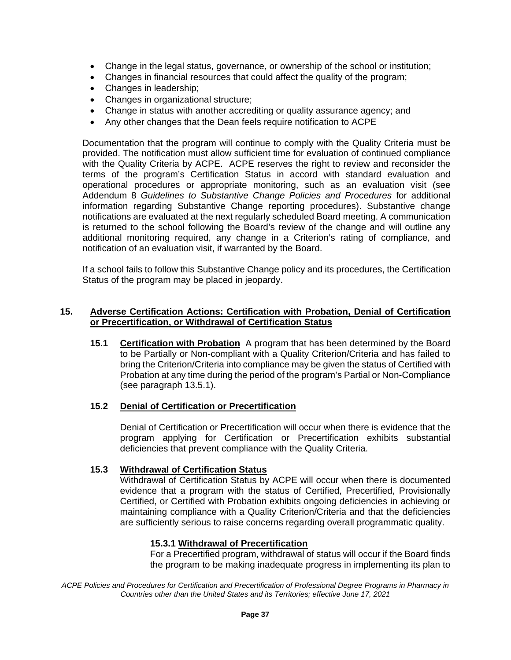- Change in the legal status, governance, or ownership of the school or institution;
- Changes in financial resources that could affect the quality of the program;
- Changes in leadership;
- Changes in organizational structure;
- Change in status with another accrediting or quality assurance agency; and
- Any other changes that the Dean feels require notification to ACPE

Documentation that the program will continue to comply with the Quality Criteria must be provided. The notification must allow sufficient time for evaluation of continued compliance with the Quality Criteria by ACPE. ACPE reserves the right to review and reconsider the terms of the program's Certification Status in accord with standard evaluation and operational procedures or appropriate monitoring, such as an evaluation visit (see Addendum 8 *Guidelines to Substantive Change Policies and Procedures* for additional information regarding Substantive Change reporting procedures). Substantive change notifications are evaluated at the next regularly scheduled Board meeting. A communication is returned to the school following the Board's review of the change and will outline any additional monitoring required, any change in a Criterion's rating of compliance, and notification of an evaluation visit, if warranted by the Board.

If a school fails to follow this Substantive Change policy and its procedures, the Certification Status of the program may be placed in jeopardy.

#### **15. Adverse Certification Actions: Certification with Probation, Denial of Certification or Precertification, or Withdrawal of Certification Status**

**15.1 Certification with Probation** A program that has been determined by the Board to be Partially or Non-compliant with a Quality Criterion/Criteria and has failed to bring the Criterion/Criteria into compliance may be given the status of Certified with Probation at any time during the period of the program's Partial or Non-Compliance (see paragraph 13.5.1).

#### **15.2 Denial of Certification or Precertification**

Denial of Certification or Precertification will occur when there is evidence that the program applying for Certification or Precertification exhibits substantial deficiencies that prevent compliance with the Quality Criteria.

#### **15.3 Withdrawal of Certification Status**

Withdrawal of Certification Status by ACPE will occur when there is documented evidence that a program with the status of Certified, Precertified, Provisionally Certified, or Certified with Probation exhibits ongoing deficiencies in achieving or maintaining compliance with a Quality Criterion/Criteria and that the deficiencies are sufficiently serious to raise concerns regarding overall programmatic quality.

#### **15.3.1 Withdrawal of Precertification**

For a Precertified program, withdrawal of status will occur if the Board finds the program to be making inadequate progress in implementing its plan to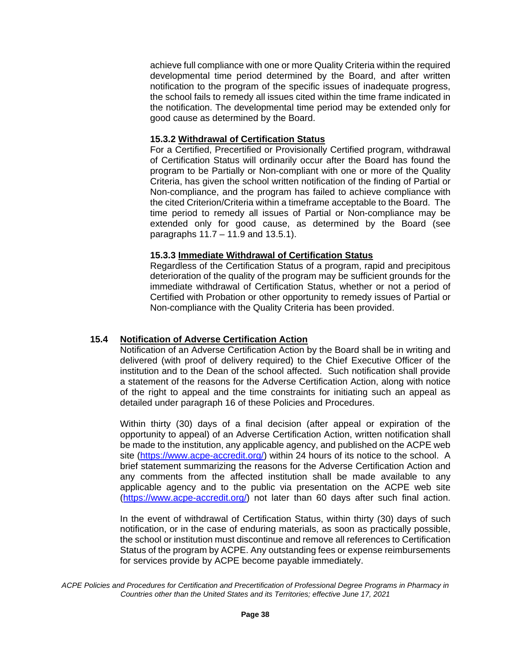achieve full compliance with one or more Quality Criteria within the required developmental time period determined by the Board, and after written notification to the program of the specific issues of inadequate progress, the school fails to remedy all issues cited within the time frame indicated in the notification. The developmental time period may be extended only for good cause as determined by the Board.

## **15.3.2 Withdrawal of Certification Status**

For a Certified, Precertified or Provisionally Certified program, withdrawal of Certification Status will ordinarily occur after the Board has found the program to be Partially or Non-compliant with one or more of the Quality Criteria, has given the school written notification of the finding of Partial or Non-compliance, and the program has failed to achieve compliance with the cited Criterion/Criteria within a timeframe acceptable to the Board. The time period to remedy all issues of Partial or Non-compliance may be extended only for good cause, as determined by the Board (see paragraphs 11.7 – 11.9 and 13.5.1).

#### **15.3.3 Immediate Withdrawal of Certification Status**

Regardless of the Certification Status of a program, rapid and precipitous deterioration of the quality of the program may be sufficient grounds for the immediate withdrawal of Certification Status, whether or not a period of Certified with Probation or other opportunity to remedy issues of Partial or Non-compliance with the Quality Criteria has been provided.

# **15.4 Notification of Adverse Certification Action**

Notification of an Adverse Certification Action by the Board shall be in writing and delivered (with proof of delivery required) to the Chief Executive Officer of the institution and to the Dean of the school affected. Such notification shall provide a statement of the reasons for the Adverse Certification Action, along with notice of the right to appeal and the time constraints for initiating such an appeal as detailed under paragraph 16 of these Policies and Procedures.

Within thirty (30) days of a final decision (after appeal or expiration of the opportunity to appeal) of an Adverse Certification Action, written notification shall be made to the institution, any applicable agency, and published on the ACPE web site [\(https://www.acpe-accredit.org/\)](https://www.acpe-accredit.org/) within 24 hours of its notice to the school. A brief statement summarizing the reasons for the Adverse Certification Action and any comments from the affected institution shall be made available to any applicable agency and to the public via presentation on the ACPE web site [\(https://www.acpe-accredit.org/\)](https://www.acpe-accredit.org/) not later than 60 days after such final action.

In the event of withdrawal of Certification Status, within thirty (30) days of such notification, or in the case of enduring materials, as soon as practically possible, the school or institution must discontinue and remove all references to Certification Status of the program by ACPE. Any outstanding fees or expense reimbursements for services provide by ACPE become payable immediately.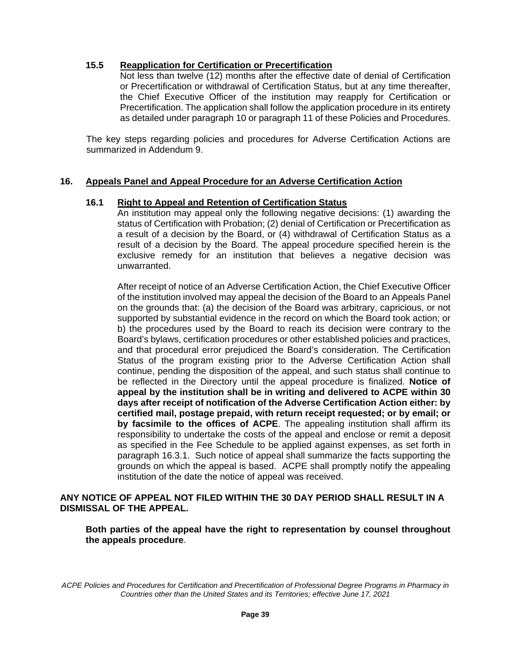## **15.5 Reapplication for Certification or Precertification**

Not less than twelve (12) months after the effective date of denial of Certification or Precertification or withdrawal of Certification Status, but at any time thereafter, the Chief Executive Officer of the institution may reapply for Certification or Precertification. The application shall follow the application procedure in its entirety as detailed under paragraph 10 or paragraph 11 of these Policies and Procedures.

The key steps regarding policies and procedures for Adverse Certification Actions are summarized in Addendum 9.

#### **16. Appeals Panel and Appeal Procedure for an Adverse Certification Action**

#### **16.1 Right to Appeal and Retention of Certification Status**

An institution may appeal only the following negative decisions: (1) awarding the status of Certification with Probation; (2) denial of Certification or Precertification as a result of a decision by the Board, or (4) withdrawal of Certification Status as a result of a decision by the Board. The appeal procedure specified herein is the exclusive remedy for an institution that believes a negative decision was unwarranted.

After receipt of notice of an Adverse Certification Action, the Chief Executive Officer of the institution involved may appeal the decision of the Board to an Appeals Panel on the grounds that: (a) the decision of the Board was arbitrary, capricious, or not supported by substantial evidence in the record on which the Board took action; or b) the procedures used by the Board to reach its decision were contrary to the Board's bylaws, certification procedures or other established policies and practices, and that procedural error prejudiced the Board's consideration. The Certification Status of the program existing prior to the Adverse Certification Action shall continue, pending the disposition of the appeal, and such status shall continue to be reflected in the Directory until the appeal procedure is finalized. **Notice of appeal by the institution shall be in writing and delivered to ACPE within 30 days after receipt of notification of the Adverse Certification Action either: by certified mail, postage prepaid, with return receipt requested; or by email; or by facsimile to the offices of ACPE**. The appealing institution shall affirm its responsibility to undertake the costs of the appeal and enclose or remit a deposit as specified in the Fee Schedule to be applied against expenses, as set forth in paragraph 16.3.1. Such notice of appeal shall summarize the facts supporting the grounds on which the appeal is based. ACPE shall promptly notify the appealing institution of the date the notice of appeal was received.

#### **ANY NOTICE OF APPEAL NOT FILED WITHIN THE 30 DAY PERIOD SHALL RESULT IN A DISMISSAL OF THE APPEAL.**

**Both parties of the appeal have the right to representation by counsel throughout the appeals procedure**.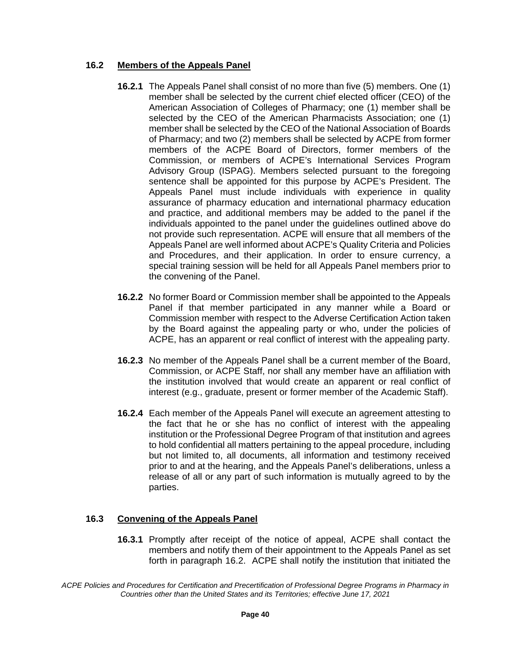## **16.2 Members of the Appeals Panel**

- **16.2.1** The Appeals Panel shall consist of no more than five (5) members. One (1) member shall be selected by the current chief elected officer (CEO) of the American Association of Colleges of Pharmacy; one (1) member shall be selected by the CEO of the American Pharmacists Association; one (1) member shall be selected by the CEO of the National Association of Boards of Pharmacy; and two (2) members shall be selected by ACPE from former members of the ACPE Board of Directors, former members of the Commission, or members of ACPE's International Services Program Advisory Group (ISPAG). Members selected pursuant to the foregoing sentence shall be appointed for this purpose by ACPE's President. The Appeals Panel must include individuals with experience in quality assurance of pharmacy education and international pharmacy education and practice, and additional members may be added to the panel if the individuals appointed to the panel under the guidelines outlined above do not provide such representation. ACPE will ensure that all members of the Appeals Panel are well informed about ACPE's Quality Criteria and Policies and Procedures, and their application. In order to ensure currency, a special training session will be held for all Appeals Panel members prior to the convening of the Panel.
- **16.2.2** No former Board or Commission member shall be appointed to the Appeals Panel if that member participated in any manner while a Board or Commission member with respect to the Adverse Certification Action taken by the Board against the appealing party or who, under the policies of ACPE, has an apparent or real conflict of interest with the appealing party.
- **16.2.3** No member of the Appeals Panel shall be a current member of the Board, Commission, or ACPE Staff, nor shall any member have an affiliation with the institution involved that would create an apparent or real conflict of interest (e.g., graduate, present or former member of the Academic Staff).
- **16.2.4** Each member of the Appeals Panel will execute an agreement attesting to the fact that he or she has no conflict of interest with the appealing institution or the Professional Degree Program of that institution and agrees to hold confidential all matters pertaining to the appeal procedure, including but not limited to, all documents, all information and testimony received prior to and at the hearing, and the Appeals Panel's deliberations, unless a release of all or any part of such information is mutually agreed to by the parties.

# **16.3 Convening of the Appeals Panel**

**16.3.1** Promptly after receipt of the notice of appeal, ACPE shall contact the members and notify them of their appointment to the Appeals Panel as set forth in paragraph 16.2. ACPE shall notify the institution that initiated the

*ACPE Policies and Procedures for Certification and Precertification of Professional Degree Programs in Pharmacy in Countries other than the United States and its Territories; effective June 17, 2021*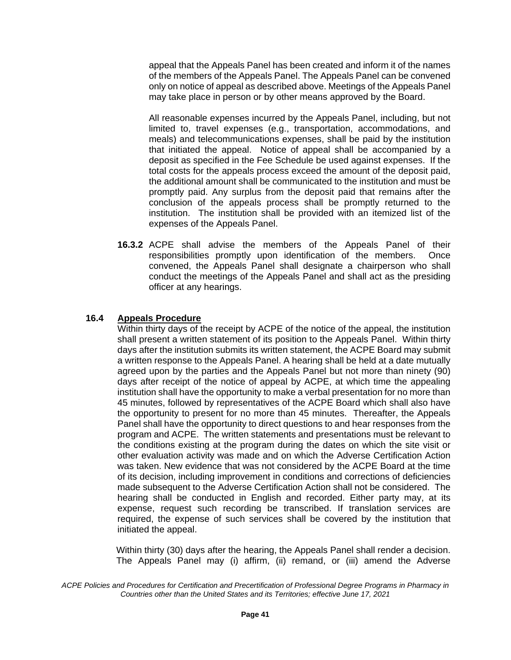appeal that the Appeals Panel has been created and inform it of the names of the members of the Appeals Panel. The Appeals Panel can be convened only on notice of appeal as described above. Meetings of the Appeals Panel may take place in person or by other means approved by the Board.

All reasonable expenses incurred by the Appeals Panel, including, but not limited to, travel expenses (e.g., transportation, accommodations, and meals) and telecommunications expenses, shall be paid by the institution that initiated the appeal. Notice of appeal shall be accompanied by a deposit as specified in the Fee Schedule be used against expenses. If the total costs for the appeals process exceed the amount of the deposit paid, the additional amount shall be communicated to the institution and must be promptly paid. Any surplus from the deposit paid that remains after the conclusion of the appeals process shall be promptly returned to the institution. The institution shall be provided with an itemized list of the expenses of the Appeals Panel.

**16.3.2** ACPE shall advise the members of the Appeals Panel of their responsibilities promptly upon identification of the members. Once convened, the Appeals Panel shall designate a chairperson who shall conduct the meetings of the Appeals Panel and shall act as the presiding officer at any hearings.

#### **16.4 Appeals Procedure**

Within thirty days of the receipt by ACPE of the notice of the appeal, the institution shall present a written statement of its position to the Appeals Panel. Within thirty days after the institution submits its written statement, the ACPE Board may submit a written response to the Appeals Panel. A hearing shall be held at a date mutually agreed upon by the parties and the Appeals Panel but not more than ninety (90) days after receipt of the notice of appeal by ACPE, at which time the appealing institution shall have the opportunity to make a verbal presentation for no more than 45 minutes, followed by representatives of the ACPE Board which shall also have the opportunity to present for no more than 45 minutes. Thereafter, the Appeals Panel shall have the opportunity to direct questions to and hear responses from the program and ACPE. The written statements and presentations must be relevant to the conditions existing at the program during the dates on which the site visit or other evaluation activity was made and on which the Adverse Certification Action was taken. New evidence that was not considered by the ACPE Board at the time of its decision, including improvement in conditions and corrections of deficiencies made subsequent to the Adverse Certification Action shall not be considered. The hearing shall be conducted in English and recorded. Either party may, at its expense, request such recording be transcribed. If translation services are required, the expense of such services shall be covered by the institution that initiated the appeal.

Within thirty (30) days after the hearing, the Appeals Panel shall render a decision. The Appeals Panel may (i) affirm, (ii) remand, or (iii) amend the Adverse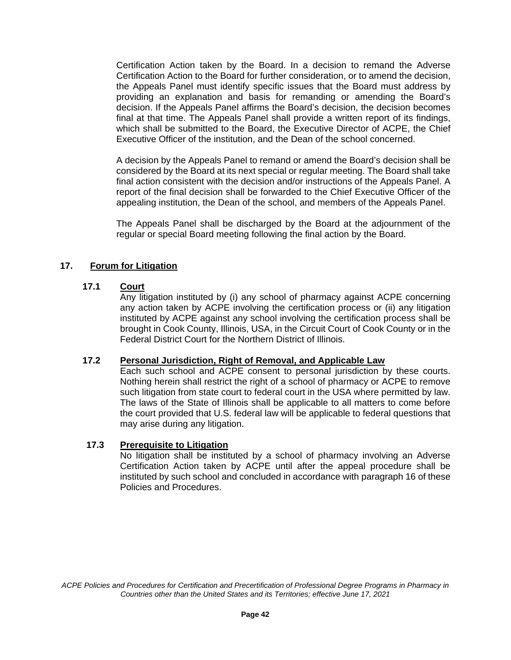Certification Action taken by the Board. In a decision to remand the Adverse Certification Action to the Board for further consideration, or to amend the decision, the Appeals Panel must identify specific issues that the Board must address by providing an explanation and basis for remanding or amending the Board's decision. If the Appeals Panel affirms the Board's decision, the decision becomes final at that time. The Appeals Panel shall provide a written report of its findings, which shall be submitted to the Board, the Executive Director of ACPE, the Chief Executive Officer of the institution, and the Dean of the school concerned.

A decision by the Appeals Panel to remand or amend the Board's decision shall be considered by the Board at its next special or regular meeting. The Board shall take final action consistent with the decision and/or instructions of the Appeals Panel. A report of the final decision shall be forwarded to the Chief Executive Officer of the appealing institution, the Dean of the school, and members of the Appeals Panel.

The Appeals Panel shall be discharged by the Board at the adjournment of the regular or special Board meeting following the final action by the Board.

# **17. Forum for Litigation**

#### **17.1 Court**

Any litigation instituted by (i) any school of pharmacy against ACPE concerning any action taken by ACPE involving the certification process or (ii) any litigation instituted by ACPE against any school involving the certification process shall be brought in Cook County, Illinois, USA, in the Circuit Court of Cook County or in the Federal District Court for the Northern District of Illinois.

## **17.2 Personal Jurisdiction, Right of Removal, and Applicable Law**

Each such school and ACPE consent to personal jurisdiction by these courts. Nothing herein shall restrict the right of a school of pharmacy or ACPE to remove such litigation from state court to federal court in the USA where permitted by law. The laws of the State of Illinois shall be applicable to all matters to come before the court provided that U.S. federal law will be applicable to federal questions that may arise during any litigation.

#### **17.3 Prerequisite to Litigation**

No litigation shall be instituted by a school of pharmacy involving an Adverse Certification Action taken by ACPE until after the appeal procedure shall be instituted by such school and concluded in accordance with paragraph 16 of these Policies and Procedures.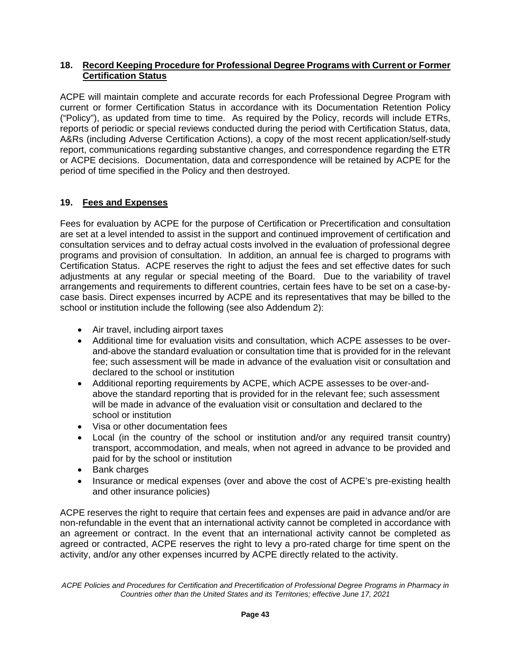## **18. Record Keeping Procedure for Professional Degree Programs with Current or Former Certification Status**

ACPE will maintain complete and accurate records for each Professional Degree Program with current or former Certification Status in accordance with its Documentation Retention Policy ("Policy"), as updated from time to time. As required by the Policy, records will include ETRs, reports of periodic or special reviews conducted during the period with Certification Status, data, A&Rs (including Adverse Certification Actions), a copy of the most recent application/self-study report, communications regarding substantive changes, and correspondence regarding the ETR or ACPE decisions. Documentation, data and correspondence will be retained by ACPE for the period of time specified in the Policy and then destroyed.

# **19. Fees and Expenses**

Fees for evaluation by ACPE for the purpose of Certification or Precertification and consultation are set at a level intended to assist in the support and continued improvement of certification and consultation services and to defray actual costs involved in the evaluation of professional degree programs and provision of consultation. In addition, an annual fee is charged to programs with Certification Status. ACPE reserves the right to adjust the fees and set effective dates for such adjustments at any regular or special meeting of the Board. Due to the variability of travel arrangements and requirements to different countries, certain fees have to be set on a case-bycase basis. Direct expenses incurred by ACPE and its representatives that may be billed to the school or institution include the following (see also Addendum 2):

- Air travel, including airport taxes
- Additional time for evaluation visits and consultation, which ACPE assesses to be overand-above the standard evaluation or consultation time that is provided for in the relevant fee; such assessment will be made in advance of the evaluation visit or consultation and declared to the school or institution
- Additional reporting requirements by ACPE, which ACPE assesses to be over-andabove the standard reporting that is provided for in the relevant fee; such assessment will be made in advance of the evaluation visit or consultation and declared to the school or institution
- Visa or other documentation fees
- Local (in the country of the school or institution and/or any required transit country) transport, accommodation, and meals, when not agreed in advance to be provided and paid for by the school or institution
- Bank charges
- Insurance or medical expenses (over and above the cost of ACPE's pre-existing health and other insurance policies)

ACPE reserves the right to require that certain fees and expenses are paid in advance and/or are non-refundable in the event that an international activity cannot be completed in accordance with an agreement or contract. In the event that an international activity cannot be completed as agreed or contracted, ACPE reserves the right to levy a pro-rated charge for time spent on the activity, and/or any other expenses incurred by ACPE directly related to the activity.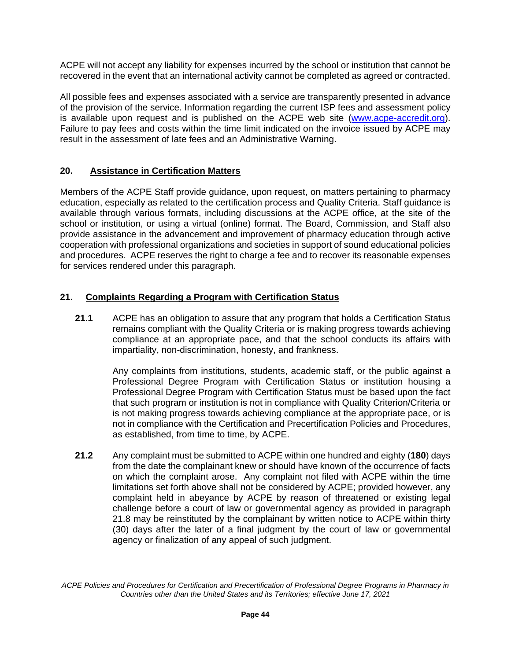ACPE will not accept any liability for expenses incurred by the school or institution that cannot be recovered in the event that an international activity cannot be completed as agreed or contracted.

All possible fees and expenses associated with a service are transparently presented in advance of the provision of the service. Information regarding the current ISP fees and assessment policy is available upon request and is published on the ACPE web site [\(www.acpe-accredit.org\)](http://www.acpe-accredit.org/). Failure to pay fees and costs within the time limit indicated on the invoice issued by ACPE may result in the assessment of late fees and an Administrative Warning.

# **20. Assistance in Certification Matters**

Members of the ACPE Staff provide guidance, upon request, on matters pertaining to pharmacy education, especially as related to the certification process and Quality Criteria. Staff guidance is available through various formats, including discussions at the ACPE office, at the site of the school or institution, or using a virtual (online) format. The Board, Commission, and Staff also provide assistance in the advancement and improvement of pharmacy education through active cooperation with professional organizations and societies in support of sound educational policies and procedures. ACPE reserves the right to charge a fee and to recover its reasonable expenses for services rendered under this paragraph.

# **21. Complaints Regarding a Program with Certification Status**

**21.1** ACPE has an obligation to assure that any program that holds a Certification Status remains compliant with the Quality Criteria or is making progress towards achieving compliance at an appropriate pace, and that the school conducts its affairs with impartiality, non-discrimination, honesty, and frankness.

Any complaints from institutions, students, academic staff, or the public against a Professional Degree Program with Certification Status or institution housing a Professional Degree Program with Certification Status must be based upon the fact that such program or institution is not in compliance with Quality Criterion/Criteria or is not making progress towards achieving compliance at the appropriate pace, or is not in compliance with the Certification and Precertification Policies and Procedures, as established, from time to time, by ACPE.

**21.2** Any complaint must be submitted to ACPE within one hundred and eighty (**180**) days from the date the complainant knew or should have known of the occurrence of facts on which the complaint arose. Any complaint not filed with ACPE within the time limitations set forth above shall not be considered by ACPE; provided however, any complaint held in abeyance by ACPE by reason of threatened or existing legal challenge before a court of law or governmental agency as provided in paragraph 21.8 may be reinstituted by the complainant by written notice to ACPE within thirty (30) days after the later of a final judgment by the court of law or governmental agency or finalization of any appeal of such judgment.

*ACPE Policies and Procedures for Certification and Precertification of Professional Degree Programs in Pharmacy in Countries other than the United States and its Territories; effective June 17, 2021*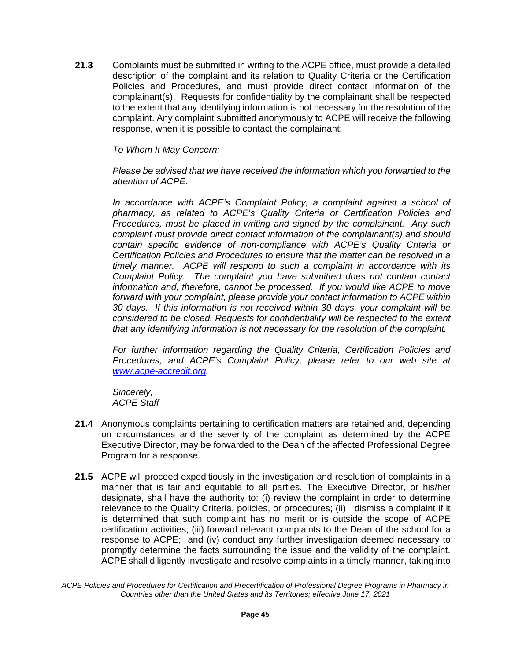**21.3** Complaints must be submitted in writing to the ACPE office, must provide a detailed description of the complaint and its relation to Quality Criteria or the Certification Policies and Procedures, and must provide direct contact information of the complainant(s). Requests for confidentiality by the complainant shall be respected to the extent that any identifying information is not necessary for the resolution of the complaint. Any complaint submitted anonymously to ACPE will receive the following response, when it is possible to contact the complainant:

#### *To Whom It May Concern:*

*Please be advised that we have received the information which you forwarded to the attention of ACPE.*

*In accordance with ACPE's Complaint Policy, a complaint against a school of pharmacy, as related to ACPE's Quality Criteria or Certification Policies and Procedures, must be placed in writing and signed by the complainant. Any such complaint must provide direct contact information of the complainant(s) and should contain specific evidence of non-compliance with ACPE's Quality Criteria or Certification Policies and Procedures to ensure that the matter can be resolved in a timely manner. ACPE will respond to such a complaint in accordance with its Complaint Policy. The complaint you have submitted does not contain contact information and, therefore, cannot be processed. If you would like ACPE to move forward with your complaint, please provide your contact information to ACPE within 30 days. If this information is not received within 30 days, your complaint will be considered to be closed. Requests for confidentiality will be respected to the extent that any identifying information is not necessary for the resolution of the complaint.*

*For further information regarding the Quality Criteria, Certification Policies and Procedures, and ACPE's Complaint Policy, please refer to our web site at [www.acpe-accredit.org.](http://www.acpe-accredit.org/)*

*Sincerely, ACPE Staff*

- **21.4** Anonymous complaints pertaining to certification matters are retained and, depending on circumstances and the severity of the complaint as determined by the ACPE Executive Director, may be forwarded to the Dean of the affected Professional Degree Program for a response.
- **21.5** ACPE will proceed expeditiously in the investigation and resolution of complaints in a manner that is fair and equitable to all parties. The Executive Director, or his/her designate, shall have the authority to: (i) review the complaint in order to determine relevance to the Quality Criteria, policies, or procedures; (ii) dismiss a complaint if it is determined that such complaint has no merit or is outside the scope of ACPE certification activities; (iii) forward relevant complaints to the Dean of the school for a response to ACPE; and (iv) conduct any further investigation deemed necessary to promptly determine the facts surrounding the issue and the validity of the complaint. ACPE shall diligently investigate and resolve complaints in a timely manner, taking into

*ACPE Policies and Procedures for Certification and Precertification of Professional Degree Programs in Pharmacy in Countries other than the United States and its Territories; effective June 17, 2021*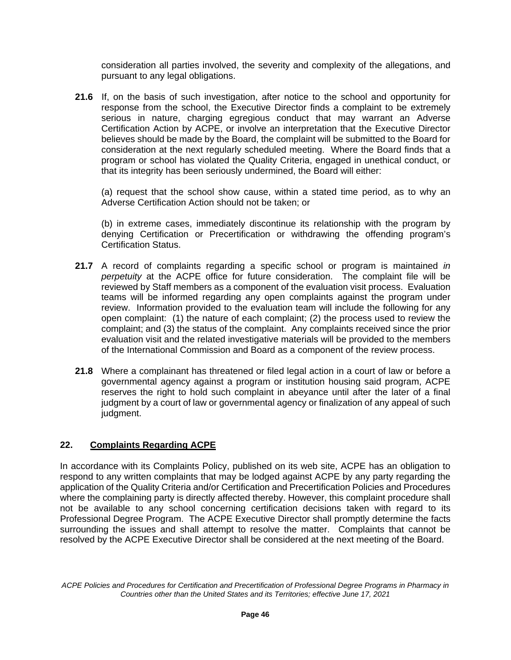consideration all parties involved, the severity and complexity of the allegations, and pursuant to any legal obligations.

**21.6** If, on the basis of such investigation, after notice to the school and opportunity for response from the school, the Executive Director finds a complaint to be extremely serious in nature, charging egregious conduct that may warrant an Adverse Certification Action by ACPE, or involve an interpretation that the Executive Director believes should be made by the Board, the complaint will be submitted to the Board for consideration at the next regularly scheduled meeting. Where the Board finds that a program or school has violated the Quality Criteria, engaged in unethical conduct, or that its integrity has been seriously undermined, the Board will either:

(a) request that the school show cause, within a stated time period, as to why an Adverse Certification Action should not be taken; or

(b) in extreme cases, immediately discontinue its relationship with the program by denying Certification or Precertification or withdrawing the offending program's Certification Status.

- **21.7** A record of complaints regarding a specific school or program is maintained *in perpetuity* at the ACPE office for future consideration. The complaint file will be reviewed by Staff members as a component of the evaluation visit process. Evaluation teams will be informed regarding any open complaints against the program under review. Information provided to the evaluation team will include the following for any open complaint: (1) the nature of each complaint; (2) the process used to review the complaint; and (3) the status of the complaint. Any complaints received since the prior evaluation visit and the related investigative materials will be provided to the members of the International Commission and Board as a component of the review process.
- **21.8** Where a complainant has threatened or filed legal action in a court of law or before a governmental agency against a program or institution housing said program, ACPE reserves the right to hold such complaint in abeyance until after the later of a final judgment by a court of law or governmental agency or finalization of any appeal of such judgment.

# **22. Complaints Regarding ACPE**

In accordance with its Complaints Policy, published on its web site, ACPE has an obligation to respond to any written complaints that may be lodged against ACPE by any party regarding the application of the Quality Criteria and/or Certification and Precertification Policies and Procedures where the complaining party is directly affected thereby. However, this complaint procedure shall not be available to any school concerning certification decisions taken with regard to its Professional Degree Program. The ACPE Executive Director shall promptly determine the facts surrounding the issues and shall attempt to resolve the matter. Complaints that cannot be resolved by the ACPE Executive Director shall be considered at the next meeting of the Board.

*ACPE Policies and Procedures for Certification and Precertification of Professional Degree Programs in Pharmacy in Countries other than the United States and its Territories; effective June 17, 2021*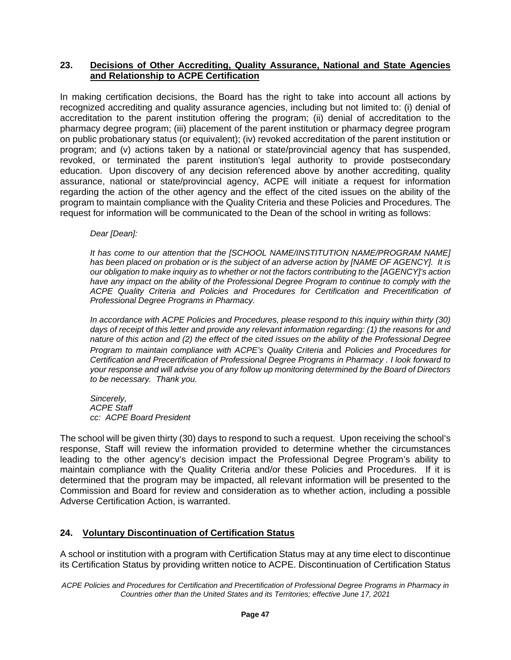## **23. Decisions of Other Accrediting, Quality Assurance, National and State Agencies and Relationship to ACPE Certification**

In making certification decisions, the Board has the right to take into account all actions by recognized accrediting and quality assurance agencies, including but not limited to: (i) denial of accreditation to the parent institution offering the program; (ii) denial of accreditation to the pharmacy degree program; (iii) placement of the parent institution or pharmacy degree program on public probationary status (or equivalent); (iv) revoked accreditation of the parent institution or program; and (v) actions taken by a national or state/provincial agency that has suspended, revoked, or terminated the parent institution's legal authority to provide postsecondary education. Upon discovery of any decision referenced above by another accrediting, quality assurance, national or state/provincial agency, ACPE will initiate a request for information regarding the action of the other agency and the effect of the cited issues on the ability of the program to maintain compliance with the Quality Criteria and these Policies and Procedures. The request for information will be communicated to the Dean of the school in writing as follows:

*Dear [Dean]:*

It has come to our attention that the [SCHOOL NAME/INSTITUTION NAME/PROGRAM NAME] *has been placed on probation or is the subject of an adverse action by [NAME OF AGENCY]. It is our obligation to make inquiry as to whether or not the factors contributing to the [AGENCY]'s action have any impact on the ability of the Professional Degree Program to continue to comply with the ACPE Quality Criteria and Policies and Procedures for Certification and Precertification of Professional Degree Programs in Pharmacy.*

*In accordance with ACPE Policies and Procedures, please respond to this inquiry within thirty (30) days of receipt of this letter and provide any relevant information regarding: (1) the reasons for and nature of this action and (2) the effect of the cited issues on the ability of the Professional Degree Program to maintain compliance with ACPE's Quality Criteria* and *Policies and Procedures for Certification and Precertification of Professional Degree Programs in Pharmacy . I look forward to your response and will advise you of any follow up monitoring determined by the Board of Directors to be necessary. Thank you.*

*Sincerely, ACPE Staff cc: ACPE Board President*

The school will be given thirty (30) days to respond to such a request. Upon receiving the school's response, Staff will review the information provided to determine whether the circumstances leading to the other agency's decision impact the Professional Degree Program's ability to maintain compliance with the Quality Criteria and/or these Policies and Procedures. If it is determined that the program may be impacted, all relevant information will be presented to the Commission and Board for review and consideration as to whether action, including a possible Adverse Certification Action, is warranted.

# **24. Voluntary Discontinuation of Certification Status**

A school or institution with a program with Certification Status may at any time elect to discontinue its Certification Status by providing written notice to ACPE. Discontinuation of Certification Status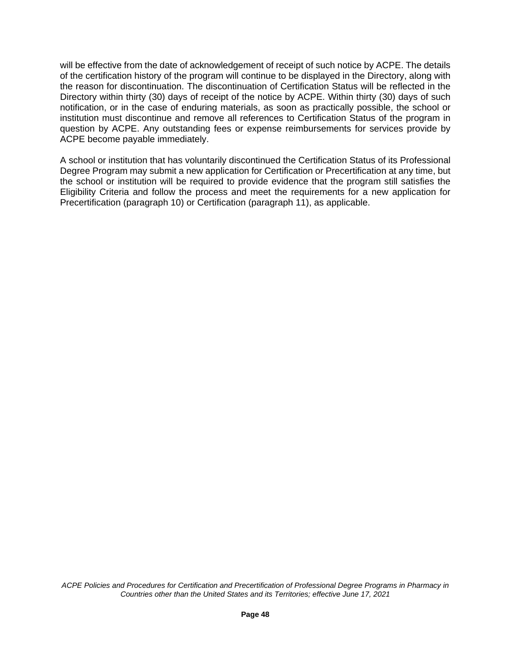will be effective from the date of acknowledgement of receipt of such notice by ACPE. The details of the certification history of the program will continue to be displayed in the Directory, along with the reason for discontinuation. The discontinuation of Certification Status will be reflected in the Directory within thirty (30) days of receipt of the notice by ACPE. Within thirty (30) days of such notification, or in the case of enduring materials, as soon as practically possible, the school or institution must discontinue and remove all references to Certification Status of the program in question by ACPE. Any outstanding fees or expense reimbursements for services provide by ACPE become payable immediately.

A school or institution that has voluntarily discontinued the Certification Status of its Professional Degree Program may submit a new application for Certification or Precertification at any time, but the school or institution will be required to provide evidence that the program still satisfies the Eligibility Criteria and follow the process and meet the requirements for a new application for Precertification (paragraph 10) or Certification (paragraph 11), as applicable.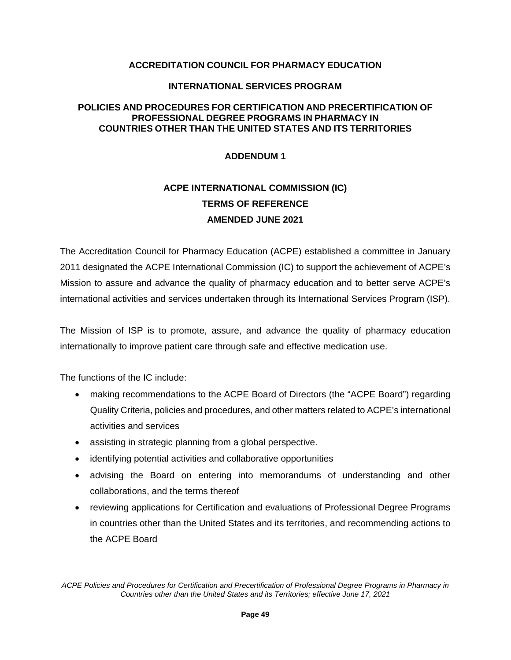## **ACCREDITATION COUNCIL FOR PHARMACY EDUCATION**

#### **INTERNATIONAL SERVICES PROGRAM**

## **POLICIES AND PROCEDURES FOR CERTIFICATION AND PRECERTIFICATION OF PROFESSIONAL DEGREE PROGRAMS IN PHARMACY IN COUNTRIES OTHER THAN THE UNITED STATES AND ITS TERRITORIES**

#### **ADDENDUM 1**

# **ACPE INTERNATIONAL COMMISSION (IC) TERMS OF REFERENCE AMENDED JUNE 2021**

The Accreditation Council for Pharmacy Education (ACPE) established a committee in January 2011 designated the ACPE International Commission (IC) to support the achievement of ACPE's Mission to assure and advance the quality of pharmacy education and to better serve ACPE's international activities and services undertaken through its International Services Program (ISP).

The Mission of ISP is to promote, assure, and advance the quality of pharmacy education internationally to improve patient care through safe and effective medication use.

The functions of the IC include:

- making recommendations to the ACPE Board of Directors (the "ACPE Board") regarding Quality Criteria, policies and procedures, and other matters related to ACPE's international activities and services
- assisting in strategic planning from a global perspective.
- identifying potential activities and collaborative opportunities
- advising the Board on entering into memorandums of understanding and other collaborations, and the terms thereof
- reviewing applications for Certification and evaluations of Professional Degree Programs in countries other than the United States and its territories, and recommending actions to the ACPE Board

*ACPE Policies and Procedures for Certification and Precertification of Professional Degree Programs in Pharmacy in Countries other than the United States and its Territories; effective June 17, 2021*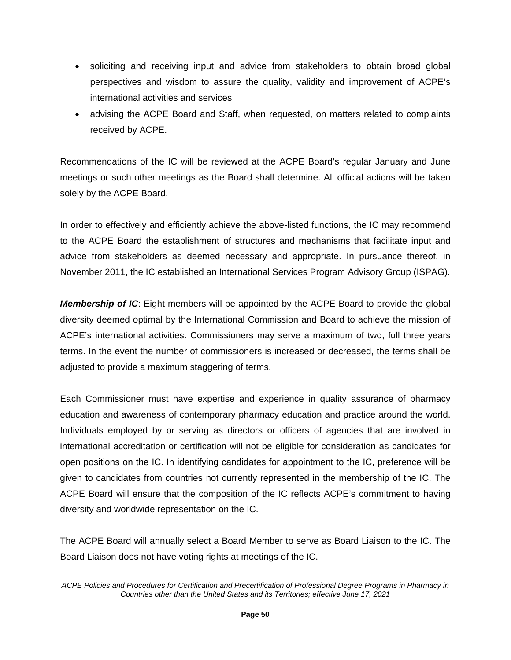- soliciting and receiving input and advice from stakeholders to obtain broad global perspectives and wisdom to assure the quality, validity and improvement of ACPE's international activities and services
- advising the ACPE Board and Staff, when requested, on matters related to complaints received by ACPE.

Recommendations of the IC will be reviewed at the ACPE Board's regular January and June meetings or such other meetings as the Board shall determine. All official actions will be taken solely by the ACPE Board.

In order to effectively and efficiently achieve the above-listed functions, the IC may recommend to the ACPE Board the establishment of structures and mechanisms that facilitate input and advice from stakeholders as deemed necessary and appropriate. In pursuance thereof, in November 2011, the IC established an International Services Program Advisory Group (ISPAG).

*Membership of IC*: Eight members will be appointed by the ACPE Board to provide the global diversity deemed optimal by the International Commission and Board to achieve the mission of ACPE's international activities. Commissioners may serve a maximum of two, full three years terms. In the event the number of commissioners is increased or decreased, the terms shall be adjusted to provide a maximum staggering of terms.

Each Commissioner must have expertise and experience in quality assurance of pharmacy education and awareness of contemporary pharmacy education and practice around the world. Individuals employed by or serving as directors or officers of agencies that are involved in international accreditation or certification will not be eligible for consideration as candidates for open positions on the IC. In identifying candidates for appointment to the IC, preference will be given to candidates from countries not currently represented in the membership of the IC. The ACPE Board will ensure that the composition of the IC reflects ACPE's commitment to having diversity and worldwide representation on the IC.

The ACPE Board will annually select a Board Member to serve as Board Liaison to the IC. The Board Liaison does not have voting rights at meetings of the IC.

*ACPE Policies and Procedures for Certification and Precertification of Professional Degree Programs in Pharmacy in Countries other than the United States and its Territories; effective June 17, 2021*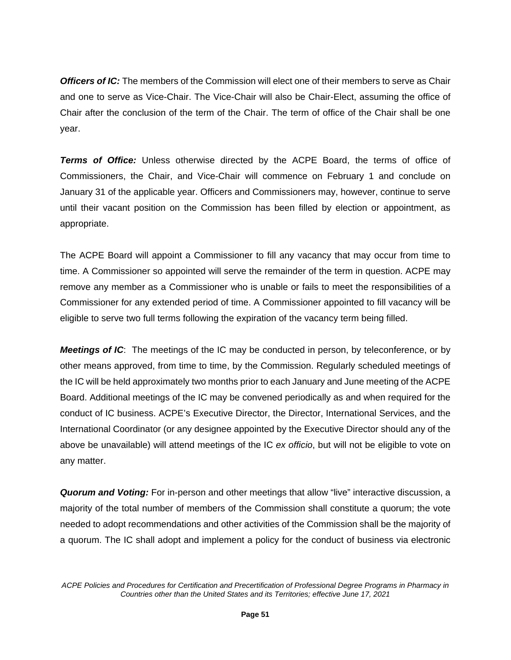*Officers of IC:* The members of the Commission will elect one of their members to serve as Chair and one to serve as Vice-Chair. The Vice-Chair will also be Chair-Elect, assuming the office of Chair after the conclusion of the term of the Chair. The term of office of the Chair shall be one year.

*Terms of Office:* Unless otherwise directed by the ACPE Board, the terms of office of Commissioners, the Chair, and Vice-Chair will commence on February 1 and conclude on January 31 of the applicable year. Officers and Commissioners may, however, continue to serve until their vacant position on the Commission has been filled by election or appointment, as appropriate.

The ACPE Board will appoint a Commissioner to fill any vacancy that may occur from time to time. A Commissioner so appointed will serve the remainder of the term in question. ACPE may remove any member as a Commissioner who is unable or fails to meet the responsibilities of a Commissioner for any extended period of time. A Commissioner appointed to fill vacancy will be eligible to serve two full terms following the expiration of the vacancy term being filled.

*Meetings of IC*: The meetings of the IC may be conducted in person, by teleconference, or by other means approved, from time to time, by the Commission. Regularly scheduled meetings of the IC will be held approximately two months prior to each January and June meeting of the ACPE Board. Additional meetings of the IC may be convened periodically as and when required for the conduct of IC business. ACPE's Executive Director, the Director, International Services, and the International Coordinator (or any designee appointed by the Executive Director should any of the above be unavailable) will attend meetings of the IC *ex officio*, but will not be eligible to vote on any matter.

*Quorum and Voting:* For in-person and other meetings that allow "live" interactive discussion, a majority of the total number of members of the Commission shall constitute a quorum; the vote needed to adopt recommendations and other activities of the Commission shall be the majority of a quorum. The IC shall adopt and implement a policy for the conduct of business via electronic

*ACPE Policies and Procedures for Certification and Precertification of Professional Degree Programs in Pharmacy in Countries other than the United States and its Territories; effective June 17, 2021*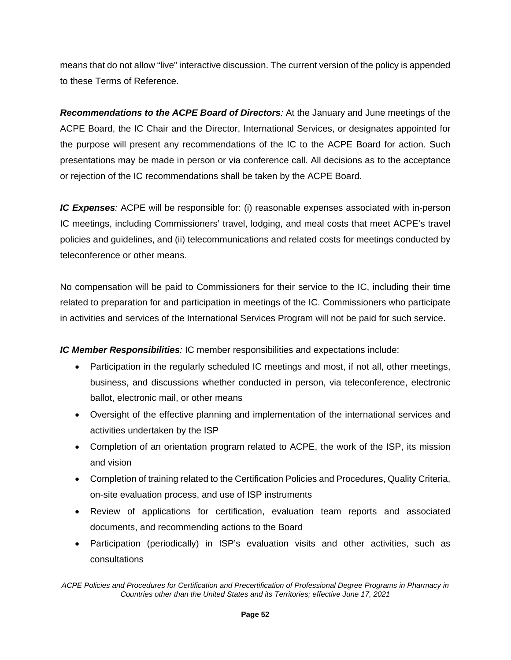means that do not allow "live" interactive discussion. The current version of the policy is appended to these Terms of Reference.

*Recommendations to the ACPE Board of Directors:* At the January and June meetings of the ACPE Board, the IC Chair and the Director, International Services, or designates appointed for the purpose will present any recommendations of the IC to the ACPE Board for action. Such presentations may be made in person or via conference call. All decisions as to the acceptance or rejection of the IC recommendations shall be taken by the ACPE Board.

*IC Expenses:* ACPE will be responsible for: (i) reasonable expenses associated with in-person IC meetings, including Commissioners' travel, lodging, and meal costs that meet ACPE's travel policies and guidelines, and (ii) telecommunications and related costs for meetings conducted by teleconference or other means.

No compensation will be paid to Commissioners for their service to the IC, including their time related to preparation for and participation in meetings of the IC. Commissioners who participate in activities and services of the International Services Program will not be paid for such service.

*IC Member Responsibilities:* IC member responsibilities and expectations include:

- Participation in the regularly scheduled IC meetings and most, if not all, other meetings, business, and discussions whether conducted in person, via teleconference, electronic ballot, electronic mail, or other means
- Oversight of the effective planning and implementation of the international services and activities undertaken by the ISP
- Completion of an orientation program related to ACPE, the work of the ISP, its mission and vision
- Completion of training related to the Certification Policies and Procedures, Quality Criteria, on-site evaluation process, and use of ISP instruments
- Review of applications for certification, evaluation team reports and associated documents, and recommending actions to the Board
- Participation (periodically) in ISP's evaluation visits and other activities, such as consultations

*ACPE Policies and Procedures for Certification and Precertification of Professional Degree Programs in Pharmacy in Countries other than the United States and its Territories; effective June 17, 2021*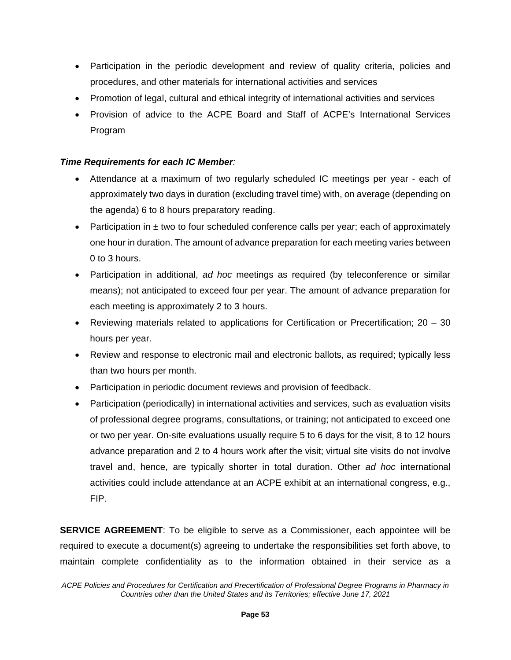- Participation in the periodic development and review of quality criteria, policies and procedures, and other materials for international activities and services
- Promotion of legal, cultural and ethical integrity of international activities and services
- Provision of advice to the ACPE Board and Staff of ACPE's International Services Program

## *Time Requirements for each IC Member:*

- Attendance at a maximum of two regularly scheduled IC meetings per year each of approximately two days in duration (excluding travel time) with, on average (depending on the agenda) 6 to 8 hours preparatory reading.
- Participation in  $\pm$  two to four scheduled conference calls per year; each of approximately one hour in duration. The amount of advance preparation for each meeting varies between 0 to 3 hours.
- Participation in additional, *ad hoc* meetings as required (by teleconference or similar means); not anticipated to exceed four per year. The amount of advance preparation for each meeting is approximately 2 to 3 hours.
- Reviewing materials related to applications for Certification or Precertification; 20 30 hours per year.
- Review and response to electronic mail and electronic ballots, as required; typically less than two hours per month.
- Participation in periodic document reviews and provision of feedback.
- Participation (periodically) in international activities and services, such as evaluation visits of professional degree programs, consultations, or training; not anticipated to exceed one or two per year. On-site evaluations usually require 5 to 6 days for the visit, 8 to 12 hours advance preparation and 2 to 4 hours work after the visit; virtual site visits do not involve travel and, hence, are typically shorter in total duration. Other *ad hoc* international activities could include attendance at an ACPE exhibit at an international congress, e.g., FIP.

**SERVICE AGREEMENT:** To be eligible to serve as a Commissioner, each appointee will be required to execute a document(s) agreeing to undertake the responsibilities set forth above, to maintain complete confidentiality as to the information obtained in their service as a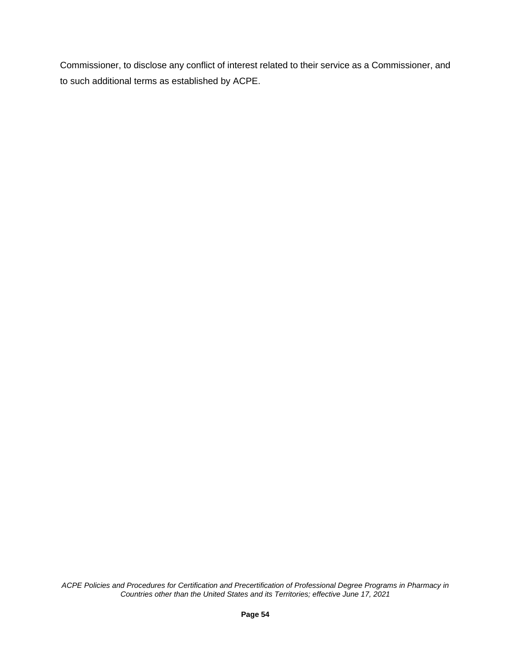Commissioner, to disclose any conflict of interest related to their service as a Commissioner, and to such additional terms as established by ACPE.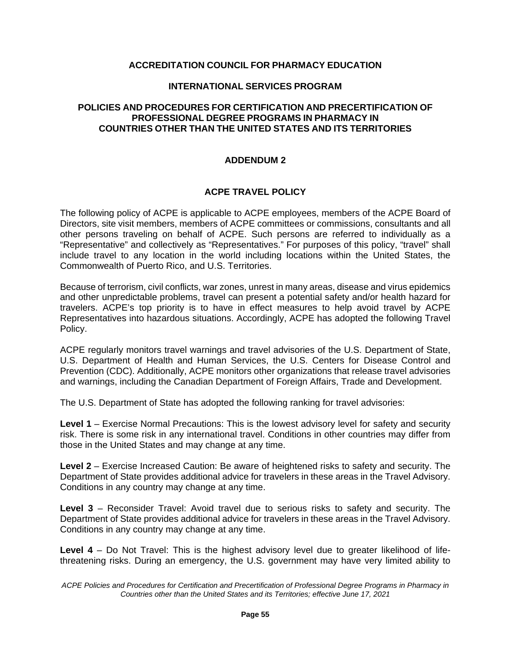## **ACCREDITATION COUNCIL FOR PHARMACY EDUCATION**

#### **INTERNATIONAL SERVICES PROGRAM**

#### **POLICIES AND PROCEDURES FOR CERTIFICATION AND PRECERTIFICATION OF PROFESSIONAL DEGREE PROGRAMS IN PHARMACY IN COUNTRIES OTHER THAN THE UNITED STATES AND ITS TERRITORIES**

## **ADDENDUM 2**

## **ACPE TRAVEL POLICY**

The following policy of ACPE is applicable to ACPE employees, members of the ACPE Board of Directors, site visit members, members of ACPE committees or commissions, consultants and all other persons traveling on behalf of ACPE. Such persons are referred to individually as a "Representative" and collectively as "Representatives." For purposes of this policy, "travel" shall include travel to any location in the world including locations within the United States, the Commonwealth of Puerto Rico, and U.S. Territories.

Because of terrorism, civil conflicts, war zones, unrest in many areas, disease and virus epidemics and other unpredictable problems, travel can present a potential safety and/or health hazard for travelers. ACPE's top priority is to have in effect measures to help avoid travel by ACPE Representatives into hazardous situations. Accordingly, ACPE has adopted the following Travel Policy.

ACPE regularly monitors travel warnings and travel advisories of the U.S. Department of State, U.S. Department of Health and Human Services, the U.S. Centers for Disease Control and Prevention (CDC). Additionally, ACPE monitors other organizations that release travel advisories and warnings, including the Canadian Department of Foreign Affairs, Trade and Development.

The U.S. Department of State has adopted the following ranking for travel advisories:

**Level 1** – Exercise Normal Precautions: This is the lowest advisory level for safety and security risk. There is some risk in any international travel. Conditions in other countries may differ from those in the United States and may change at any time.

**Level 2** – Exercise Increased Caution: Be aware of heightened risks to safety and security. The Department of State provides additional advice for travelers in these areas in the Travel Advisory. Conditions in any country may change at any time.

**Level 3** – Reconsider Travel: Avoid travel due to serious risks to safety and security. The Department of State provides additional advice for travelers in these areas in the Travel Advisory. Conditions in any country may change at any time.

**Level 4** – Do Not Travel: This is the highest advisory level due to greater likelihood of lifethreatening risks. During an emergency, the U.S. government may have very limited ability to

*ACPE Policies and Procedures for Certification and Precertification of Professional Degree Programs in Pharmacy in Countries other than the United States and its Territories; effective June 17, 2021*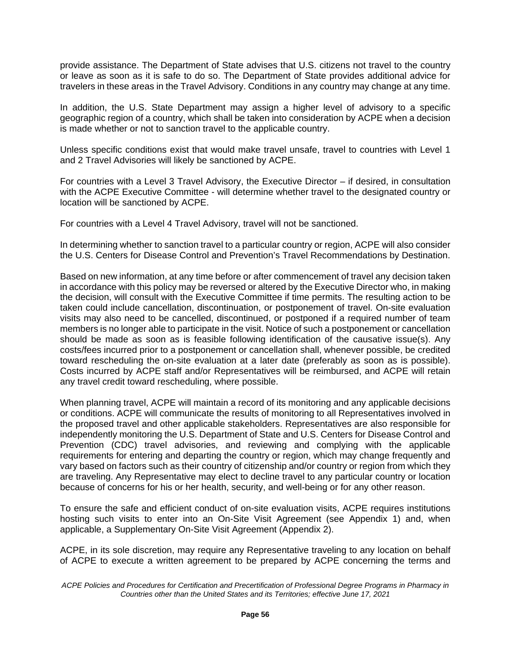provide assistance. The Department of State advises that U.S. citizens not travel to the country or leave as soon as it is safe to do so. The Department of State provides additional advice for travelers in these areas in the Travel Advisory. Conditions in any country may change at any time.

In addition, the U.S. State Department may assign a higher level of advisory to a specific geographic region of a country, which shall be taken into consideration by ACPE when a decision is made whether or not to sanction travel to the applicable country.

Unless specific conditions exist that would make travel unsafe, travel to countries with Level 1 and 2 Travel Advisories will likely be sanctioned by ACPE.

For countries with a Level 3 Travel Advisory, the Executive Director – if desired, in consultation with the ACPE Executive Committee - will determine whether travel to the designated country or location will be sanctioned by ACPE.

For countries with a Level 4 Travel Advisory, travel will not be sanctioned.

In determining whether to sanction travel to a particular country or region, ACPE will also consider the U.S. Centers for Disease Control and Prevention's Travel Recommendations by Destination.

Based on new information, at any time before or after commencement of travel any decision taken in accordance with this policy may be reversed or altered by the Executive Director who, in making the decision, will consult with the Executive Committee if time permits. The resulting action to be taken could include cancellation, discontinuation, or postponement of travel. On-site evaluation visits may also need to be cancelled, discontinued, or postponed if a required number of team members is no longer able to participate in the visit. Notice of such a postponement or cancellation should be made as soon as is feasible following identification of the causative issue(s). Any costs/fees incurred prior to a postponement or cancellation shall, whenever possible, be credited toward rescheduling the on-site evaluation at a later date (preferably as soon as is possible). Costs incurred by ACPE staff and/or Representatives will be reimbursed, and ACPE will retain any travel credit toward rescheduling, where possible.

When planning travel, ACPE will maintain a record of its monitoring and any applicable decisions or conditions. ACPE will communicate the results of monitoring to all Representatives involved in the proposed travel and other applicable stakeholders. Representatives are also responsible for independently monitoring the U.S. Department of State and U.S. Centers for Disease Control and Prevention (CDC) travel advisories, and reviewing and complying with the applicable requirements for entering and departing the country or region, which may change frequently and vary based on factors such as their country of citizenship and/or country or region from which they are traveling. Any Representative may elect to decline travel to any particular country or location because of concerns for his or her health, security, and well-being or for any other reason.

To ensure the safe and efficient conduct of on-site evaluation visits, ACPE requires institutions hosting such visits to enter into an On-Site Visit Agreement (see Appendix 1) and, when applicable, a Supplementary On-Site Visit Agreement (Appendix 2).

ACPE, in its sole discretion, may require any Representative traveling to any location on behalf of ACPE to execute a written agreement to be prepared by ACPE concerning the terms and

*ACPE Policies and Procedures for Certification and Precertification of Professional Degree Programs in Pharmacy in Countries other than the United States and its Territories; effective June 17, 2021*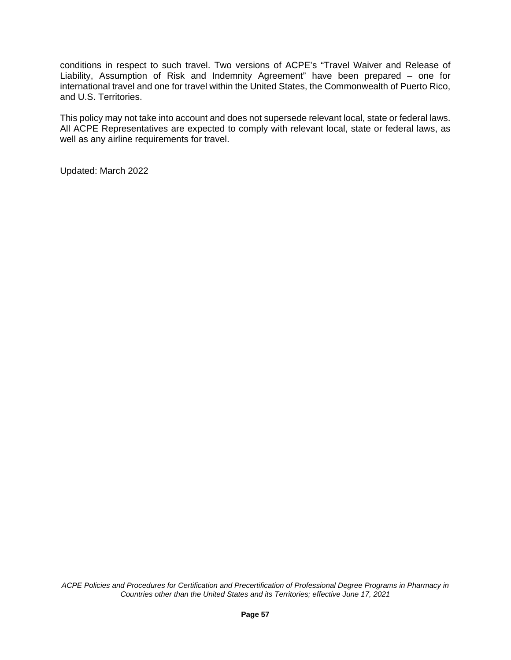conditions in respect to such travel. Two versions of ACPE's "Travel Waiver and Release of Liability, Assumption of Risk and Indemnity Agreement" have been prepared – one for international travel and one for travel within the United States, the Commonwealth of Puerto Rico, and U.S. Territories.

This policy may not take into account and does not supersede relevant local, state or federal laws. All ACPE Representatives are expected to comply with relevant local, state or federal laws, as well as any airline requirements for travel.

Updated: March 2022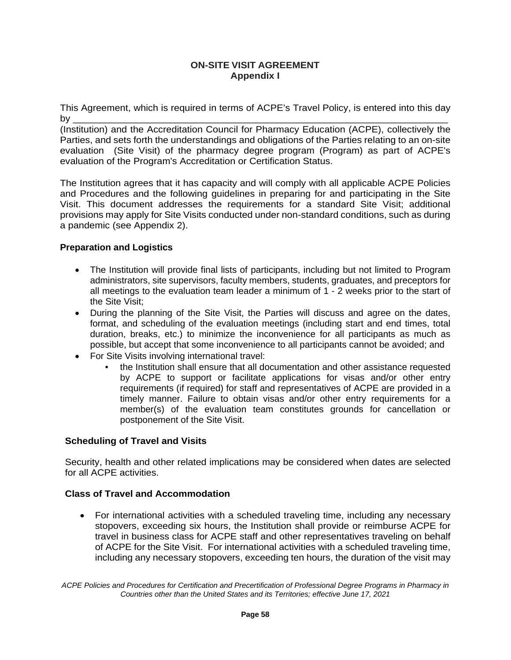## **ON-SITE VISIT AGREEMENT Appendix I**

This Agreement, which is required in terms of ACPE's Travel Policy, is entered into this day by \_\_\_\_\_\_\_\_\_\_\_\_\_\_\_\_\_\_\_\_\_\_\_\_\_\_\_\_\_\_\_\_\_\_\_\_\_\_\_\_\_\_\_\_\_\_\_\_\_\_\_\_\_\_\_\_\_\_\_\_\_\_\_\_\_\_\_\_\_\_

(Institution) and the Accreditation Council for Pharmacy Education (ACPE), collectively the Parties, and sets forth the understandings and obligations of the Parties relating to an on-site evaluation (Site Visit) of the pharmacy degree program (Program) as part of ACPE's evaluation of the Program's Accreditation or Certification Status.

The Institution agrees that it has capacity and will comply with all applicable ACPE Policies and Procedures and the following guidelines in preparing for and participating in the Site Visit. This document addresses the requirements for a standard Site Visit; additional provisions may apply for Site Visits conducted under non-standard conditions, such as during a pandemic (see Appendix 2).

# **Preparation and Logistics**

- The Institution will provide final lists of participants, including but not limited to Program administrators, site supervisors, faculty members, students, graduates, and preceptors for all meetings to the evaluation team leader a minimum of 1 - 2 weeks prior to the start of the Site Visit;
- During the planning of the Site Visit, the Parties will discuss and agree on the dates, format, and scheduling of the evaluation meetings (including start and end times, total duration, breaks, etc.) to minimize the inconvenience for all participants as much as possible, but accept that some inconvenience to all participants cannot be avoided; and
- For Site Visits involving international travel:
	- the Institution shall ensure that all documentation and other assistance requested by ACPE to support or facilitate applications for visas and/or other entry requirements (if required) for staff and representatives of ACPE are provided in a timely manner. Failure to obtain visas and/or other entry requirements for a member(s) of the evaluation team constitutes grounds for cancellation or postponement of the Site Visit.

#### **Scheduling of Travel and Visits**

Security, health and other related implications may be considered when dates are selected for all ACPE activities.

#### **Class of Travel and Accommodation**

• For international activities with a scheduled traveling time, including any necessary stopovers, exceeding six hours, the Institution shall provide or reimburse ACPE for travel in business class for ACPE staff and other representatives traveling on behalf of ACPE for the Site Visit. For international activities with a scheduled traveling time, including any necessary stopovers, exceeding ten hours, the duration of the visit may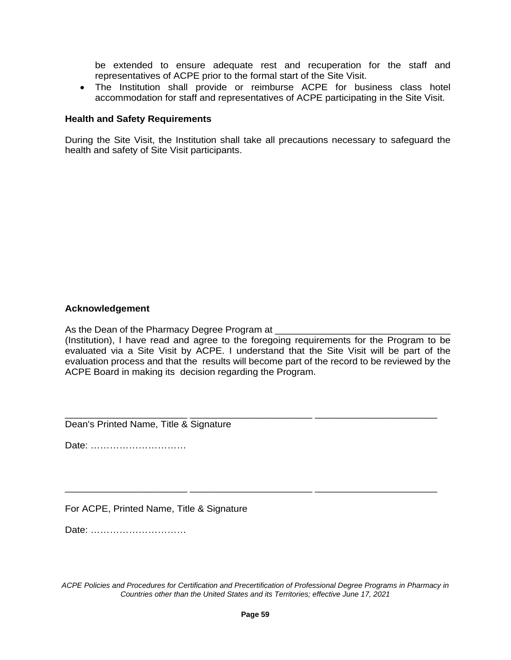be extended to ensure adequate rest and recuperation for the staff and representatives of ACPE prior to the formal start of the Site Visit.

• The Institution shall provide or reimburse ACPE for business class hotel accommodation for staff and representatives of ACPE participating in the Site Visit.

#### **Health and Safety Requirements**

During the Site Visit, the Institution shall take all precautions necessary to safeguard the health and safety of Site Visit participants.

#### **Acknowledgement**

As the Dean of the Pharmacy Degree Program at

(Institution), I have read and agree to the foregoing requirements for the Program to be evaluated via a Site Visit by ACPE. I understand that the Site Visit will be part of the evaluation process and that the results will become part of the record to be reviewed by the ACPE Board in making its decision regarding the Program.

\_\_\_\_\_\_\_\_\_\_\_\_\_\_\_\_\_\_\_\_\_\_\_ \_\_\_\_\_\_\_\_\_\_\_\_\_\_\_\_\_\_\_\_\_\_\_ \_\_\_\_\_\_\_\_\_\_\_\_\_\_\_\_\_\_\_\_\_\_\_ Dean's Printed Name, Title & Signature

Date: …………………………

For ACPE, Printed Name, Title & Signature

Date: …………………………

*ACPE Policies and Procedures for Certification and Precertification of Professional Degree Programs in Pharmacy in Countries other than the United States and its Territories; effective June 17, 2021*

\_\_\_\_\_\_\_\_\_\_\_\_\_\_\_\_\_\_\_\_\_\_\_ \_\_\_\_\_\_\_\_\_\_\_\_\_\_\_\_\_\_\_\_\_\_\_ \_\_\_\_\_\_\_\_\_\_\_\_\_\_\_\_\_\_\_\_\_\_\_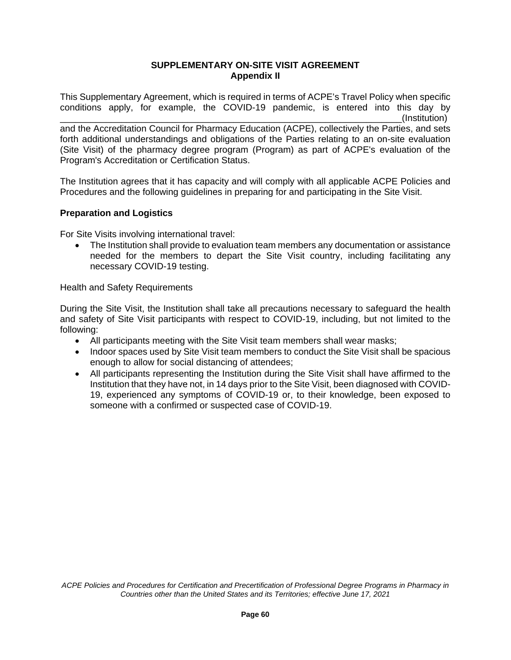#### **SUPPLEMENTARY ON-SITE VISIT AGREEMENT Appendix II**

This Supplementary Agreement, which is required in terms of ACPE's Travel Policy when specific conditions apply, for example, the COVID-19 pandemic, is entered into this day by

\_\_\_\_\_\_\_\_\_\_\_\_\_\_\_\_\_\_\_\_\_\_\_\_\_\_\_\_\_\_\_\_\_\_\_\_\_\_\_\_\_\_\_\_\_\_\_\_\_\_\_\_\_\_\_\_\_\_\_\_\_\_\_\_\_\_\_(Institution) and the Accreditation Council for Pharmacy Education (ACPE), collectively the Parties, and sets forth additional understandings and obligations of the Parties relating to an on-site evaluation (Site Visit) of the pharmacy degree program (Program) as part of ACPE's evaluation of the Program's Accreditation or Certification Status.

The Institution agrees that it has capacity and will comply with all applicable ACPE Policies and Procedures and the following guidelines in preparing for and participating in the Site Visit.

## **Preparation and Logistics**

For Site Visits involving international travel:

• The Institution shall provide to evaluation team members any documentation or assistance needed for the members to depart the Site Visit country, including facilitating any necessary COVID-19 testing.

Health and Safety Requirements

During the Site Visit, the Institution shall take all precautions necessary to safeguard the health and safety of Site Visit participants with respect to COVID-19, including, but not limited to the following:

- All participants meeting with the Site Visit team members shall wear masks;
- Indoor spaces used by Site Visit team members to conduct the Site Visit shall be spacious enough to allow for social distancing of attendees;
- All participants representing the Institution during the Site Visit shall have affirmed to the Institution that they have not, in 14 days prior to the Site Visit, been diagnosed with COVID-19, experienced any symptoms of COVID-19 or, to their knowledge, been exposed to someone with a confirmed or suspected case of COVID-19.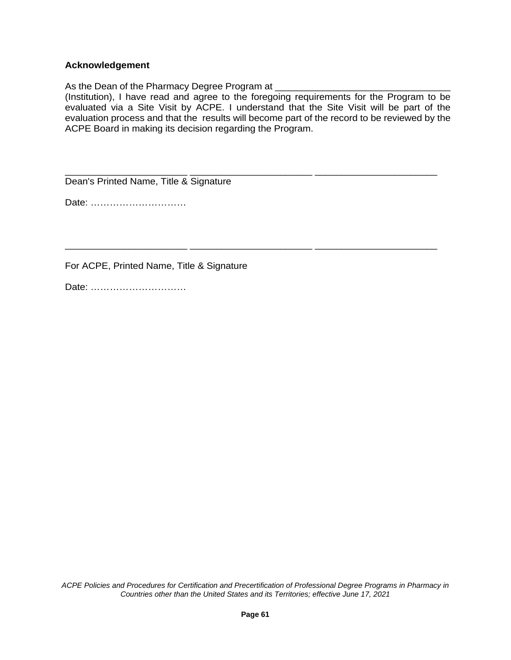#### **Acknowledgement**

As the Dean of the Pharmacy Degree Program at

(Institution), I have read and agree to the foregoing requirements for the Program to be evaluated via a Site Visit by ACPE. I understand that the Site Visit will be part of the evaluation process and that the results will become part of the record to be reviewed by the ACPE Board in making its decision regarding the Program.

\_\_\_\_\_\_\_\_\_\_\_\_\_\_\_\_\_\_\_\_\_\_\_ \_\_\_\_\_\_\_\_\_\_\_\_\_\_\_\_\_\_\_\_\_\_\_ \_\_\_\_\_\_\_\_\_\_\_\_\_\_\_\_\_\_\_\_\_\_\_

\_\_\_\_\_\_\_\_\_\_\_\_\_\_\_\_\_\_\_\_\_\_\_ \_\_\_\_\_\_\_\_\_\_\_\_\_\_\_\_\_\_\_\_\_\_\_ \_\_\_\_\_\_\_\_\_\_\_\_\_\_\_\_\_\_\_\_\_\_\_ Dean's Printed Name, Title & Signature

Date: …………………………

For ACPE, Printed Name, Title & Signature

Date: …………………………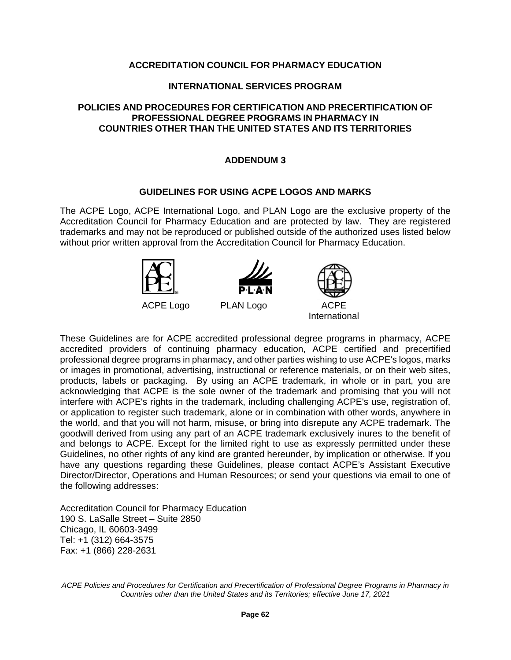#### **INTERNATIONAL SERVICES PROGRAM**

### **POLICIES AND PROCEDURES FOR CERTIFICATION AND PRECERTIFICATION OF PROFESSIONAL DEGREE PROGRAMS IN PHARMACY IN COUNTRIES OTHER THAN THE UNITED STATES AND ITS TERRITORIES**

### **ADDENDUM 3**

#### **GUIDELINES FOR USING ACPE LOGOS AND MARKS**

The ACPE Logo, ACPE International Logo, and PLAN Logo are the exclusive property of the Accreditation Council for Pharmacy Education and are protected by law. They are registered trademarks and may not be reproduced or published outside of the authorized uses listed below without prior written approval from the Accreditation Council for Pharmacy Education.





International

These Guidelines are for ACPE accredited professional degree programs in pharmacy, ACPE accredited providers of continuing pharmacy education, ACPE certified and precertified professional degree programs in pharmacy, and other parties wishing to use ACPE's logos, marks or images in promotional, advertising, instructional or reference materials, or on their web sites, products, labels or packaging. By using an ACPE trademark, in whole or in part, you are acknowledging that ACPE is the sole owner of the trademark and promising that you will not interfere with ACPE's rights in the trademark, including challenging ACPE's use, registration of, or application to register such trademark, alone or in combination with other words, anywhere in the world, and that you will not harm, misuse, or bring into disrepute any ACPE trademark. The goodwill derived from using any part of an ACPE trademark exclusively inures to the benefit of and belongs to ACPE. Except for the limited right to use as expressly permitted under these Guidelines, no other rights of any kind are granted hereunder, by implication or otherwise. If you have any questions regarding these Guidelines, please contact ACPE's Assistant Executive Director/Director, Operations and Human Resources; or send your questions via email to one of the following addresses:

Accreditation Council for Pharmacy Education 190 S. LaSalle Street – Suite 2850 Chicago, IL 60603-3499 Tel: +1 (312) 664-3575 Fax: +1 (866) 228-2631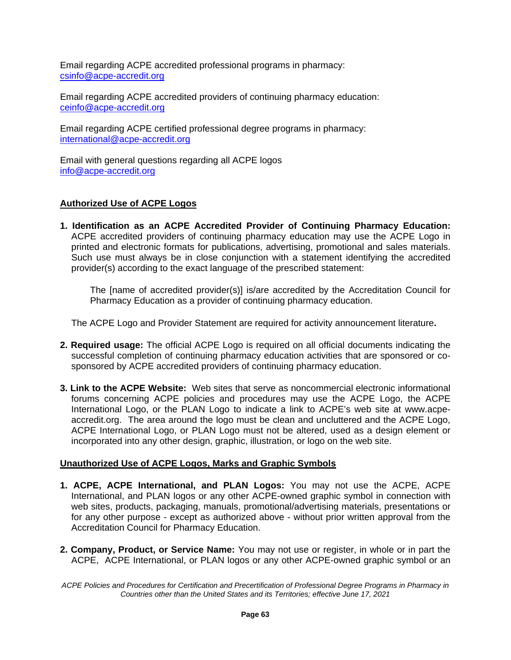Email regarding ACPE accredited professional programs in pharmacy: [csinfo@acpe-accredit.org](mailto:csinfo@acpe-accredit.org)

Email regarding ACPE accredited providers of continuing pharmacy education: [ceinfo@acpe-accredit.org](mailto:ceinfo@acpe-accredit.org)

Email regarding ACPE certified professional degree programs in pharmacy: [international@acpe-accredit.org](mailto:international@acpe-accredit.org)

Email with general questions regarding all ACPE logos [info@acpe-accredit.org](mailto:info@acpe-accredit.org)

### **Authorized Use of ACPE Logos**

**1. Identification as an ACPE Accredited Provider of Continuing Pharmacy Education:**  ACPE accredited providers of continuing pharmacy education may use the ACPE Logo in printed and electronic formats for publications, advertising, promotional and sales materials. Such use must always be in close conjunction with a statement identifying the accredited provider(s) according to the exact language of the prescribed statement:

The [name of accredited provider(s)] is/are accredited by the Accreditation Council for Pharmacy Education as a provider of continuing pharmacy education.

The ACPE Logo and Provider Statement are required for activity announcement literature**.**

- **2. Required usage:** The official ACPE Logo is required on all official documents indicating the successful completion of continuing pharmacy education activities that are sponsored or cosponsored by ACPE accredited providers of continuing pharmacy education.
- **3. Link to the ACPE Website:** Web sites that serve as noncommercial electronic informational forums concerning ACPE policies and procedures may use the ACPE Logo, the ACPE International Logo, or the PLAN Logo to indicate a link to ACPE's web site at www.acpeaccredit.org. The area around the logo must be clean and uncluttered and the ACPE Logo, ACPE International Logo, or PLAN Logo must not be altered, used as a design element or incorporated into any other design, graphic, illustration, or logo on the web site.

### **Unauthorized Use of ACPE Logos, Marks and Graphic Symbols**

- **1. ACPE, ACPE International, and PLAN Logos:** You may not use the ACPE, ACPE International, and PLAN logos or any other ACPE-owned graphic symbol in connection with web sites, products, packaging, manuals, promotional/advertising materials, presentations or for any other purpose - except as authorized above - without prior written approval from the Accreditation Council for Pharmacy Education.
- **2. Company, Product, or Service Name:** You may not use or register, in whole or in part the ACPE, ACPE International, or PLAN logos or any other ACPE-owned graphic symbol or an

*ACPE Policies and Procedures for Certification and Precertification of Professional Degree Programs in Pharmacy in Countries other than the United States and its Territories; effective June 17, 2021*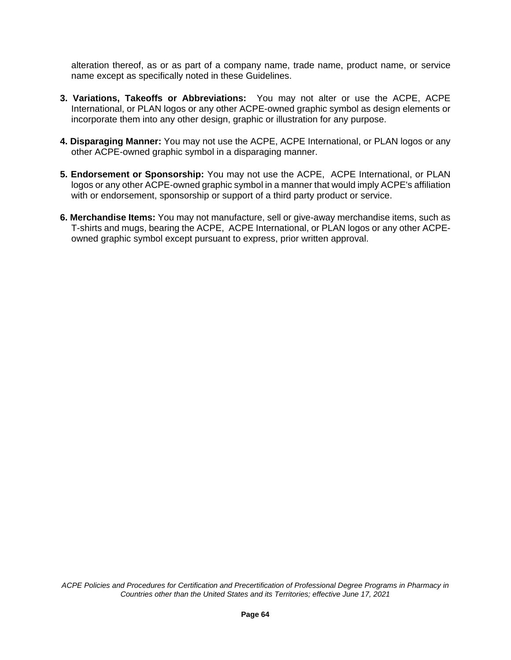alteration thereof, as or as part of a company name, trade name, product name, or service name except as specifically noted in these Guidelines.

- **3. Variations, Takeoffs or Abbreviations:** You may not alter or use the ACPE, ACPE International, or PLAN logos or any other ACPE-owned graphic symbol as design elements or incorporate them into any other design, graphic or illustration for any purpose.
- **4. Disparaging Manner:** You may not use the ACPE, ACPE International, or PLAN logos or any other ACPE-owned graphic symbol in a disparaging manner.
- **5. Endorsement or Sponsorship:** You may not use the ACPE, ACPE International, or PLAN logos or any other ACPE-owned graphic symbol in a manner that would imply ACPE's affiliation with or endorsement, sponsorship or support of a third party product or service.
- **6. Merchandise Items:** You may not manufacture, sell or give-away merchandise items, such as T-shirts and mugs, bearing the ACPE, ACPE International, or PLAN logos or any other ACPEowned graphic symbol except pursuant to express, prior written approval.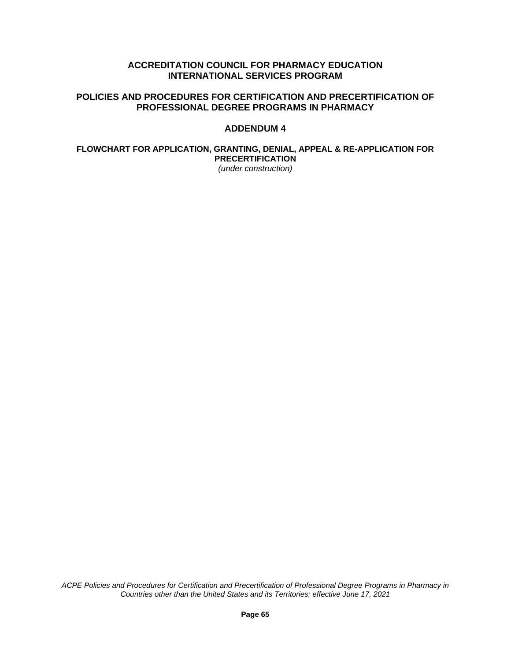### **ACCREDITATION COUNCIL FOR PHARMACY EDUCATION INTERNATIONAL SERVICES PROGRAM**

### **POLICIES AND PROCEDURES FOR CERTIFICATION AND PRECERTIFICATION OF PROFESSIONAL DEGREE PROGRAMS IN PHARMACY**

### **ADDENDUM 4**

#### **FLOWCHART FOR APPLICATION, GRANTING, DENIAL, APPEAL & RE-APPLICATION FOR PRECERTIFICATION** *(under construction)*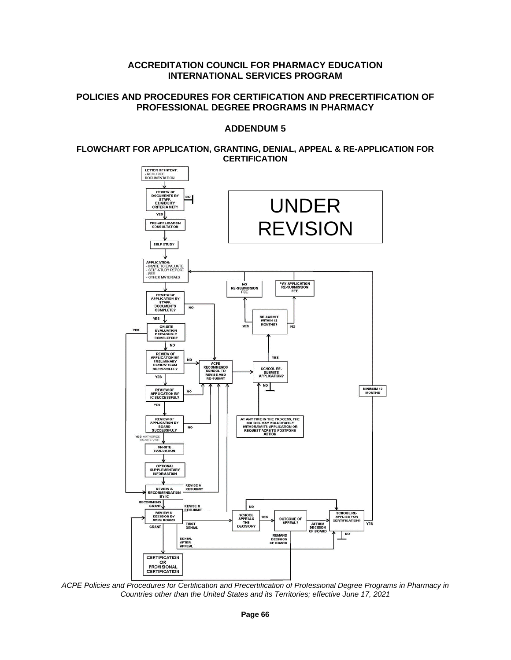#### **ACCREDITATION COUNCIL FOR PHARMACY EDUCATION INTERNATIONAL SERVICES PROGRAM**

### **POLICIES AND PROCEDURES FOR CERTIFICATION AND PRECERTIFICATION OF PROFESSIONAL DEGREE PROGRAMS IN PHARMACY**

### **ADDENDUM 5**

#### **FLOWCHART FOR APPLICATION, GRANTING, DENIAL, APPEAL & RE-APPLICATION FOR CERTIFICATION**



*ACPE Policies and Procedures for Certification and Precertification of Professional Degree Programs in Pharmacy in Countries other than the United States and its Territories; effective June 17, 2021*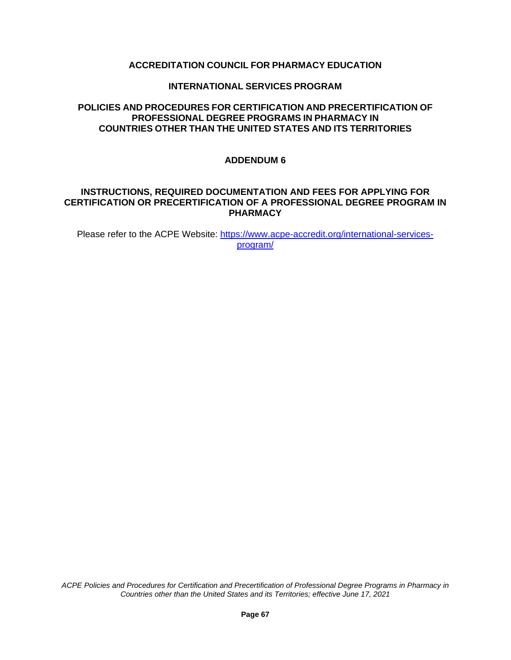### **INTERNATIONAL SERVICES PROGRAM**

### **POLICIES AND PROCEDURES FOR CERTIFICATION AND PRECERTIFICATION OF PROFESSIONAL DEGREE PROGRAMS IN PHARMACY IN COUNTRIES OTHER THAN THE UNITED STATES AND ITS TERRITORIES**

### **ADDENDUM 6**

#### **INSTRUCTIONS, REQUIRED DOCUMENTATION AND FEES FOR APPLYING FOR CERTIFICATION OR PRECERTIFICATION OF A PROFESSIONAL DEGREE PROGRAM IN PHARMACY**

Please refer to the ACPE Website: [https://www.acpe-accredit.org/international-services](https://www.acpe-accredit.org/international-services-program/)[program/](https://www.acpe-accredit.org/international-services-program/)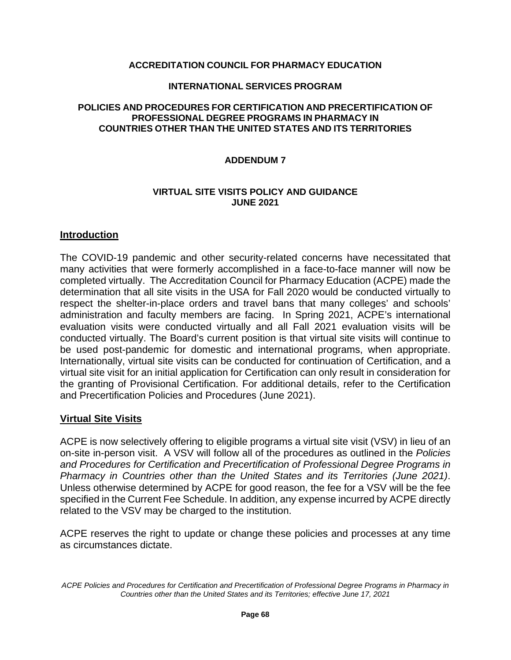### **INTERNATIONAL SERVICES PROGRAM**

### **POLICIES AND PROCEDURES FOR CERTIFICATION AND PRECERTIFICATION OF PROFESSIONAL DEGREE PROGRAMS IN PHARMACY IN COUNTRIES OTHER THAN THE UNITED STATES AND ITS TERRITORIES**

### **ADDENDUM 7**

### **VIRTUAL SITE VISITS POLICY AND GUIDANCE JUNE 2021**

### **Introduction**

The COVID-19 pandemic and other security-related concerns have necessitated that many activities that were formerly accomplished in a face-to-face manner will now be completed virtually. The Accreditation Council for Pharmacy Education (ACPE) made the determination that all site visits in the USA for Fall 2020 would be conducted virtually to respect the shelter-in-place orders and travel bans that many colleges' and schools' administration and faculty members are facing. In Spring 2021, ACPE's international evaluation visits were conducted virtually and all Fall 2021 evaluation visits will be conducted virtually. The Board's current position is that virtual site visits will continue to be used post-pandemic for domestic and international programs, when appropriate. Internationally, virtual site visits can be conducted for continuation of Certification, and a virtual site visit for an initial application for Certification can only result in consideration for the granting of Provisional Certification. For additional details, refer to the Certification and Precertification Policies and Procedures (June 2021).

## **Virtual Site Visits**

ACPE is now selectively offering to eligible programs a virtual site visit (VSV) in lieu of an on-site in-person visit. A VSV will follow all of the procedures as outlined in the *Policies and Procedures for Certification and Precertification of Professional Degree Programs in Pharmacy in Countries other than the United States and its Territories (June 2021)*. Unless otherwise determined by ACPE for good reason, the fee for a VSV will be the fee specified in the Current Fee Schedule. In addition, any expense incurred by ACPE directly related to the VSV may be charged to the institution.

ACPE reserves the right to update or change these policies and processes at any time as circumstances dictate.

*ACPE Policies and Procedures for Certification and Precertification of Professional Degree Programs in Pharmacy in Countries other than the United States and its Territories; effective June 17, 2021*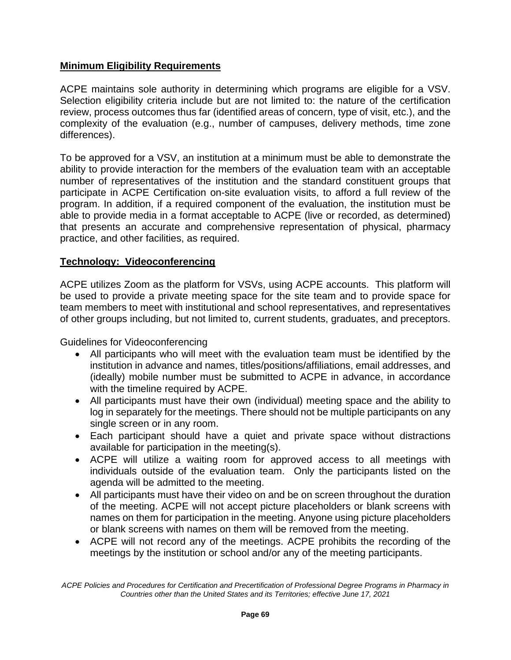# **Minimum Eligibility Requirements**

ACPE maintains sole authority in determining which programs are eligible for a VSV. Selection eligibility criteria include but are not limited to: the nature of the certification review, process outcomes thus far (identified areas of concern, type of visit, etc.), and the complexity of the evaluation (e.g., number of campuses, delivery methods, time zone differences).

To be approved for a VSV, an institution at a minimum must be able to demonstrate the ability to provide interaction for the members of the evaluation team with an acceptable number of representatives of the institution and the standard constituent groups that participate in ACPE Certification on-site evaluation visits, to afford a full review of the program. In addition, if a required component of the evaluation, the institution must be able to provide media in a format acceptable to ACPE (live or recorded, as determined) that presents an accurate and comprehensive representation of physical, pharmacy practice, and other facilities, as required.

## **Technology: Videoconferencing**

ACPE utilizes Zoom as the platform for VSVs, using ACPE accounts. This platform will be used to provide a private meeting space for the site team and to provide space for team members to meet with institutional and school representatives, and representatives of other groups including, but not limited to, current students, graduates, and preceptors.

Guidelines for Videoconferencing

- All participants who will meet with the evaluation team must be identified by the institution in advance and names, titles/positions/affiliations, email addresses, and (ideally) mobile number must be submitted to ACPE in advance, in accordance with the timeline required by ACPE.
- All participants must have their own (individual) meeting space and the ability to log in separately for the meetings. There should not be multiple participants on any single screen or in any room.
- Each participant should have a quiet and private space without distractions available for participation in the meeting(s).
- ACPE will utilize a waiting room for approved access to all meetings with individuals outside of the evaluation team. Only the participants listed on the agenda will be admitted to the meeting.
- All participants must have their video on and be on screen throughout the duration of the meeting. ACPE will not accept picture placeholders or blank screens with names on them for participation in the meeting. Anyone using picture placeholders or blank screens with names on them will be removed from the meeting.
- ACPE will not record any of the meetings. ACPE prohibits the recording of the meetings by the institution or school and/or any of the meeting participants.

*ACPE Policies and Procedures for Certification and Precertification of Professional Degree Programs in Pharmacy in Countries other than the United States and its Territories; effective June 17, 2021*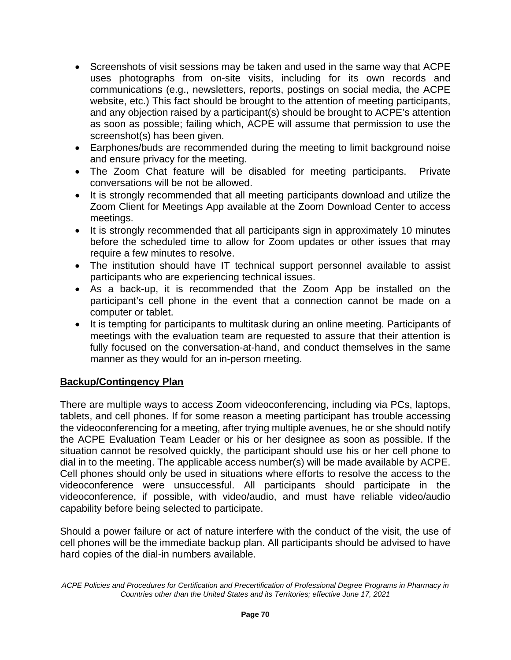- Screenshots of visit sessions may be taken and used in the same way that ACPE uses photographs from on-site visits, including for its own records and communications (e.g., newsletters, reports, postings on social media, the ACPE website, etc.) This fact should be brought to the attention of meeting participants, and any objection raised by a participant(s) should be brought to ACPE's attention as soon as possible; failing which, ACPE will assume that permission to use the screenshot(s) has been given.
- Earphones/buds are recommended during the meeting to limit background noise and ensure privacy for the meeting.
- The Zoom Chat feature will be disabled for meeting participants. Private conversations will be not be allowed.
- It is strongly recommended that all meeting participants download and utilize the Zoom Client for Meetings App available at the Zoom Download Center to access meetings.
- It is strongly recommended that all participants sign in approximately 10 minutes before the scheduled time to allow for Zoom updates or other issues that may require a few minutes to resolve.
- The institution should have IT technical support personnel available to assist participants who are experiencing technical issues.
- As a back-up, it is recommended that the Zoom App be installed on the participant's cell phone in the event that a connection cannot be made on a computer or tablet.
- It is tempting for participants to multitask during an online meeting. Participants of meetings with the evaluation team are requested to assure that their attention is fully focused on the conversation-at-hand, and conduct themselves in the same manner as they would for an in-person meeting.

# **Backup/Contingency Plan**

There are multiple ways to access Zoom videoconferencing, including via PCs, laptops, tablets, and cell phones. If for some reason a meeting participant has trouble accessing the videoconferencing for a meeting, after trying multiple avenues, he or she should notify the ACPE Evaluation Team Leader or his or her designee as soon as possible. If the situation cannot be resolved quickly, the participant should use his or her cell phone to dial in to the meeting. The applicable access number(s) will be made available by ACPE. Cell phones should only be used in situations where efforts to resolve the access to the videoconference were unsuccessful. All participants should participate in the videoconference, if possible, with video/audio, and must have reliable video/audio capability before being selected to participate.

Should a power failure or act of nature interfere with the conduct of the visit, the use of cell phones will be the immediate backup plan. All participants should be advised to have hard copies of the dial-in numbers available.

*ACPE Policies and Procedures for Certification and Precertification of Professional Degree Programs in Pharmacy in Countries other than the United States and its Territories; effective June 17, 2021*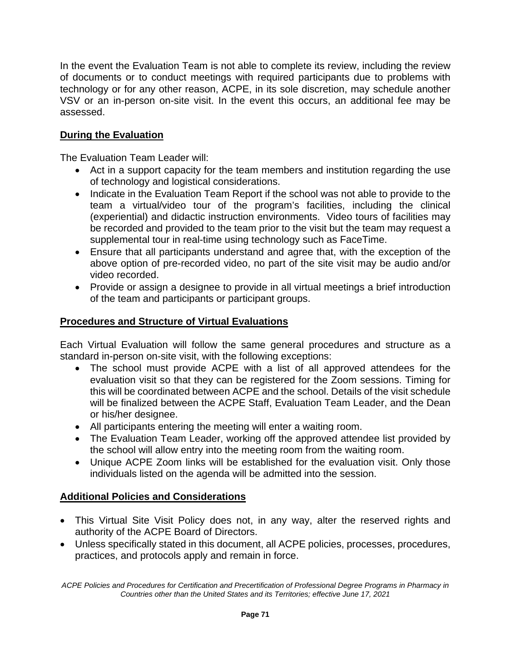In the event the Evaluation Team is not able to complete its review, including the review of documents or to conduct meetings with required participants due to problems with technology or for any other reason, ACPE, in its sole discretion, may schedule another VSV or an in-person on-site visit. In the event this occurs, an additional fee may be assessed.

# **During the Evaluation**

The Evaluation Team Leader will:

- Act in a support capacity for the team members and institution regarding the use of technology and logistical considerations.
- Indicate in the Evaluation Team Report if the school was not able to provide to the team a virtual/video tour of the program's facilities, including the clinical (experiential) and didactic instruction environments. Video tours of facilities may be recorded and provided to the team prior to the visit but the team may request a supplemental tour in real-time using technology such as FaceTime.
- Ensure that all participants understand and agree that, with the exception of the above option of pre-recorded video, no part of the site visit may be audio and/or video recorded.
- Provide or assign a designee to provide in all virtual meetings a brief introduction of the team and participants or participant groups.

# **Procedures and Structure of Virtual Evaluations**

Each Virtual Evaluation will follow the same general procedures and structure as a standard in-person on-site visit, with the following exceptions:

- The school must provide ACPE with a list of all approved attendees for the evaluation visit so that they can be registered for the Zoom sessions. Timing for this will be coordinated between ACPE and the school. Details of the visit schedule will be finalized between the ACPE Staff, Evaluation Team Leader, and the Dean or his/her designee.
- All participants entering the meeting will enter a waiting room.
- The Evaluation Team Leader, working off the approved attendee list provided by the school will allow entry into the meeting room from the waiting room.
- Unique ACPE Zoom links will be established for the evaluation visit. Only those individuals listed on the agenda will be admitted into the session.

# **Additional Policies and Considerations**

- This Virtual Site Visit Policy does not, in any way, alter the reserved rights and authority of the ACPE Board of Directors.
- Unless specifically stated in this document, all ACPE policies, processes, procedures, practices, and protocols apply and remain in force.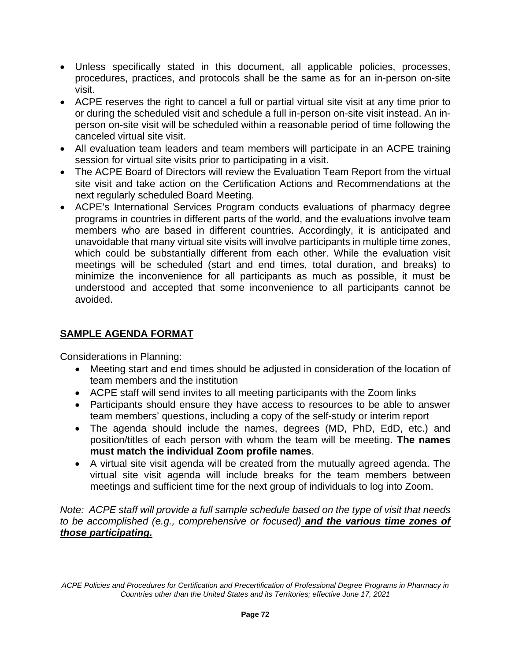- Unless specifically stated in this document, all applicable policies, processes, procedures, practices, and protocols shall be the same as for an in-person on-site visit.
- ACPE reserves the right to cancel a full or partial virtual site visit at any time prior to or during the scheduled visit and schedule a full in-person on-site visit instead. An inperson on-site visit will be scheduled within a reasonable period of time following the canceled virtual site visit.
- All evaluation team leaders and team members will participate in an ACPE training session for virtual site visits prior to participating in a visit.
- The ACPE Board of Directors will review the Evaluation Team Report from the virtual site visit and take action on the Certification Actions and Recommendations at the next regularly scheduled Board Meeting.
- ACPE's International Services Program conducts evaluations of pharmacy degree programs in countries in different parts of the world, and the evaluations involve team members who are based in different countries. Accordingly, it is anticipated and unavoidable that many virtual site visits will involve participants in multiple time zones, which could be substantially different from each other. While the evaluation visit meetings will be scheduled (start and end times, total duration, and breaks) to minimize the inconvenience for all participants as much as possible, it must be understood and accepted that some inconvenience to all participants cannot be avoided.

# **SAMPLE AGENDA FORMAT**

Considerations in Planning:

- Meeting start and end times should be adjusted in consideration of the location of team members and the institution
- ACPE staff will send invites to all meeting participants with the Zoom links
- Participants should ensure they have access to resources to be able to answer team members' questions, including a copy of the self-study or interim report
- The agenda should include the names, degrees (MD, PhD, EdD, etc.) and position/titles of each person with whom the team will be meeting. **The names must match the individual Zoom profile names**.
- A virtual site visit agenda will be created from the mutually agreed agenda. The virtual site visit agenda will include breaks for the team members between meetings and sufficient time for the next group of individuals to log into Zoom.

*Note: ACPE staff will provide a full sample schedule based on the type of visit that needs to be accomplished (e.g., comprehensive or focused) and the various time zones of those participating.*

*ACPE Policies and Procedures for Certification and Precertification of Professional Degree Programs in Pharmacy in Countries other than the United States and its Territories; effective June 17, 2021*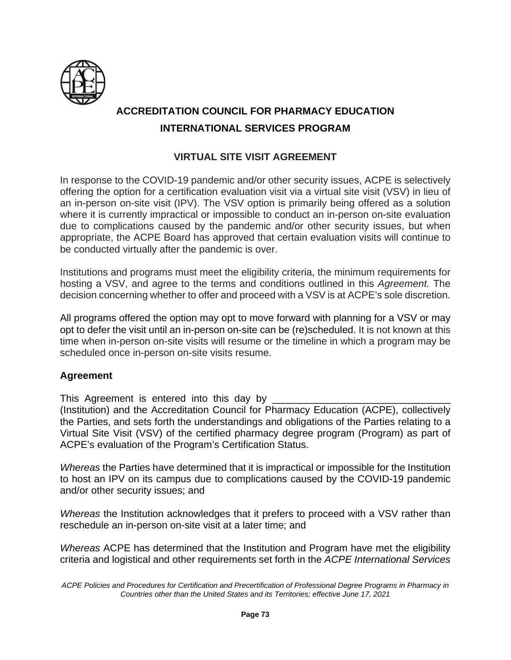

# **ACCREDITATION COUNCIL FOR PHARMACY EDUCATION INTERNATIONAL SERVICES PROGRAM**

# **VIRTUAL SITE VISIT AGREEMENT**

In response to the COVID-19 pandemic and/or other security issues, ACPE is selectively offering the option for a certification evaluation visit via a virtual site visit (VSV) in lieu of an in-person on-site visit (IPV). The VSV option is primarily being offered as a solution where it is currently impractical or impossible to conduct an in-person on-site evaluation due to complications caused by the pandemic and/or other security issues, but when appropriate, the ACPE Board has approved that certain evaluation visits will continue to be conducted virtually after the pandemic is over.

Institutions and programs must meet the eligibility criteria, the minimum requirements for hosting a VSV, and agree to the terms and conditions outlined in this *Agreement.* The decision concerning whether to offer and proceed with a VSV is at ACPE's sole discretion.

All programs offered the option may opt to move forward with planning for a VSV or may opt to defer the visit until an in-person on-site can be (re)scheduled. It is not known at this time when in-person on-site visits will resume or the timeline in which a program may be scheduled once in-person on-site visits resume.

# **Agreement**

This Agreement is entered into this day by (Institution) and the Accreditation Council for Pharmacy Education (ACPE), collectively the Parties, and sets forth the understandings and obligations of the Parties relating to a Virtual Site Visit (VSV) of the certified pharmacy degree program (Program) as part of ACPE's evaluation of the Program's Certification Status.

*Whereas* the Parties have determined that it is impractical or impossible for the Institution to host an IPV on its campus due to complications caused by the COVID-19 pandemic and/or other security issues; and

*Whereas* the Institution acknowledges that it prefers to proceed with a VSV rather than reschedule an in-person on-site visit at a later time; and

*Whereas* ACPE has determined that the Institution and Program have met the eligibility criteria and logistical and other requirements set forth in the *ACPE International Services* 

*ACPE Policies and Procedures for Certification and Precertification of Professional Degree Programs in Pharmacy in Countries other than the United States and its Territories; effective June 17, 2021*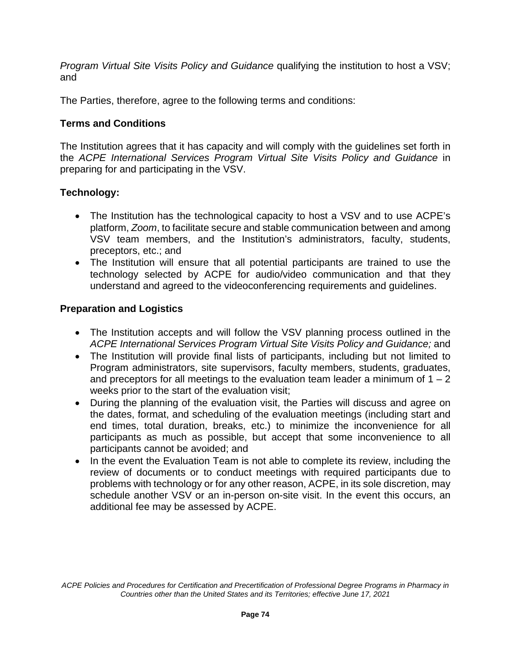*Program Virtual Site Visits Policy and Guidance* qualifying the institution to host a VSV; and

The Parties, therefore, agree to the following terms and conditions:

# **Terms and Conditions**

The Institution agrees that it has capacity and will comply with the guidelines set forth in the *ACPE International Services Program Virtual Site Visits Policy and Guidance* in preparing for and participating in the VSV.

# **Technology:**

- The Institution has the technological capacity to host a VSV and to use ACPE's platform, *Zoom*, to facilitate secure and stable communication between and among VSV team members, and the Institution's administrators, faculty, students, preceptors, etc.; and
- The Institution will ensure that all potential participants are trained to use the technology selected by ACPE for audio/video communication and that they understand and agreed to the videoconferencing requirements and guidelines.

# **Preparation and Logistics**

- The Institution accepts and will follow the VSV planning process outlined in the *ACPE International Services Program Virtual Site Visits Policy and Guidance;* and
- The Institution will provide final lists of participants, including but not limited to Program administrators, site supervisors, faculty members, students, graduates, and preceptors for all meetings to the evaluation team leader a minimum of  $1 - 2$ weeks prior to the start of the evaluation visit;
- During the planning of the evaluation visit, the Parties will discuss and agree on the dates, format, and scheduling of the evaluation meetings (including start and end times, total duration, breaks, etc.) to minimize the inconvenience for all participants as much as possible, but accept that some inconvenience to all participants cannot be avoided; and
- In the event the Evaluation Team is not able to complete its review, including the review of documents or to conduct meetings with required participants due to problems with technology or for any other reason, ACPE, in its sole discretion, may schedule another VSV or an in-person on-site visit. In the event this occurs, an additional fee may be assessed by ACPE.

*ACPE Policies and Procedures for Certification and Precertification of Professional Degree Programs in Pharmacy in Countries other than the United States and its Territories; effective June 17, 2021*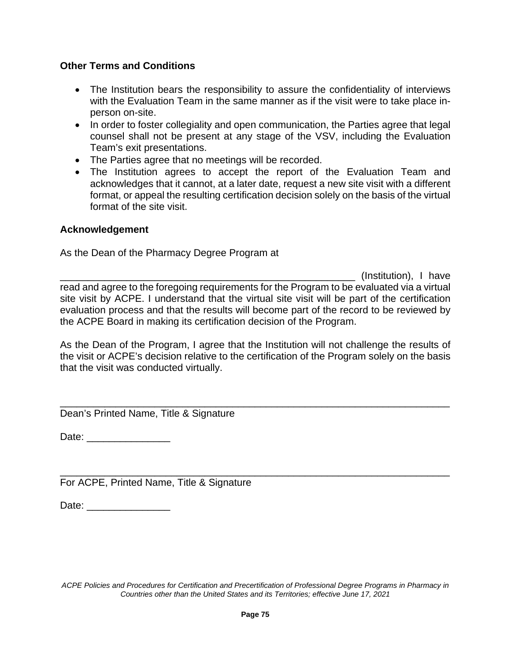## **Other Terms and Conditions**

- The Institution bears the responsibility to assure the confidentiality of interviews with the Evaluation Team in the same manner as if the visit were to take place inperson on-site.
- In order to foster collegiality and open communication, the Parties agree that legal counsel shall not be present at any stage of the VSV, including the Evaluation Team's exit presentations.
- The Parties agree that no meetings will be recorded.
- The Institution agrees to accept the report of the Evaluation Team and acknowledges that it cannot, at a later date, request a new site visit with a different format, or appeal the resulting certification decision solely on the basis of the virtual format of the site visit.

## **Acknowledgement**

As the Dean of the Pharmacy Degree Program at

\_\_\_\_\_\_\_\_\_\_\_\_\_\_\_\_\_\_\_\_\_\_\_\_\_\_\_\_\_\_\_\_\_\_\_\_\_\_\_\_\_\_\_\_\_\_\_\_\_\_\_\_\_ (Institution), I have read and agree to the foregoing requirements for the Program to be evaluated via a virtual site visit by ACPE. I understand that the virtual site visit will be part of the certification evaluation process and that the results will become part of the record to be reviewed by the ACPE Board in making its certification decision of the Program.

As the Dean of the Program, I agree that the Institution will not challenge the results of the visit or ACPE's decision relative to the certification of the Program solely on the basis that the visit was conducted virtually.

\_\_\_\_\_\_\_\_\_\_\_\_\_\_\_\_\_\_\_\_\_\_\_\_\_\_\_\_\_\_\_\_\_\_\_\_\_\_\_\_\_\_\_\_\_\_\_\_\_\_\_\_\_\_\_\_\_\_\_\_\_\_\_\_\_\_\_\_\_\_

\_\_\_\_\_\_\_\_\_\_\_\_\_\_\_\_\_\_\_\_\_\_\_\_\_\_\_\_\_\_\_\_\_\_\_\_\_\_\_\_\_\_\_\_\_\_\_\_\_\_\_\_\_\_\_\_\_\_\_\_\_\_\_\_\_\_\_\_\_\_

Dean's Printed Name, Title & Signature

Date: \_\_\_\_\_\_\_\_\_\_\_\_\_\_\_

For ACPE, Printed Name, Title & Signature

Date: \_\_\_\_\_\_\_\_\_\_\_\_\_\_\_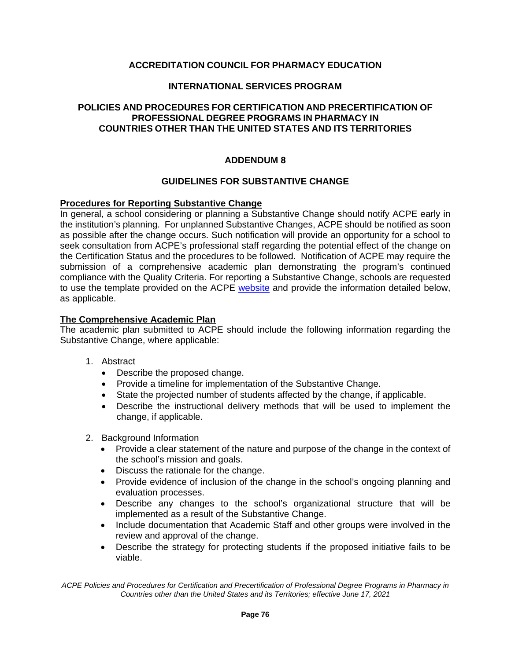### **INTERNATIONAL SERVICES PROGRAM**

### **POLICIES AND PROCEDURES FOR CERTIFICATION AND PRECERTIFICATION OF PROFESSIONAL DEGREE PROGRAMS IN PHARMACY IN COUNTRIES OTHER THAN THE UNITED STATES AND ITS TERRITORIES**

### **ADDENDUM 8**

#### **GUIDELINES FOR SUBSTANTIVE CHANGE**

#### **Procedures for Reporting Substantive Change**

In general, a school considering or planning a Substantive Change should notify ACPE early in the institution's planning. For unplanned Substantive Changes, ACPE should be notified as soon as possible after the change occurs. Such notification will provide an opportunity for a school to seek consultation from ACPE's professional staff regarding the potential effect of the change on the Certification Status and the procedures to be followed. Notification of ACPE may require the submission of a comprehensive academic plan demonstrating the program's continued compliance with the Quality Criteria. For reporting a Substantive Change, schools are requested to use the template provided on the ACPE [website](https://www.acpe-accredit.org/pdf/ISP/SubstantiveChangesReportTemplate.docx) and provide the information detailed below, as applicable.

#### **The Comprehensive Academic Plan**

The academic plan submitted to ACPE should include the following information regarding the Substantive Change, where applicable:

- 1. Abstract
	- Describe the proposed change.
	- Provide a timeline for implementation of the Substantive Change.
	- State the projected number of students affected by the change, if applicable.
	- Describe the instructional delivery methods that will be used to implement the change, if applicable.
- 2. Background Information
	- Provide a clear statement of the nature and purpose of the change in the context of the school's mission and goals.
	- Discuss the rationale for the change.
	- Provide evidence of inclusion of the change in the school's ongoing planning and evaluation processes.
	- Describe any changes to the school's organizational structure that will be implemented as a result of the Substantive Change.
	- Include documentation that Academic Staff and other groups were involved in the review and approval of the change.
	- Describe the strategy for protecting students if the proposed initiative fails to be viable.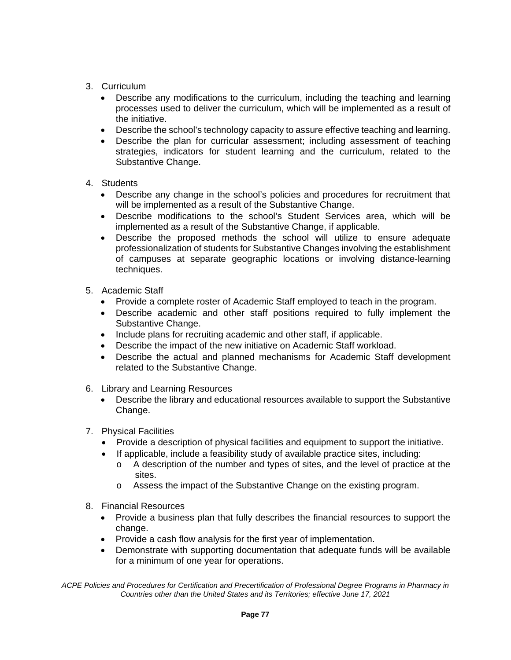- 3. Curriculum
	- Describe any modifications to the curriculum, including the teaching and learning processes used to deliver the curriculum, which will be implemented as a result of the initiative.
	- Describe the school's technology capacity to assure effective teaching and learning.
	- Describe the plan for curricular assessment; including assessment of teaching strategies, indicators for student learning and the curriculum, related to the Substantive Change.
- 4. Students
	- Describe any change in the school's policies and procedures for recruitment that will be implemented as a result of the Substantive Change.
	- Describe modifications to the school's Student Services area, which will be implemented as a result of the Substantive Change, if applicable.
	- Describe the proposed methods the school will utilize to ensure adequate professionalization of students for Substantive Changes involving the establishment of campuses at separate geographic locations or involving distance-learning techniques.
- 5. Academic Staff
	- Provide a complete roster of Academic Staff employed to teach in the program.
	- Describe academic and other staff positions required to fully implement the Substantive Change.
	- Include plans for recruiting academic and other staff, if applicable.
	- Describe the impact of the new initiative on Academic Staff workload.
	- Describe the actual and planned mechanisms for Academic Staff development related to the Substantive Change.
- 6. Library and Learning Resources
	- Describe the library and educational resources available to support the Substantive Change.
- 7. Physical Facilities
	- Provide a description of physical facilities and equipment to support the initiative.
	- If applicable, include a feasibility study of available practice sites, including:
		- o A description of the number and types of sites, and the level of practice at the sites.
		- o Assess the impact of the Substantive Change on the existing program.
- 8. Financial Resources
	- Provide a business plan that fully describes the financial resources to support the change.
	- Provide a cash flow analysis for the first year of implementation.
	- Demonstrate with supporting documentation that adequate funds will be available for a minimum of one year for operations.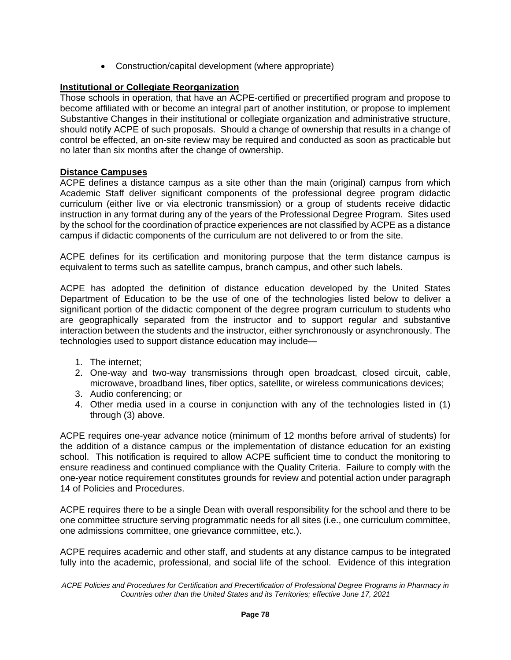• Construction/capital development (where appropriate)

### **Institutional or Collegiate Reorganization**

Those schools in operation, that have an ACPE-certified or precertified program and propose to become affiliated with or become an integral part of another institution, or propose to implement Substantive Changes in their institutional or collegiate organization and administrative structure, should notify ACPE of such proposals. Should a change of ownership that results in a change of control be effected, an on-site review may be required and conducted as soon as practicable but no later than six months after the change of ownership.

### **Distance Campuses**

ACPE defines a distance campus as a site other than the main (original) campus from which Academic Staff deliver significant components of the professional degree program didactic curriculum (either live or via electronic transmission) or a group of students receive didactic instruction in any format during any of the years of the Professional Degree Program. Sites used by the school for the coordination of practice experiences are not classified by ACPE as a distance campus if didactic components of the curriculum are not delivered to or from the site.

ACPE defines for its certification and monitoring purpose that the term distance campus is equivalent to terms such as satellite campus, branch campus, and other such labels.

ACPE has adopted the definition of distance education developed by the United States Department of Education to be the use of one of the technologies listed below to deliver a significant portion of the didactic component of the degree program curriculum to students who are geographically separated from the instructor and to support regular and substantive interaction between the students and the instructor, either synchronously or asynchronously. The technologies used to support distance education may include—

- 1. The internet;
- 2. One-way and two-way transmissions through open broadcast, closed circuit, cable, microwave, broadband lines, fiber optics, satellite, or wireless communications devices;
- 3. Audio conferencing; or
- 4. Other media used in a course in conjunction with any of the technologies listed in (1) through (3) above.

ACPE requires one-year advance notice (minimum of 12 months before arrival of students) for the addition of a distance campus or the implementation of distance education for an existing school. This notification is required to allow ACPE sufficient time to conduct the monitoring to ensure readiness and continued compliance with the Quality Criteria. Failure to comply with the one-year notice requirement constitutes grounds for review and potential action under paragraph 14 of Policies and Procedures.

ACPE requires there to be a single Dean with overall responsibility for the school and there to be one committee structure serving programmatic needs for all sites (i.e., one curriculum committee, one admissions committee, one grievance committee, etc.).

ACPE requires academic and other staff, and students at any distance campus to be integrated fully into the academic, professional, and social life of the school. Evidence of this integration

*ACPE Policies and Procedures for Certification and Precertification of Professional Degree Programs in Pharmacy in Countries other than the United States and its Territories; effective June 17, 2021*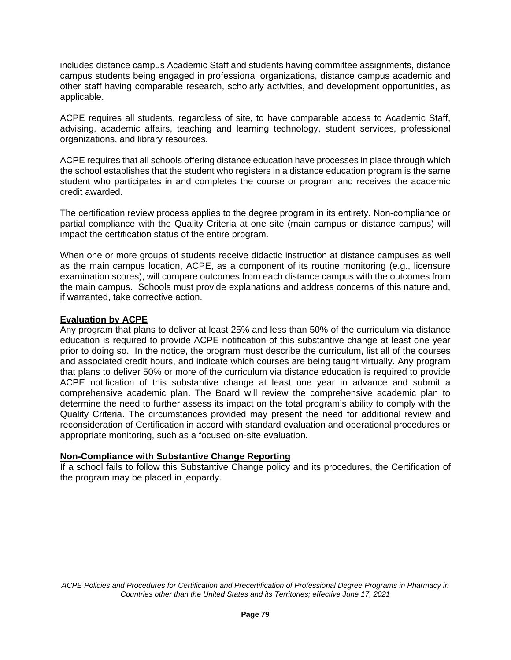includes distance campus Academic Staff and students having committee assignments, distance campus students being engaged in professional organizations, distance campus academic and other staff having comparable research, scholarly activities, and development opportunities, as applicable.

ACPE requires all students, regardless of site, to have comparable access to Academic Staff, advising, academic affairs, teaching and learning technology, student services, professional organizations, and library resources.

ACPE requires that all schools offering distance education have processes in place through which the school establishes that the student who registers in a distance education program is the same student who participates in and completes the course or program and receives the academic credit awarded.

The certification review process applies to the degree program in its entirety. Non-compliance or partial compliance with the Quality Criteria at one site (main campus or distance campus) will impact the certification status of the entire program.

When one or more groups of students receive didactic instruction at distance campuses as well as the main campus location, ACPE, as a component of its routine monitoring (e.g., licensure examination scores), will compare outcomes from each distance campus with the outcomes from the main campus. Schools must provide explanations and address concerns of this nature and, if warranted, take corrective action.

### **Evaluation by ACPE**

Any program that plans to deliver at least 25% and less than 50% of the curriculum via distance education is required to provide ACPE notification of this substantive change at least one year prior to doing so. In the notice, the program must describe the curriculum, list all of the courses and associated credit hours, and indicate which courses are being taught virtually. Any program that plans to deliver 50% or more of the curriculum via distance education is required to provide ACPE notification of this substantive change at least one year in advance and submit a comprehensive academic plan. The Board will review the comprehensive academic plan to determine the need to further assess its impact on the total program's ability to comply with the Quality Criteria. The circumstances provided may present the need for additional review and reconsideration of Certification in accord with standard evaluation and operational procedures or appropriate monitoring, such as a focused on-site evaluation.

## **Non-Compliance with Substantive Change Reporting**

If a school fails to follow this Substantive Change policy and its procedures, the Certification of the program may be placed in jeopardy.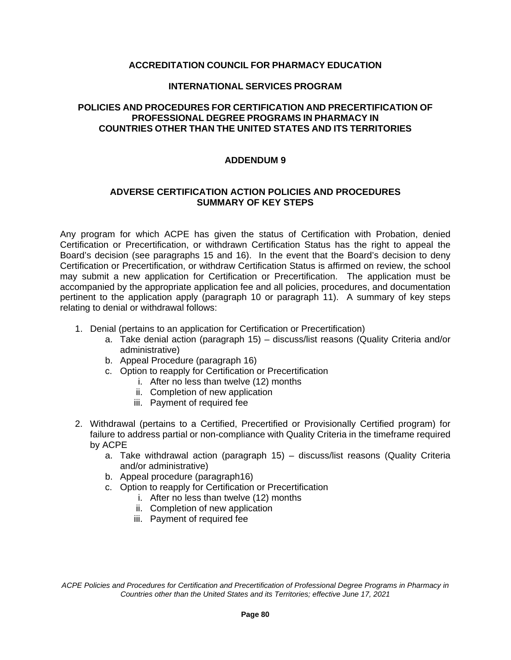#### **INTERNATIONAL SERVICES PROGRAM**

### **POLICIES AND PROCEDURES FOR CERTIFICATION AND PRECERTIFICATION OF PROFESSIONAL DEGREE PROGRAMS IN PHARMACY IN COUNTRIES OTHER THAN THE UNITED STATES AND ITS TERRITORIES**

### **ADDENDUM 9**

#### **ADVERSE CERTIFICATION ACTION POLICIES AND PROCEDURES SUMMARY OF KEY STEPS**

Any program for which ACPE has given the status of Certification with Probation, denied Certification or Precertification, or withdrawn Certification Status has the right to appeal the Board's decision (see paragraphs 15 and 16). In the event that the Board's decision to deny Certification or Precertification, or withdraw Certification Status is affirmed on review, the school may submit a new application for Certification or Precertification. The application must be accompanied by the appropriate application fee and all policies, procedures, and documentation pertinent to the application apply (paragraph 10 or paragraph 11). A summary of key steps relating to denial or withdrawal follows:

- 1. Denial (pertains to an application for Certification or Precertification)
	- a. Take denial action (paragraph 15) discuss/list reasons (Quality Criteria and/or administrative)
	- b. Appeal Procedure (paragraph 16)
	- c. Option to reapply for Certification or Precertification
		- i. After no less than twelve (12) months
		- ii. Completion of new application
		- iii. Payment of required fee
- 2. Withdrawal (pertains to a Certified, Precertified or Provisionally Certified program) for failure to address partial or non-compliance with Quality Criteria in the timeframe required by ACPE
	- a. Take withdrawal action (paragraph 15) discuss/list reasons (Quality Criteria and/or administrative)
	- b. Appeal procedure (paragraph16)
	- c. Option to reapply for Certification or Precertification
		- i. After no less than twelve (12) months
		- ii. Completion of new application
		- iii. Payment of required fee